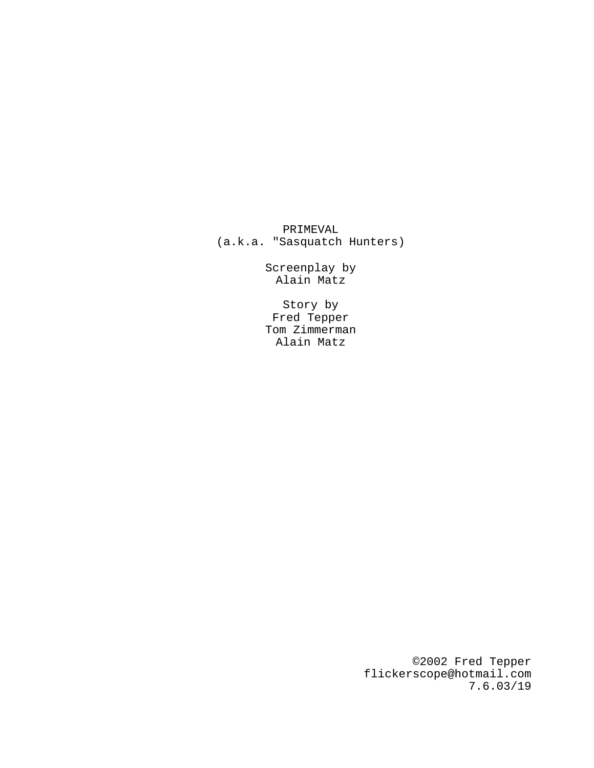PRIMEVAL (a.k.a. "Sasquatch Hunters)

> Screenplay by Alain Matz

> Story by Fred Tepper Tom Zimmerman Alain Matz

> > ©2002 Fred Tepper flickerscope@hotmail.com 7.6.03/19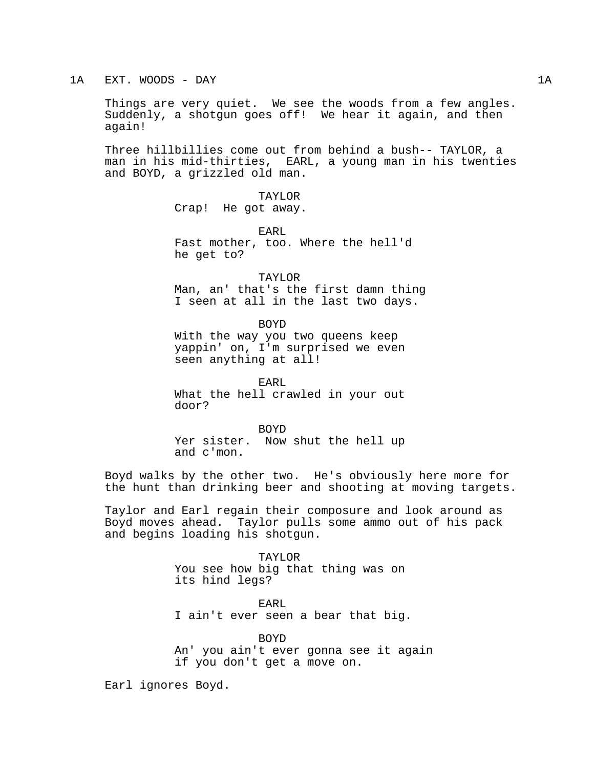# 1A EXT. WOODS - DAY 1A

Things are very quiet. We see the woods from a few angles. Suddenly, a shotgun goes off! We hear it again, and then again!

Three hillbillies come out from behind a bush-- TAYLOR, a man in his mid-thirties, EARL, a young man in his twenties and BOYD, a grizzled old man.

> TAYLOR Crap! He got away.

EARL Fast mother, too. Where the hell'd he get to?

TAYLOR Man, an' that's the first damn thing I seen at all in the last two days.

BOYD With the way you two queens keep yappin' on, I'm surprised we even seen anything at all!

EARL What the hell crawled in your out door?

BOYD Yer sister. Now shut the hell up and c'mon.

Boyd walks by the other two. He's obviously here more for the hunt than drinking beer and shooting at moving targets.

Taylor and Earl regain their composure and look around as Boyd moves ahead. Taylor pulls some ammo out of his pack and begins loading his shotgun.

> TAYLOR You see how big that thing was on its hind legs?

EARL I ain't ever seen a bear that big.

BOYD

An' you ain't ever gonna see it again if you don't get a move on.

Earl ignores Boyd.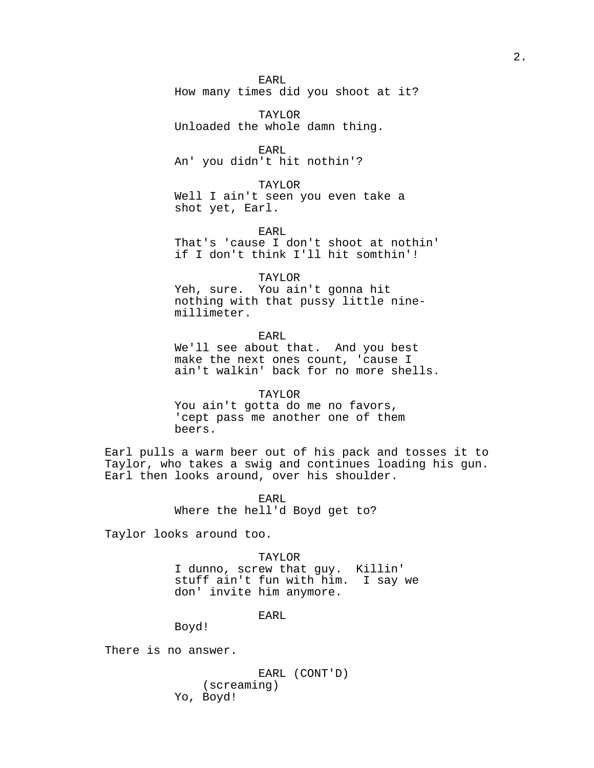EARL

How many times did you shoot at it?

TAYLOR Unloaded the whole damn thing.

EARL An' you didn't hit nothin'?

TAYLOR

Well I ain't seen you even take a shot yet, Earl.

EARL That's 'cause I don't shoot at nothin' if I don't think I'll hit somthin'!

TAYLOR

Yeh, sure. You ain't gonna hit nothing with that pussy little ninemillimeter.

EARL

We'll see about that. And you best make the next ones count, 'cause I ain't walkin' back for no more shells.

TAYLOR You ain't gotta do me no favors, 'cept pass me another one of them beers.

Earl pulls a warm beer out of his pack and tosses it to Taylor, who takes a swig and continues loading his gun. Earl then looks around, over his shoulder.

> EARL Where the hell'd Boyd get to?

Taylor looks around too.

TAYLOR

I dunno, screw that guy. Killin' stuff ain't fun with him. I say we don' invite him anymore.

EARL

Boyd!

There is no answer.

EARL (CONT'D) (screaming) Yo, Boyd!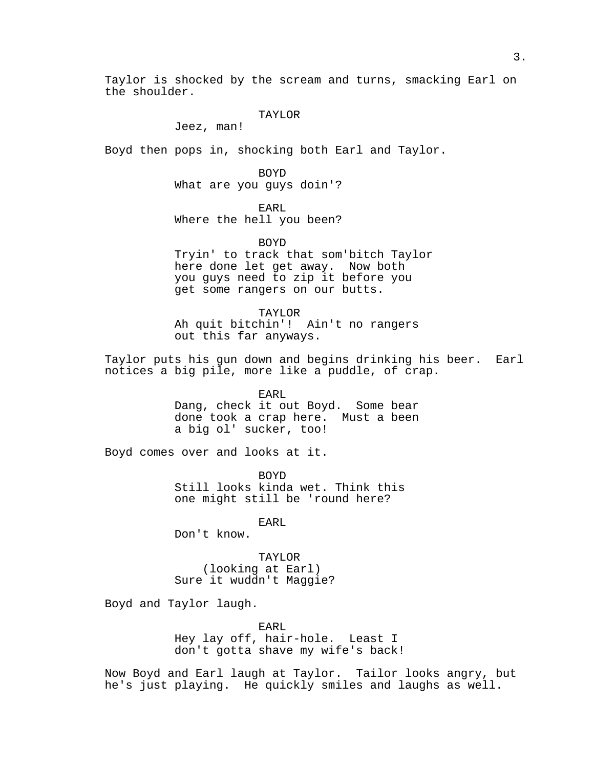Taylor is shocked by the scream and turns, smacking Earl on the shoulder.

# TAYLOR

Jeez, man!

Boyd then pops in, shocking both Earl and Taylor.

BOYD What are you guys doin'?

EARL Where the hell you been?

BOYD Tryin' to track that som'bitch Taylor here done let get away. Now both you guys need to zip it before you get some rangers on our butts.

TAYLOR Ah quit bitchin'! Ain't no rangers out this far anyways.

Taylor puts his gun down and begins drinking his beer. Earl notices a big pile, more like a puddle, of crap.

> EARL Dang, check it out Boyd. Some bear done took a crap here. Must a been a big ol' sucker, too!

Boyd comes over and looks at it.

BOYD Still looks kinda wet. Think this one might still be 'round here?

EARL

Don't know.

TAYLOR (looking at Earl) Sure it wuddn't Maggie?

Boyd and Taylor laugh.

EARL Hey lay off, hair-hole. Least I don't gotta shave my wife's back!

Now Boyd and Earl laugh at Taylor. Tailor looks angry, but he's just playing. He quickly smiles and laughs as well.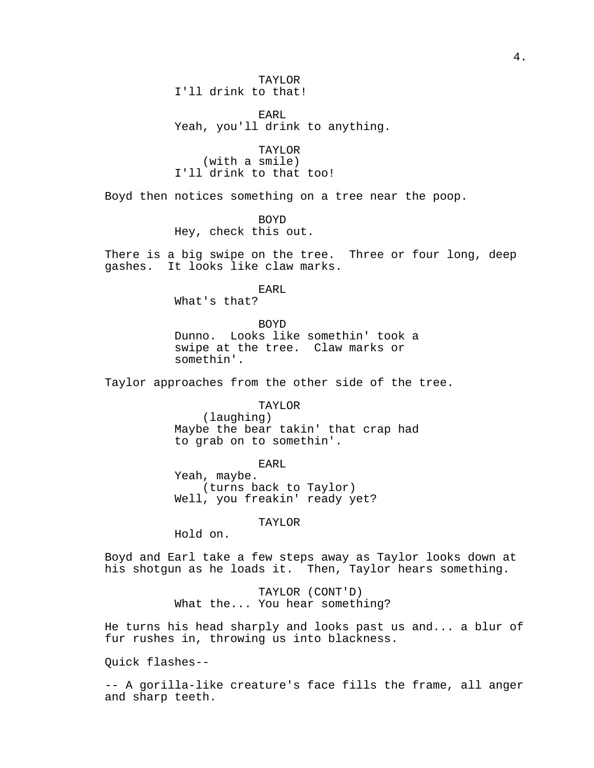EARL Yeah, you'll drink to anything.

TAYLOR (with a smile) I'll drink to that too!

Boyd then notices something on a tree near the poop.

BOYD Hey, check this out.

There is a big swipe on the tree. Three or four long, deep gashes. It looks like claw marks.

> EARL What's that?

BOYD Dunno. Looks like somethin' took a swipe at the tree. Claw marks or somethin'.

Taylor approaches from the other side of the tree.

TAYLOR

(laughing) Maybe the bear takin' that crap had to grab on to somethin'.

EARL

Yeah, maybe. (turns back to Taylor) Well, you freakin' ready yet?

TAYLOR

Hold on.

Boyd and Earl take a few steps away as Taylor looks down at his shotgun as he loads it. Then, Taylor hears something.

> TAYLOR (CONT'D) What the... You hear something?

He turns his head sharply and looks past us and... a blur of fur rushes in, throwing us into blackness.

Quick flashes--

-- A gorilla-like creature's face fills the frame, all anger and sharp teeth.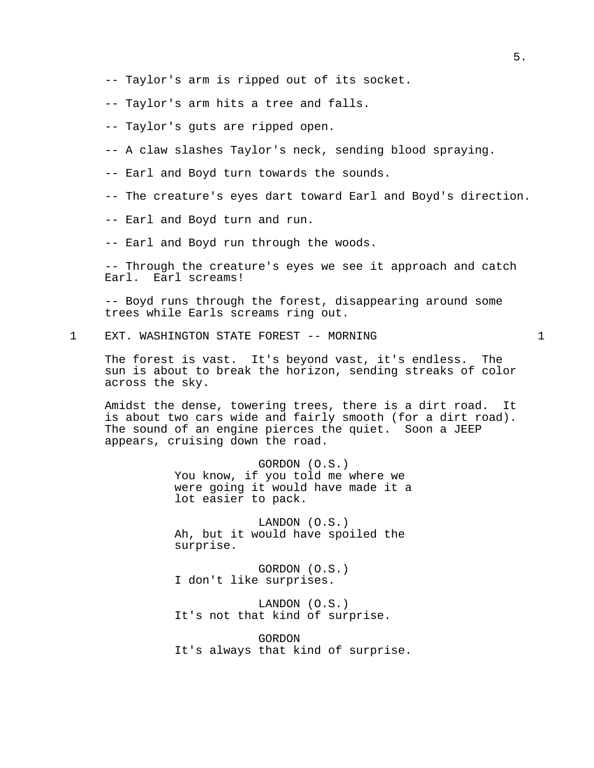- -- Taylor's arm is ripped out of its socket.
- -- Taylor's arm hits a tree and falls.
- -- Taylor's guts are ripped open.
- -- A claw slashes Taylor's neck, sending blood spraying.
- -- Earl and Boyd turn towards the sounds.
- -- The creature's eyes dart toward Earl and Boyd's direction.
- -- Earl and Boyd turn and run.
- -- Earl and Boyd run through the woods.

-- Through the creature's eyes we see it approach and catch Earl. Earl screams!

-- Boyd runs through the forest, disappearing around some trees while Earls screams ring out.

1 EXT. WASHINGTON STATE FOREST -- MORNING 1

The forest is vast. It's beyond vast, it's endless. The sun is about to break the horizon, sending streaks of color across the sky.

Amidst the dense, towering trees, there is a dirt road. It is about two cars wide and fairly smooth (for a dirt road). The sound of an engine pierces the quiet. Soon a JEEP appears, cruising down the road.

> GORDON (O.S.) You know, if you told me where we were going it would have made it a lot easier to pack.

LANDON (O.S.) Ah, but it would have spoiled the surprise.

GORDON (O.S.) I don't like surprises.

LANDON (O.S.) It's not that kind of surprise.

GORDON It's always that kind of surprise.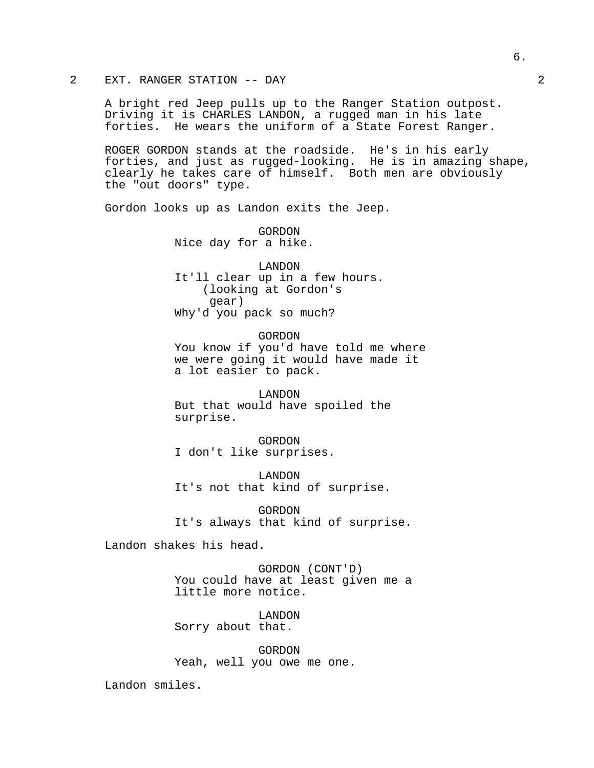# 2 EXT. RANGER STATION -- DAY 2

A bright red Jeep pulls up to the Ranger Station outpost. Driving it is CHARLES LANDON, a rugged man in his late forties. He wears the uniform of a State Forest Ranger.

ROGER GORDON stands at the roadside. He's in his early forties, and just as rugged-looking. He is in amazing shape, clearly he takes care of himself. Both men are obviously the "out doors" type.

Gordon looks up as Landon exits the Jeep.

GORDON Nice day for a hike.

LANDON It'll clear up in a few hours. (looking at Gordon's gear) Why'd you pack so much?

GORDON

You know if you'd have told me where we were going it would have made it a lot easier to pack.

LANDON But that would have spoiled the surprise.

GORDON I don't like surprises.

LANDON It's not that kind of surprise.

GORDON It's always that kind of surprise.

Landon shakes his head.

GORDON (CONT'D) You could have at least given me a little more notice.

LANDON Sorry about that.

GORDON Yeah, well you owe me one.

Landon smiles.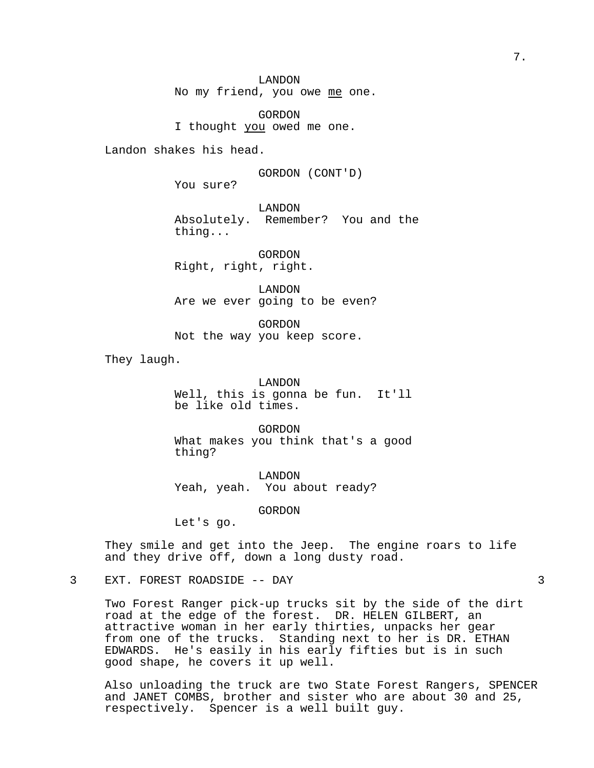LANDON No my friend, you owe me one.

GORDON I thought you owed me one.

Landon shakes his head.

GORDON (CONT'D)

You sure?

LANDON Absolutely. Remember? You and the thing...

GORDON Right, right, right.

LANDON Are we ever going to be even?

GORDON Not the way you keep score.

They laugh.

LANDON Well, this is gonna be fun. It'll be like old times.

GORDON What makes you think that's a good thing?

LANDON Yeah, yeah. You about ready?

GORDON

Let's go.

They smile and get into the Jeep. The engine roars to life and they drive off, down a long dusty road.

3 EXT. FOREST ROADSIDE -- DAY 3

Two Forest Ranger pick-up trucks sit by the side of the dirt road at the edge of the forest. DR. HELEN GILBERT, an attractive woman in her early thirties, unpacks her gear from one of the trucks. Standing next to her is DR. ETHAN EDWARDS. He's easily in his early fifties but is in such good shape, he covers it up well.

Also unloading the truck are two State Forest Rangers, SPENCER and JANET COMBS, brother and sister who are about 30 and 25, respectively. Spencer is a well built guy.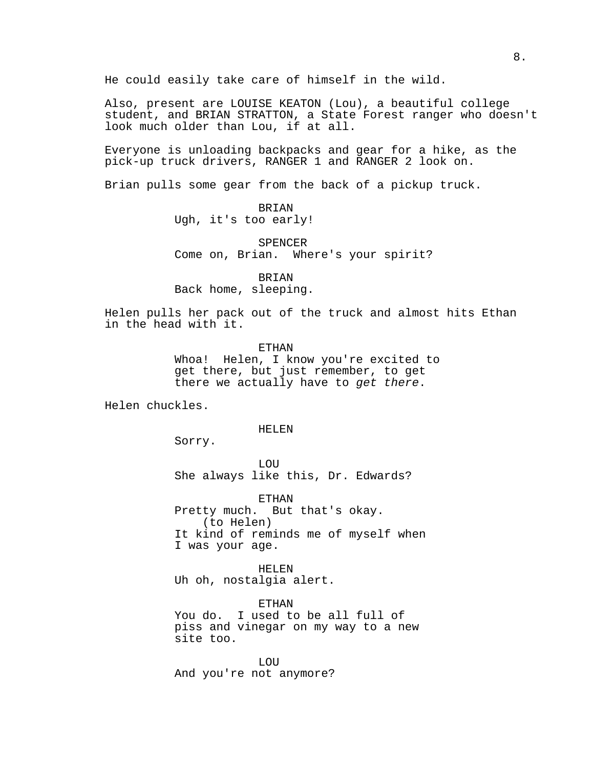He could easily take care of himself in the wild.

Also, present are LOUISE KEATON (Lou), a beautiful college student, and BRIAN STRATTON, a State Forest ranger who doesn't look much older than Lou, if at all.

Everyone is unloading backpacks and gear for a hike, as the pick-up truck drivers, RANGER 1 and RANGER 2 look on.

Brian pulls some gear from the back of a pickup truck.

BRIAN Ugh, it's too early!

SPENCER Come on, Brian. Where's your spirit?

BRIAN Back home, sleeping.

Helen pulls her pack out of the truck and almost hits Ethan in the head with it.

ETHAN

Whoa! Helen, I know you're excited to get there, but just remember, to get there we actually have to get there.

Helen chuckles.

HELEN

Sorry.

LOU She always like this, Dr. Edwards?

ETHAN Pretty much. But that's okay. (to Helen) It kind of reminds me of myself when I was your age.

HELEN Uh oh, nostalgia alert.

ETHAN You do. I used to be all full of piss and vinegar on my way to a new site too.

LOU And you're not anymore?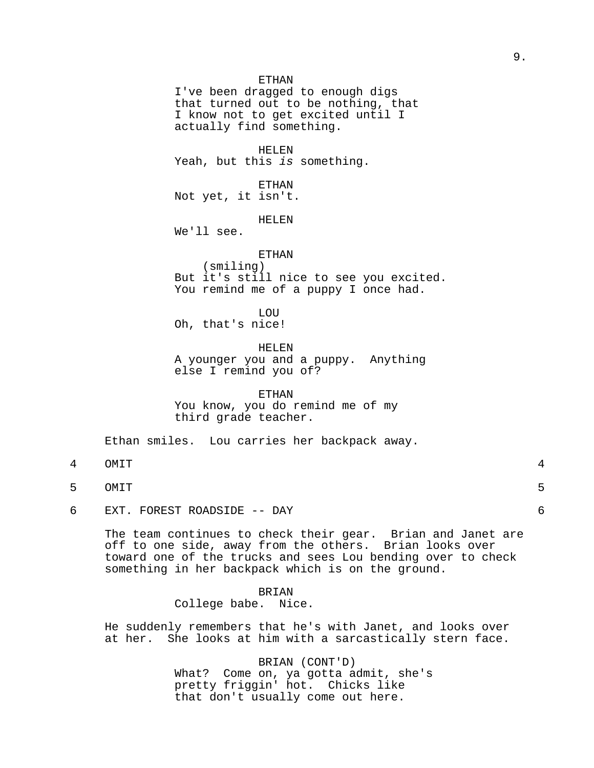ETHAN

I've been dragged to enough digs that turned out to be nothing, that I know not to get excited until I actually find something.

## HELEN

Yeah, but this is something.

ETHAN

Not yet, it isn't.

HELEN

We'll see.

# ETHAN

(smiling) But it's still nice to see you excited. You remind me of a puppy I once had.

LOU

Oh, that's nice!

HELEN

A younger you and a puppy. Anything else I remind you of?

# ETHAN

You know, you do remind me of my third grade teacher.

Ethan smiles. Lou carries her backpack away.

- 4 OMIT 4
- 5 OMIT 5

6 EXT. FOREST ROADSIDE -- DAY 6

The team continues to check their gear. Brian and Janet are off to one side, away from the others. Brian looks over toward one of the trucks and sees Lou bending over to check something in her backpack which is on the ground.

# BRIAN

College babe. Nice.

He suddenly remembers that he's with Janet, and looks over at her. She looks at him with a sarcastically stern face.

> BRIAN (CONT'D) What? Come on, ya gotta admit, she's pretty friggin' hot. Chicks like that don't usually come out here.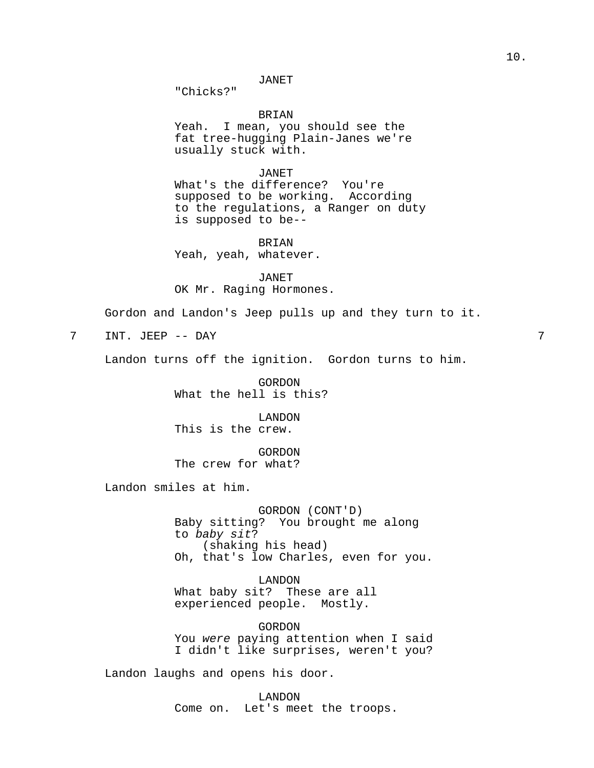"Chicks?"

BRIAN Yeah. I mean, you should see the fat tree-hugging Plain-Janes we're usually stuck with.

JANET

What's the difference? You're supposed to be working. According to the regulations, a Ranger on duty is supposed to be--

BRIAN Yeah, yeah, whatever.

JANET OK Mr. Raging Hormones.

Gordon and Landon's Jeep pulls up and they turn to it.

7 INT. JEEP -- DAY 7

Landon turns off the ignition. Gordon turns to him.

GORDON What the hell is this?

LANDON This is the crew.

GORDON The crew for what?

Landon smiles at him.

GORDON (CONT'D) Baby sitting? You brought me along to baby sit? (shaking his head) Oh, that's low Charles, even for you.

LANDON What baby sit? These are all experienced people. Mostly.

GORDON You were paying attention when I said I didn't like surprises, weren't you?

Landon laughs and opens his door.

LANDON Come on. Let's meet the troops.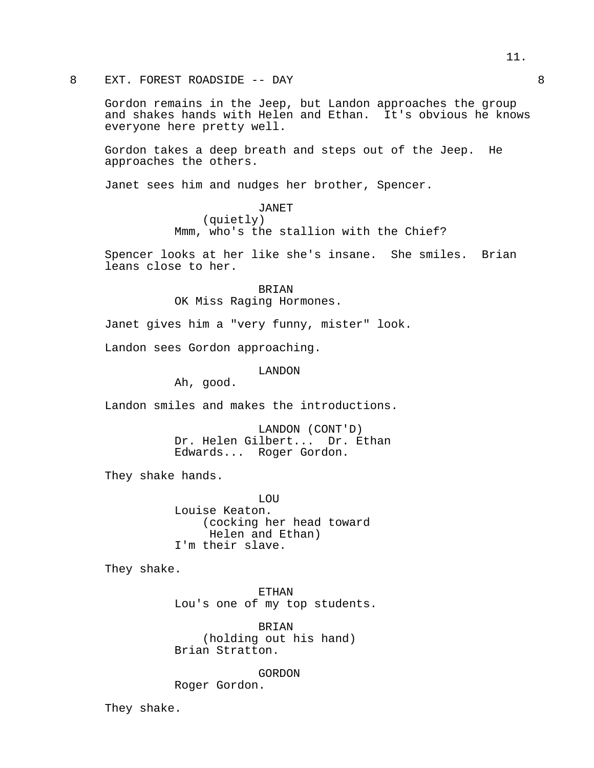8 EXT. FOREST ROADSIDE -- DAY 8

Gordon remains in the Jeep, but Landon approaches the group and shakes hands with Helen and Ethan. It's obvious he knows everyone here pretty well.

Gordon takes a deep breath and steps out of the Jeep. He approaches the others.

Janet sees him and nudges her brother, Spencer.

# JANET

(quietly) Mmm, who's the stallion with the Chief?

Spencer looks at her like she's insane. She smiles. Brian leans close to her.

> BRIAN OK Miss Raging Hormones.

Janet gives him a "very funny, mister" look.

Landon sees Gordon approaching.

LANDON

Ah, good.

Landon smiles and makes the introductions.

LANDON (CONT'D) Dr. Helen Gilbert... Dr. Ethan Edwards... Roger Gordon.

They shake hands.

LOU Louise Keaton. (cocking her head toward Helen and Ethan) I'm their slave.

They shake.

ETHAN Lou's one of my top students.

BRIAN (holding out his hand) Brian Stratton.

GORDON Roger Gordon.

They shake.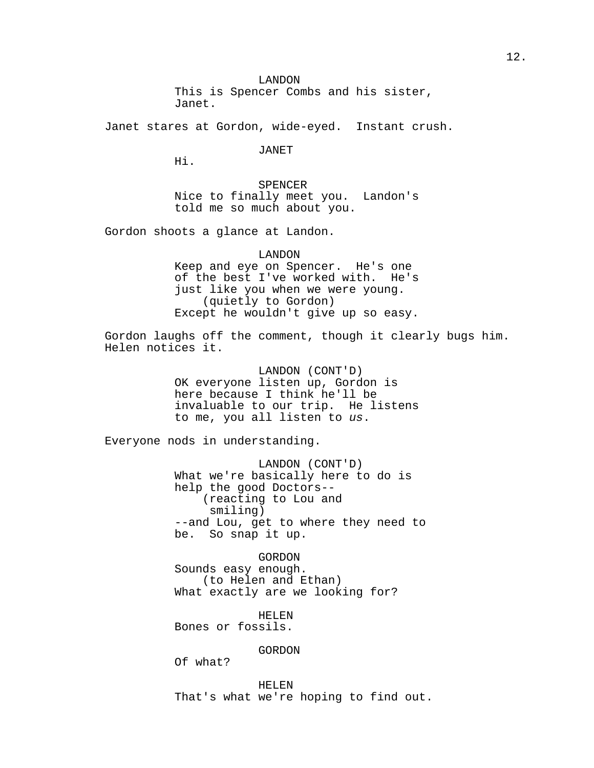LANDON This is Spencer Combs and his sister, Janet.

Janet stares at Gordon, wide-eyed. Instant crush.

JANET

Hi.

SPENCER Nice to finally meet you. Landon's told me so much about you.

Gordon shoots a glance at Landon.

LANDON Keep and eye on Spencer. He's one of the best I've worked with. He's just like you when we were young. (quietly to Gordon) Except he wouldn't give up so easy.

Gordon laughs off the comment, though it clearly bugs him. Helen notices it.

> LANDON (CONT'D) OK everyone listen up, Gordon is here because I think he'll be invaluable to our trip. He listens to me, you all listen to us.

Everyone nods in understanding.

LANDON (CONT'D) What we're basically here to do is help the good Doctors-- (reacting to Lou and smiling) --and Lou, get to where they need to be. So snap it up.

GORDON Sounds easy enough. (to Helen and Ethan) What exactly are we looking for?

HELEN Bones or fossils.

GORDON

Of what?

HELEN That's what we're hoping to find out.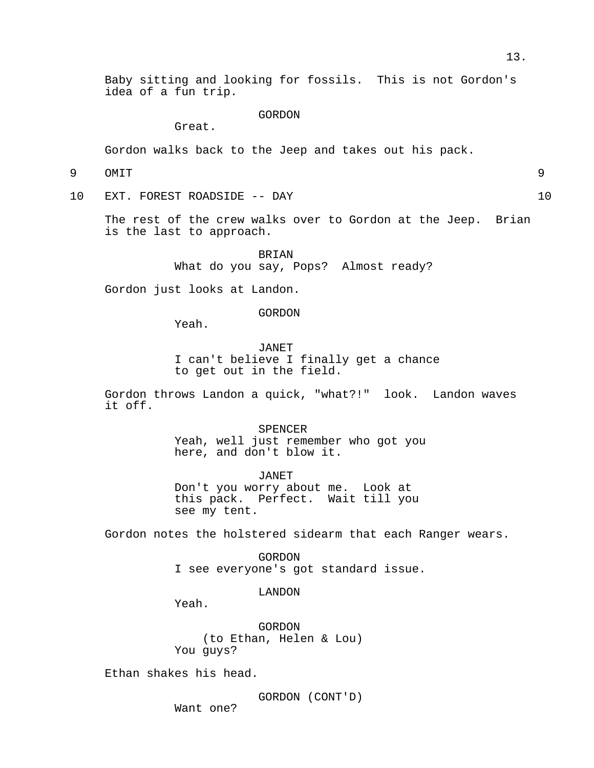Baby sitting and looking for fossils. This is not Gordon's idea of a fun trip.

GORDON

Great.

Gordon walks back to the Jeep and takes out his pack.

9 OMIT 9

10 EXT. FOREST ROADSIDE -- DAY 10

The rest of the crew walks over to Gordon at the Jeep. Brian is the last to approach.

> BRIAN What do you say, Pops? Almost ready?

Gordon just looks at Landon.

GORDON

Yeah.

JANET I can't believe I finally get a chance to get out in the field.

Gordon throws Landon a quick, "what?!" look. Landon waves it off.

> SPENCER Yeah, well just remember who got you here, and don't blow it.

JANET Don't you worry about me. Look at this pack. Perfect. Wait till you see my tent.

Gordon notes the holstered sidearm that each Ranger wears.

GORDON I see everyone's got standard issue.

LANDON

Yeah.

GORDON (to Ethan, Helen & Lou) You guys?

Ethan shakes his head.

GORDON (CONT'D)

Want one?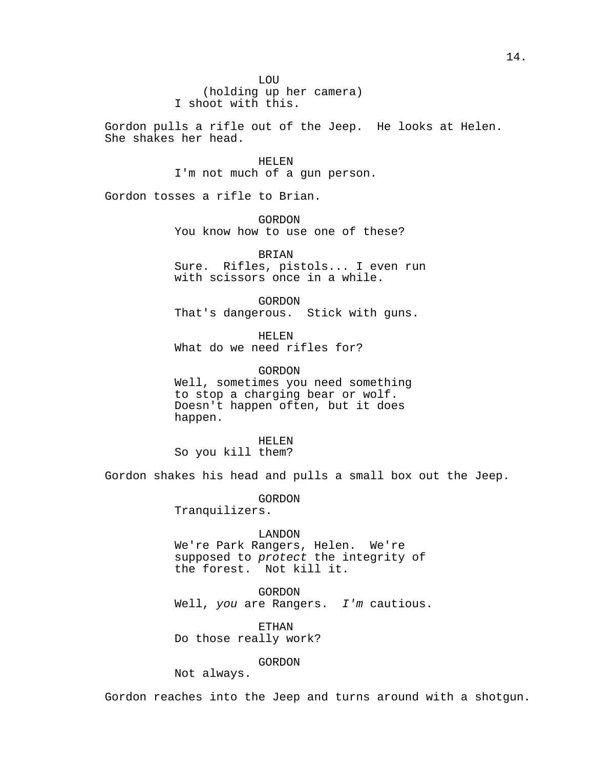Gordon pulls a rifle out of the Jeep. He looks at Helen. She shakes her head.

> HELEN I'm not much of a gun person.

Gordon tosses a rifle to Brian.

GORDON

You know how to use one of these?

BRIAN Sure. Rifles, pistols... I even run with scissors once in a while.

GORDON That's dangerous. Stick with guns.

HELEN What do we need rifles for?

GORDON Well, sometimes you need something to stop a charging bear or wolf. Doesn't happen often, but it does happen.

HELEN So you kill them?

Gordon shakes his head and pulls a small box out the Jeep.

GORDON Tranquilizers.

LANDON We're Park Rangers, Helen. We're supposed to protect the integrity of the forest. Not kill it.

GORDON Well, you are Rangers. I'm cautious.

ETHAN Do those really work?

GORDON

Not always.

Gordon reaches into the Jeep and turns around with a shotgun.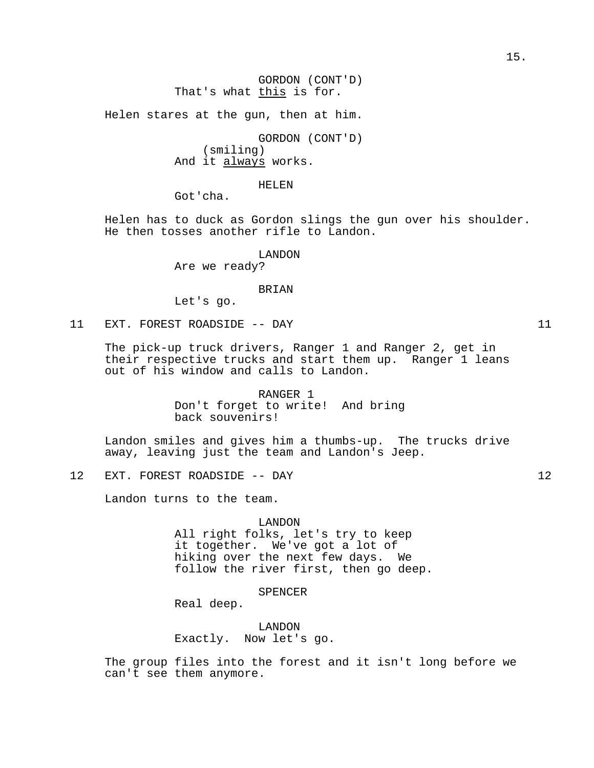GORDON (CONT'D) That's what this is for.

Helen stares at the gun, then at him.

GORDON (CONT'D) (smiling) And it always works.

HELEN

Got'cha.

Helen has to duck as Gordon slings the gun over his shoulder. He then tosses another rifle to Landon.

LANDON

Are we ready?

BRIAN

Let's go.

11 EXT. FOREST ROADSIDE -- DAY 11

The pick-up truck drivers, Ranger 1 and Ranger 2, get in their respective trucks and start them up. Ranger 1 leans out of his window and calls to Landon.

> RANGER 1 Don't forget to write! And bring back souvenirs!

Landon smiles and gives him a thumbs-up. The trucks drive away, leaving just the team and Landon's Jeep.

12 EXT. FOREST ROADSIDE -- DAY 12

Landon turns to the team.

LANDON

All right folks, let's try to keep it together. We've got a lot of hiking over the next few days. We follow the river first, then go deep.

# SPENCER

Real deep.

LANDON Exactly. Now let's go.

The group files into the forest and it isn't long before we can't see them anymore.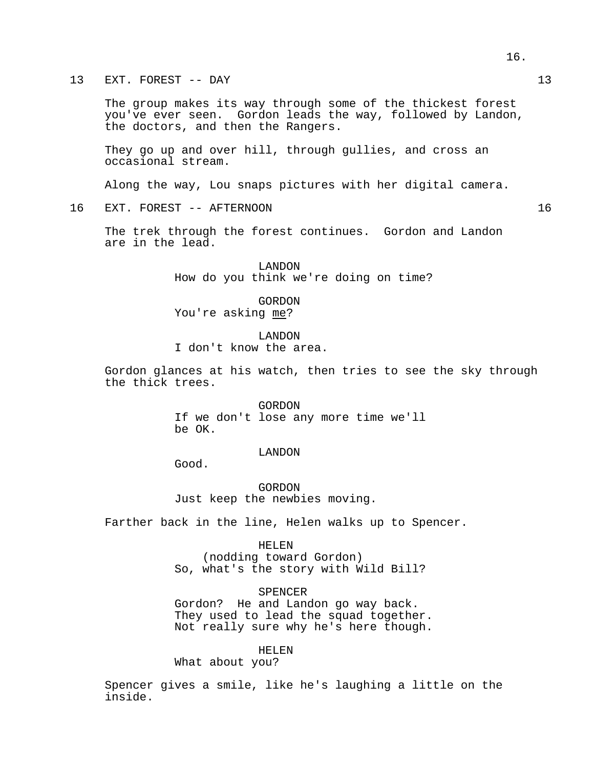# 13 EXT. FOREST -- DAY 13

The group makes its way through some of the thickest forest you've ever seen. Gordon leads the way, followed by Landon, the doctors, and then the Rangers.

They go up and over hill, through gullies, and cross an occasional stream.

Along the way, Lou snaps pictures with her digital camera.

# 16 EXT. FOREST -- AFTERNOON 16

The trek through the forest continues. Gordon and Landon are in the lead.

> LANDON How do you think we're doing on time?

GORDON You're asking me?

LANDON I don't know the area.

Gordon glances at his watch, then tries to see the sky through the thick trees.

> GORDON If we don't lose any more time we'll be OK.

#### LANDON

Good.

GORDON Just keep the newbies moving.

Farther back in the line, Helen walks up to Spencer.

### HELEN

(nodding toward Gordon) So, what's the story with Wild Bill?

SPENCER

Gordon? He and Landon go way back. They used to lead the squad together. Not really sure why he's here though.

HELEN

What about you?

Spencer gives a smile, like he's laughing a little on the inside.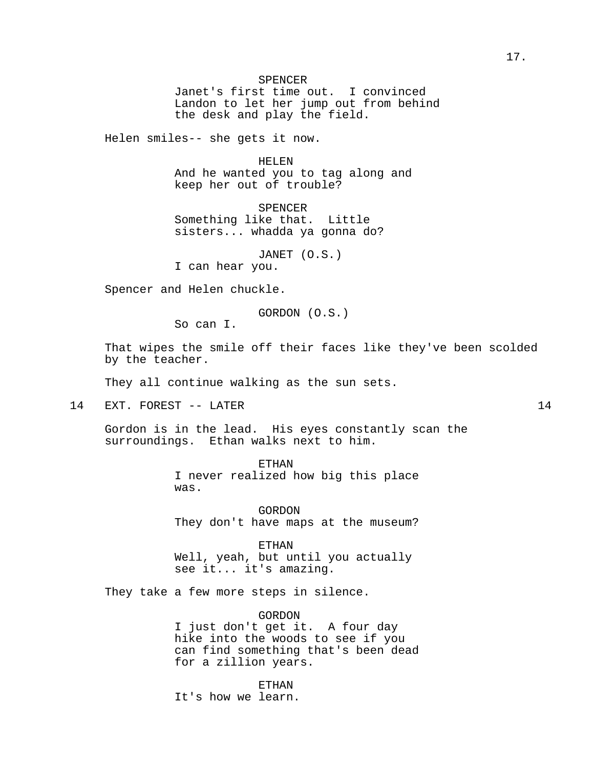Janet's first time out. I convinced Landon to let her jump out from behind the desk and play the field.

Helen smiles-- she gets it now.

HELEN And he wanted you to tag along and keep her out of trouble?

SPENCER Something like that. Little sisters... whadda ya gonna do?

JANET (O.S.)

I can hear you.

Spencer and Helen chuckle.

GORDON (O.S.)

So can I.

That wipes the smile off their faces like they've been scolded by the teacher.

They all continue walking as the sun sets.

14 EXT. FOREST -- LATER 14

Gordon is in the lead. His eyes constantly scan the surroundings. Ethan walks next to him.

> ETHAN I never realized how big this place was.

> GORDON They don't have maps at the museum?

ETHAN Well, yeah, but until you actually see it... it's amazing.

They take a few more steps in silence.

GORDON I just don't get it. A four day hike into the woods to see if you can find something that's been dead for a zillion years.

ETHAN It's how we learn.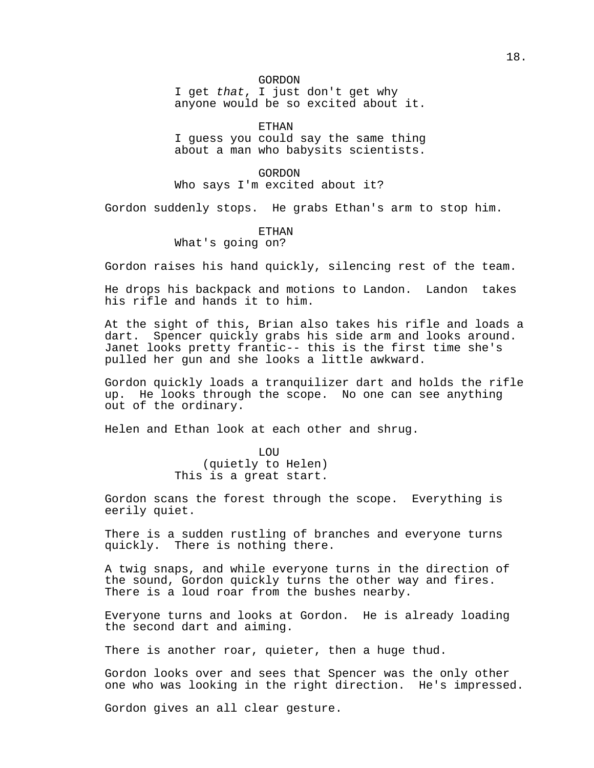# GORDON

I get that, I just don't get why anyone would be so excited about it.

ETHAN

I guess you could say the same thing about a man who babysits scientists.

GORDON Who says I'm excited about it?

Gordon suddenly stops. He grabs Ethan's arm to stop him.

# **ETHAN**

What's going on?

Gordon raises his hand quickly, silencing rest of the team.

He drops his backpack and motions to Landon. Landon takes his rifle and hands it to him.

At the sight of this, Brian also takes his rifle and loads a dart. Spencer quickly grabs his side arm and looks around. Janet looks pretty frantic-- this is the first time she's pulled her gun and she looks a little awkward.

Gordon quickly loads a tranquilizer dart and holds the rifle up. He looks through the scope. No one can see anything out of the ordinary.

Helen and Ethan look at each other and shrug.

LOU (quietly to Helen) This is a great start.

Gordon scans the forest through the scope. Everything is eerily quiet.

There is a sudden rustling of branches and everyone turns quickly. There is nothing there.

A twig snaps, and while everyone turns in the direction of the sound, Gordon quickly turns the other way and fires. There is a loud roar from the bushes nearby.

Everyone turns and looks at Gordon. He is already loading the second dart and aiming.

There is another roar, quieter, then a huge thud.

Gordon looks over and sees that Spencer was the only other one who was looking in the right direction. He's impressed.

Gordon gives an all clear gesture.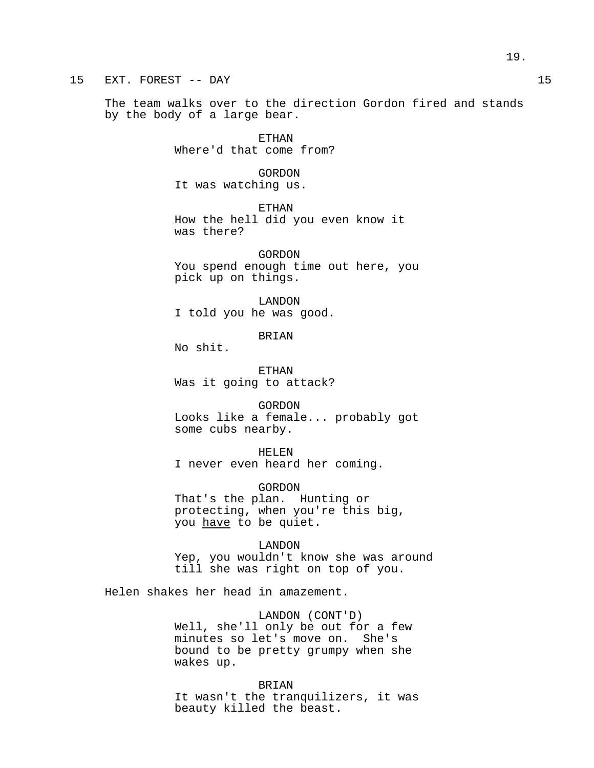# 15 EXT. FOREST -- DAY 15

The team walks over to the direction Gordon fired and stands by the body of a large bear.

> ETHAN Where'd that come from?

GORDON It was watching us.

ETHAN How the hell did you even know it was there?

GORDON You spend enough time out here, you pick up on things.

LANDON I told you he was good.

BRIAN

No shit.

ETHAN Was it going to attack?

GORDON Looks like a female... probably got some cubs nearby.

HELEN I never even heard her coming.

GORDON That's the plan. Hunting or protecting, when you're this big, you have to be quiet.

LANDON Yep, you wouldn't know she was around till she was right on top of you.

Helen shakes her head in amazement.

LANDON (CONT'D) Well, she'll only be out for a few minutes so let's move on. She's bound to be pretty grumpy when she wakes up.

BRIAN

It wasn't the tranquilizers, it was beauty killed the beast.

19.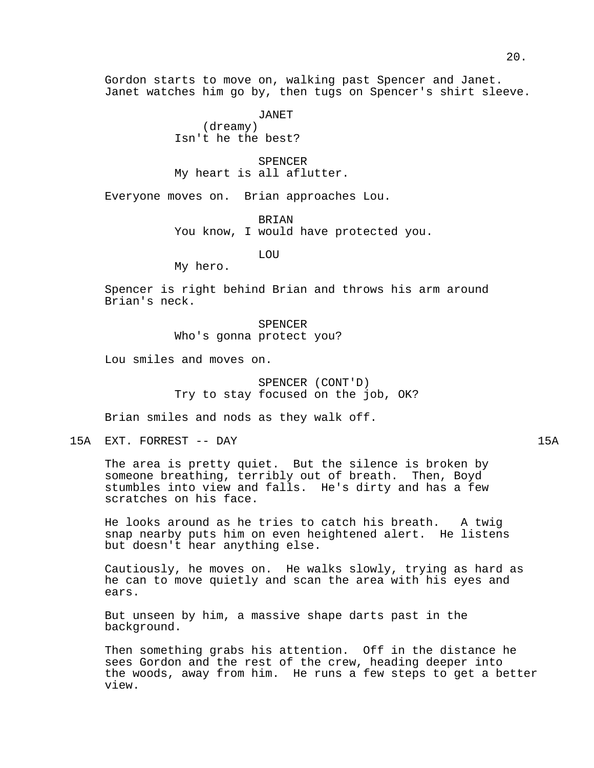Gordon starts to move on, walking past Spencer and Janet. Janet watches him go by, then tugs on Spencer's shirt sleeve.

> JANET (dreamy) Isn't he the best?

SPENCER My heart is all aflutter.

Everyone moves on. Brian approaches Lou.

BRIAN

You know, I would have protected you.

LOU

My hero.

Spencer is right behind Brian and throws his arm around Brian's neck.

> SPENCER Who's gonna protect you?

Lou smiles and moves on.

SPENCER (CONT'D) Try to stay focused on the job, OK?

Brian smiles and nods as they walk off.

15A EXT. FORREST -- DAY 15A

The area is pretty quiet. But the silence is broken by someone breathing, terribly out of breath. Then, Boyd stumbles into view and falls. He's dirty and has a few scratches on his face.

He looks around as he tries to catch his breath. A twig snap nearby puts him on even heightened alert. He listens but doesn't hear anything else.

Cautiously, he moves on. He walks slowly, trying as hard as he can to move quietly and scan the area with his eyes and ears.

But unseen by him, a massive shape darts past in the background.

Then something grabs his attention. Off in the distance he sees Gordon and the rest of the crew, heading deeper into the woods, away from him. He runs a few steps to get a better view.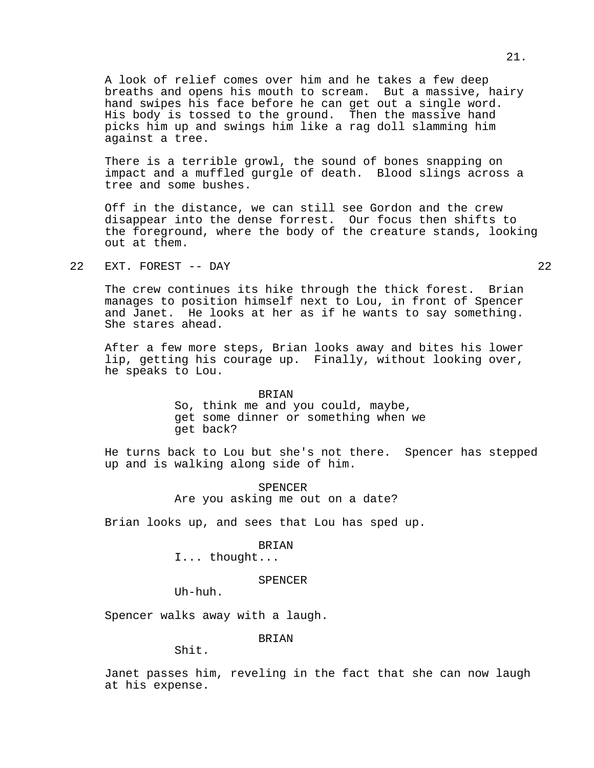A look of relief comes over him and he takes a few deep breaths and opens his mouth to scream. But a massive, hairy hand swipes his face before he can get out a single word. His body is tossed to the ground. Then the massive hand picks him up and swings him like a rag doll slamming him against a tree.

There is a terrible growl, the sound of bones snapping on impact and a muffled gurgle of death. Blood slings across a tree and some bushes.

Off in the distance, we can still see Gordon and the crew disappear into the dense forrest. Our focus then shifts to the foreground, where the body of the creature stands, looking out at them.

22 EXT. FOREST -- DAY 22

The crew continues its hike through the thick forest. Brian manages to position himself next to Lou, in front of Spencer and Janet. He looks at her as if he wants to say something. She stares ahead.

After a few more steps, Brian looks away and bites his lower lip, getting his courage up. Finally, without looking over, he speaks to Lou.

> BRIAN So, think me and you could, maybe, get some dinner or something when we get back?

He turns back to Lou but she's not there. Spencer has stepped up and is walking along side of him.

> SPENCER Are you asking me out on a date?

Brian looks up, and sees that Lou has sped up.

# BRIAN

I... thought...

# SPENCER

Uh-huh.

Spencer walks away with a laugh.

BRIAN

Shit.

Janet passes him, reveling in the fact that she can now laugh at his expense.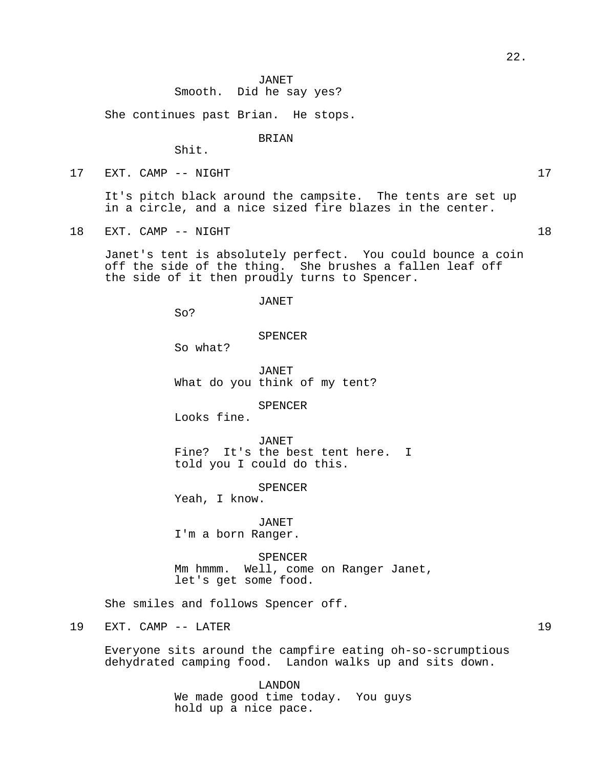# JANET Smooth. Did he say yes?

She continues past Brian. He stops.

## BRIAN

Shit.

17 EXT. CAMP -- NIGHT

It's pitch black around the campsite. The tents are set up in a circle, and a nice sized fire blazes in the center.

18 EXT. CAMP -- NIGHT 18

Janet's tent is absolutely perfect. You could bounce a coin off the side of the thing. She brushes a fallen leaf off the side of it then proudly turns to Spencer.

## JANET

So?

## SPENCER

So what?

JANET What do you think of my tent?

SPENCER

Looks fine.

JANET Fine? It's the best tent here. I told you I could do this.

SPENCER

Yeah, I know.

JANET I'm a born Ranger.

SPENCER Mm hmmm. Well, come on Ranger Janet, let's get some food.

She smiles and follows Spencer off.

# 19 EXT. CAMP -- LATER 19

Everyone sits around the campfire eating oh-so-scrumptious dehydrated camping food. Landon walks up and sits down.

> LANDON We made good time today. You guys hold up a nice pace.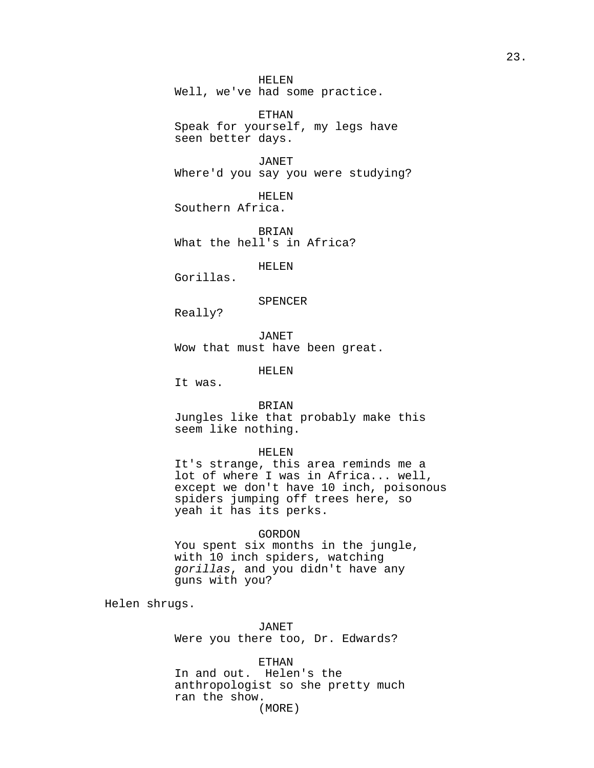HELEN Well, we've had some practice.

ETHAN Speak for yourself, my legs have seen better days.

JANET Where'd you say you were studying?

HELEN Southern Africa.

**BRIAN** What the hell's in Africa?

HELEN

Gorillas.

## SPENCER

Really?

JANET Wow that must have been great.

HELEN

It was.

BRIAN

Jungles like that probably make this seem like nothing.

# HELEN

It's strange, this area reminds me a lot of where I was in Africa... well, except we don't have 10 inch, poisonous spiders jumping off trees here, so yeah it has its perks.

# GORDON

You spent six months in the jungle, with 10 inch spiders, watching gorillas, and you didn't have any guns with you?

Helen shrugs.

JANET Were you there too, Dr. Edwards?

ETHAN In and out. Helen's the anthropologist so she pretty much ran the show.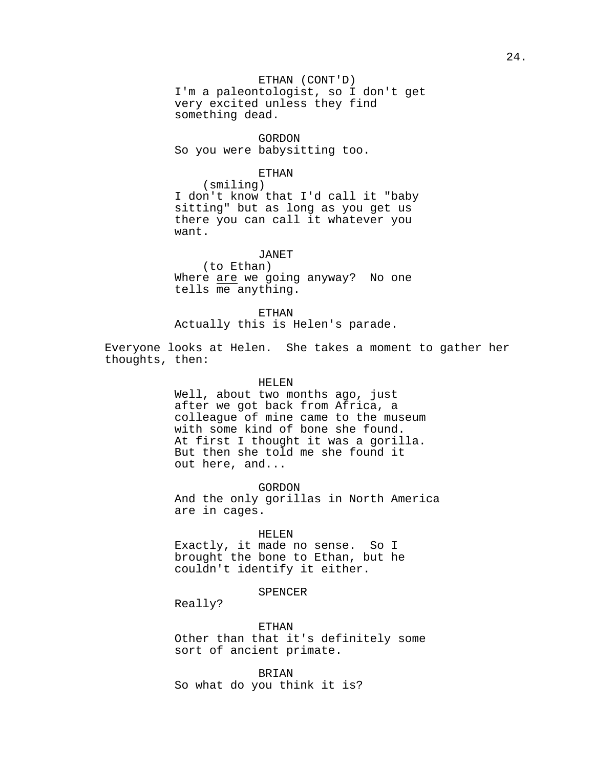ETHAN (CONT'D) I'm a paleontologist, so I don't get very excited unless they find something dead.

GORDON So you were babysitting too.

#### ETHAN

(smiling) I don't know that I'd call it "baby sitting" but as long as you get us there you can call it whatever you want.

JANET

(to Ethan) Where are we going anyway? No one tells me anything.

ETHAN

Actually this is Helen's parade.

Everyone looks at Helen. She takes a moment to gather her thoughts, then:

HELEN

Well, about two months ago, just after we got back from Africa, a colleague of mine came to the museum with some kind of bone she found. At first I thought it was a gorilla. But then she told me she found it out here, and...

GORDON

And the only gorillas in North America are in cages.

HELEN

Exactly, it made no sense. So I brought the bone to Ethan, but he couldn't identify it either.

SPENCER

Really?

ETHAN Other than that it's definitely some sort of ancient primate.

BRIAN So what do you think it is?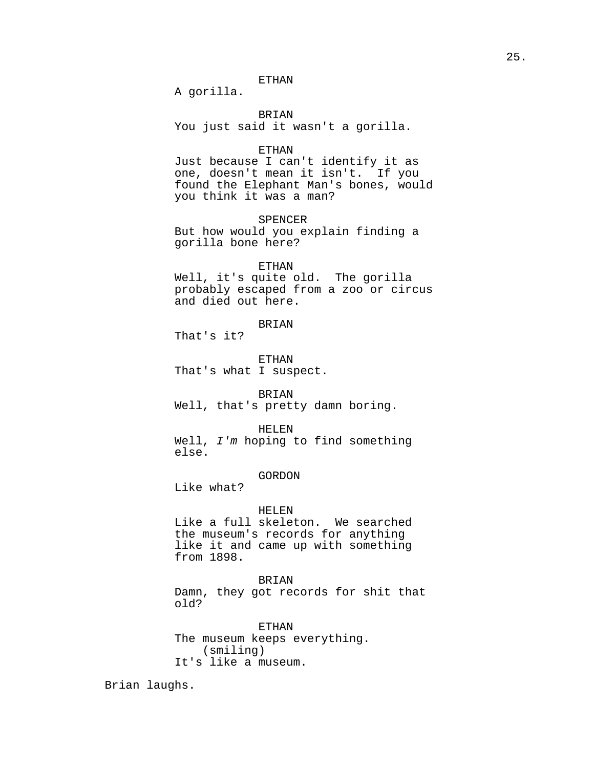# ETHAN

A gorilla.

BRIAN You just said it wasn't a gorilla.

## ETHAN

Just because I can't identify it as one, doesn't mean it isn't. If you found the Elephant Man's bones, would you think it was a man?

SPENCER

But how would you explain finding a gorilla bone here?

## ETHAN

Well, it's quite old. The gorilla probably escaped from a zoo or circus and died out here.

# BRIAN

That's it?

ETHAN That's what I suspect.

## BRIAN

Well, that's pretty damn boring.

#### HELEN

Well, I'm hoping to find something else.

# GORDON

Like what?

#### HELEN

Like a full skeleton. We searched the museum's records for anything like it and came up with something from 1898.

### BRIAN

Damn, they got records for shit that old?

ETHAN The museum keeps everything. (smiling) It's like a museum.

Brian laughs.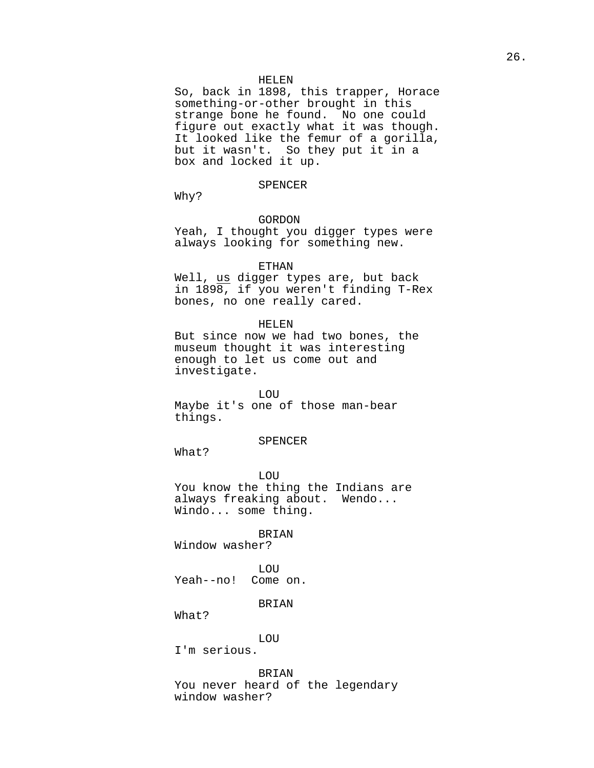#### HELEN

So, back in 1898, this trapper, Horace something-or-other brought in this strange bone he found. No one could figure out exactly what it was though. It looked like the femur of a gorilla, but it wasn't. So they put it in a box and locked it up.

#### SPENCER

Why?

# GORDON

Yeah, I thought you digger types were always looking for something new.

#### ETHAN

Well, us digger types are, but back in 1898, if you weren't finding T-Rex bones, no one really cared.

#### HELEN

But since now we had two bones, the museum thought it was interesting enough to let us come out and investigate.

# LOU

Maybe it's one of those man-bear things.

#### SPENCER

What?

LOU You know the thing the Indians are always freaking about. Wendo... Windo... some thing.

#### BRIAN

Window washer?

LOU Yeah--no! Come on.

## BRIAN

What?

LOU

I'm serious.

# BRIAN

You never heard of the legendary window washer?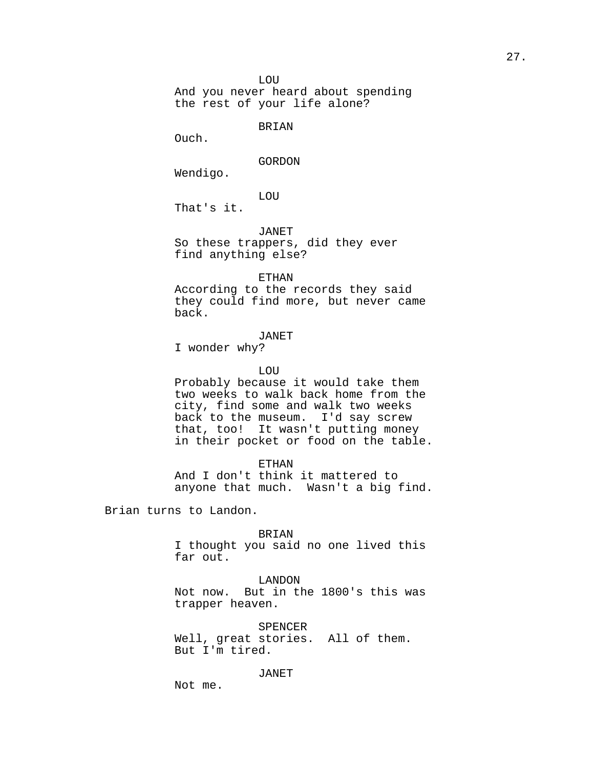LOU

And you never heard about spending the rest of your life alone?

BRIAN

Ouch.

GORDON

Wendigo.

LOU

That's it.

JANET

So these trappers, did they ever find anything else?

ETHAN

According to the records they said they could find more, but never came back.

#### JANET

I wonder why?

### LOU

Probably because it would take them two weeks to walk back home from the city, find some and walk two weeks back to the museum. I'd say screw that, too! It wasn't putting money in their pocket or food on the table.

ETHAN

And I don't think it mattered to anyone that much. Wasn't a big find.

Brian turns to Landon.

BRIAN

I thought you said no one lived this far out.

LANDON Not now. But in the 1800's this was trapper heaven.

SPENCER Well, great stories. All of them. But I'm tired.

JANET

Not me.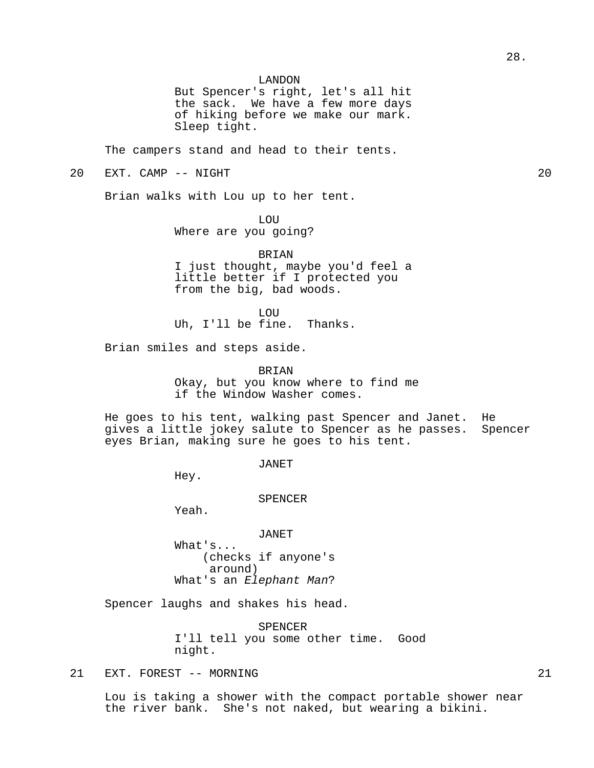But Spencer's right, let's all hit the sack. We have a few more days of hiking before we make our mark. Sleep tight.

The campers stand and head to their tents.

# 20 EXT. CAMP -- NIGHT 20

Brian walks with Lou up to her tent.

LOU

Where are you going?

BRIAN

I just thought, maybe you'd feel a little better if I protected you from the big, bad woods.

**LOU** 

Uh, I'll be fine. Thanks.

Brian smiles and steps aside.

BRIAN

Okay, but you know where to find me if the Window Washer comes.

He goes to his tent, walking past Spencer and Janet. He gives a little jokey salute to Spencer as he passes. Spencer eyes Brian, making sure he goes to his tent.

JANET

Hey.

SPENCER

Yeah.

JANET

What's... (checks if anyone's around) What's an Elephant Man?

Spencer laughs and shakes his head.

SPENCER I'll tell you some other time. Good night.

21 EXT. FOREST -- MORNING 21

Lou is taking a shower with the compact portable shower near the river bank. She's not naked, but wearing a bikini.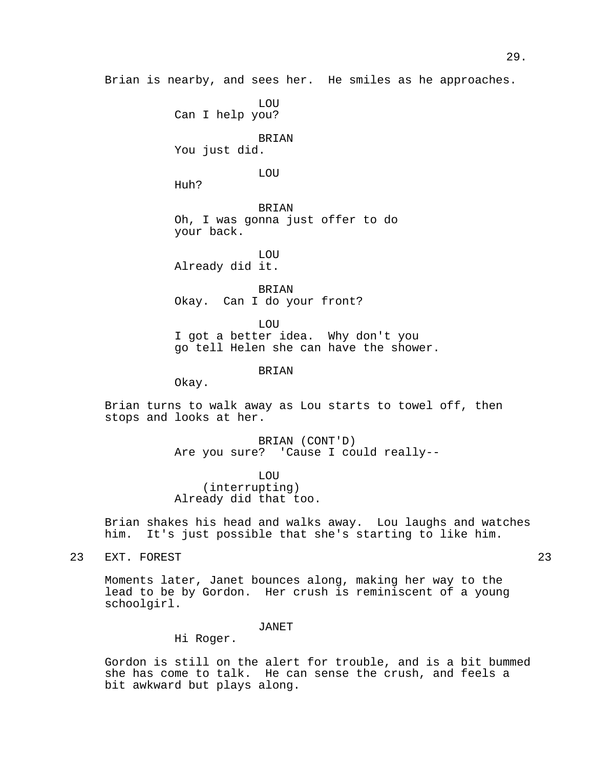Brian is nearby, and sees her. He smiles as he approaches.

LOU Can I help you?

BRIAN

You just did.

LOU

Huh?

**BRIAN** Oh, I was gonna just offer to do your back.

LOU Already did it.

BRIAN Okay. Can I do your front?

LOU I got a better idea. Why don't you go tell Helen she can have the shower.

BRIAN

Okay.

Brian turns to walk away as Lou starts to towel off, then stops and looks at her.

> BRIAN (CONT'D) Are you sure? 'Cause I could really--

LOU (interrupting) Already did that too.

Brian shakes his head and walks away. Lou laughs and watches him. It's just possible that she's starting to like him.

23 EXT. FOREST 23

Moments later, Janet bounces along, making her way to the lead to be by Gordon. Her crush is reminiscent of a young schoolgirl.

JANET

Hi Roger.

Gordon is still on the alert for trouble, and is a bit bummed she has come to talk. He can sense the crush, and feels a bit awkward but plays along.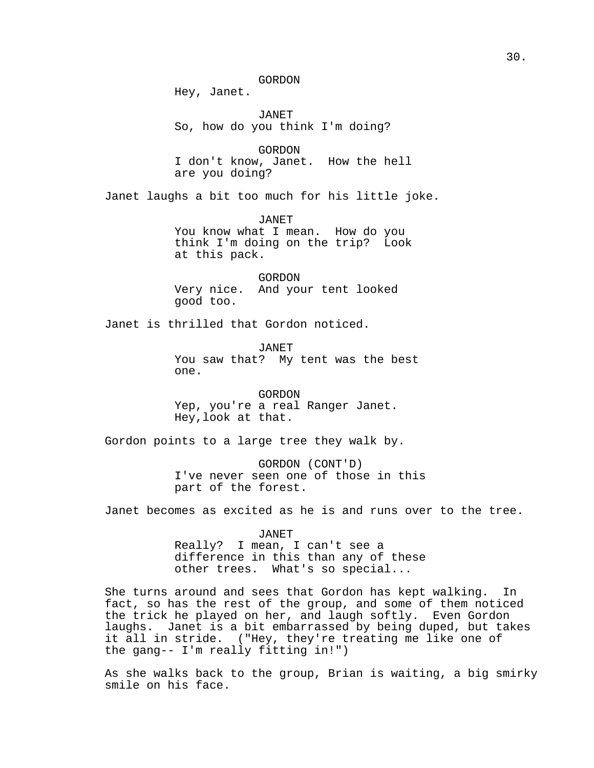GORDON

Hey, Janet.

JANET So, how do you think I'm doing?

GORDON I don't know, Janet. How the hell are you doing?

Janet laughs a bit too much for his little joke.

JANET You know what I mean. How do you think I'm doing on the trip? Look at this pack.

GORDON Very nice. And your tent looked good too.

Janet is thrilled that Gordon noticed.

JANET You saw that? My tent was the best one.

GORDON Yep, you're a real Ranger Janet. Hey,look at that.

Gordon points to a large tree they walk by.

GORDON (CONT'D) I've never seen one of those in this part of the forest.

Janet becomes as excited as he is and runs over to the tree.

JANET Really? I mean, I can't see a difference in this than any of these other trees. What's so special...

She turns around and sees that Gordon has kept walking. In fact, so has the rest of the group, and some of them noticed the trick he played on her, and laugh softly. Even Gordon laughs. Janet is a bit embarrassed by being duped, but takes it all in stride. ("Hey, they're treating me like one of the gang-- I'm really fitting in!")

As she walks back to the group, Brian is waiting, a big smirky smile on his face.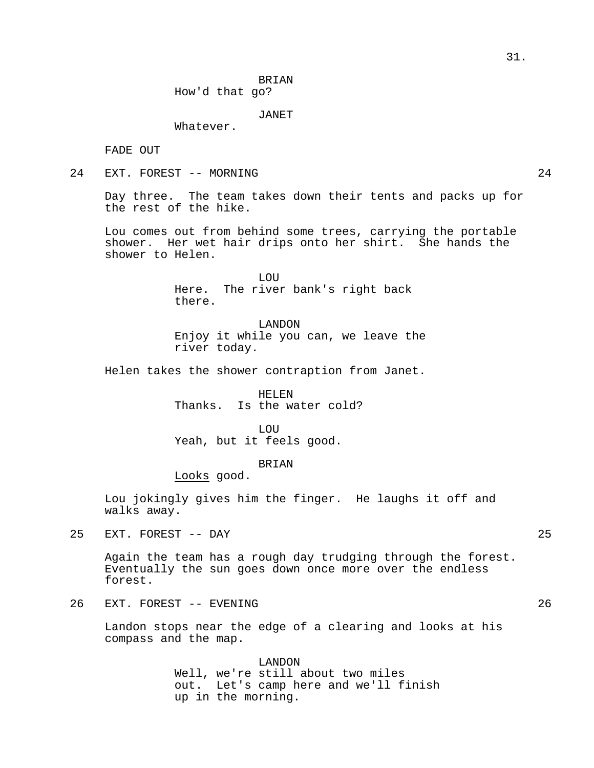BRIAN How'd that go?

JANET

Whatever.

FADE OUT

24 EXT. FOREST -- MORNING 24

Day three. The team takes down their tents and packs up for the rest of the hike.

Lou comes out from behind some trees, carrying the portable shower. Her wet hair drips onto her shirt. She hands the shower to Helen.

> LOU Here. The river bank's right back there.

LANDON Enjoy it while you can, we leave the river today.

Helen takes the shower contraption from Janet.

HELEN Thanks. Is the water cold?

LOU Yeah, but it feels good.

BRIAN

Looks good.

Lou jokingly gives him the finger. He laughs it off and walks away.

25 EXT. FOREST -- DAY 25

Again the team has a rough day trudging through the forest. Eventually the sun goes down once more over the endless forest.

26 EXT. FOREST -- EVENING 26

Landon stops near the edge of a clearing and looks at his compass and the map.

> LANDON Well, we're still about two miles out. Let's camp here and we'll finish up in the morning.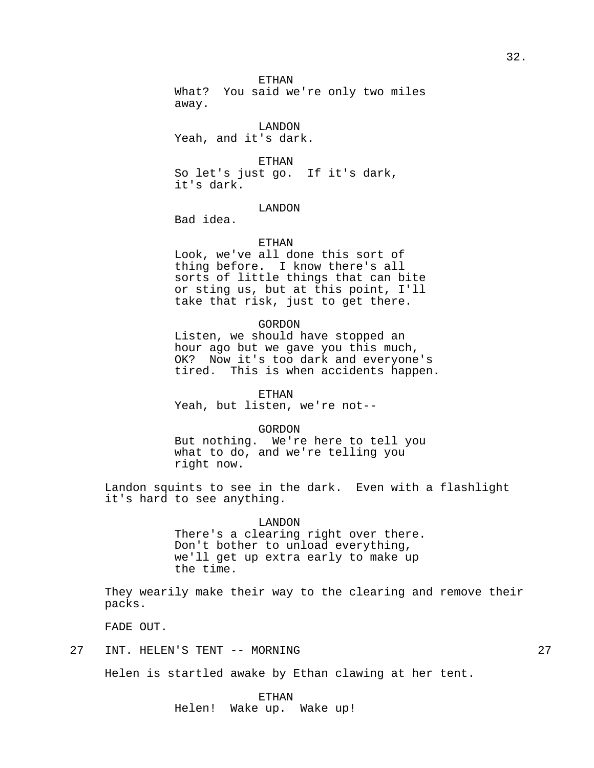ETHAN

What? You said we're only two miles away.

LANDON Yeah, and it's dark.

ETHAN So let's just go. If it's dark, it's dark.

# LANDON

Bad idea.

# ETHAN

Look, we've all done this sort of thing before. I know there's all sorts of little things that can bite or sting us, but at this point, I'll take that risk, just to get there.

# GORDON

Listen, we should have stopped an hour ago but we gave you this much, OK? Now it's too dark and everyone's tired. This is when accidents happen.

# ETHAN

Yeah, but listen, we're not--

#### GORDON

But nothing. We're here to tell you what to do, and we're telling you right now.

Landon squints to see in the dark. Even with a flashlight it's hard to see anything.

## LANDON

There's a clearing right over there. Don't bother to unload everything, we'll get up extra early to make up the time.

They wearily make their way to the clearing and remove their packs.

FADE OUT.

# 27 INT. HELEN'S TENT -- MORNING 27

Helen is startled awake by Ethan clawing at her tent.

# ETHAN

Helen! Wake up. Wake up!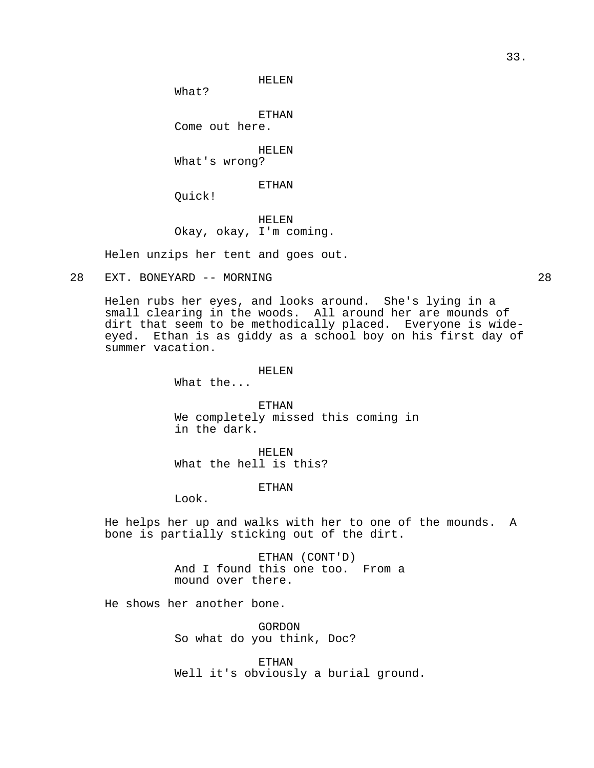HELEN

What?

ETHAN

Come out here.

HELEN

What's wrong?

ETHAN

Quick!

HELEN Okay, okay, I'm coming.

Helen unzips her tent and goes out.

28 EXT. BONEYARD -- MORNING 28

Helen rubs her eyes, and looks around. She's lying in a small clearing in the woods. All around her are mounds of dirt that seem to be methodically placed. Everyone is wideeyed. Ethan is as giddy as a school boy on his first day of summer vacation.

## HELEN

What the...

ETHAN We completely missed this coming in in the dark.

HELEN What the hell is this?

# ETHAN

Look.

He helps her up and walks with her to one of the mounds. A bone is partially sticking out of the dirt.

> ETHAN (CONT'D) And I found this one too. From a mound over there.

He shows her another bone.

GORDON So what do you think, Doc?

ETHAN Well it's obviously a burial ground.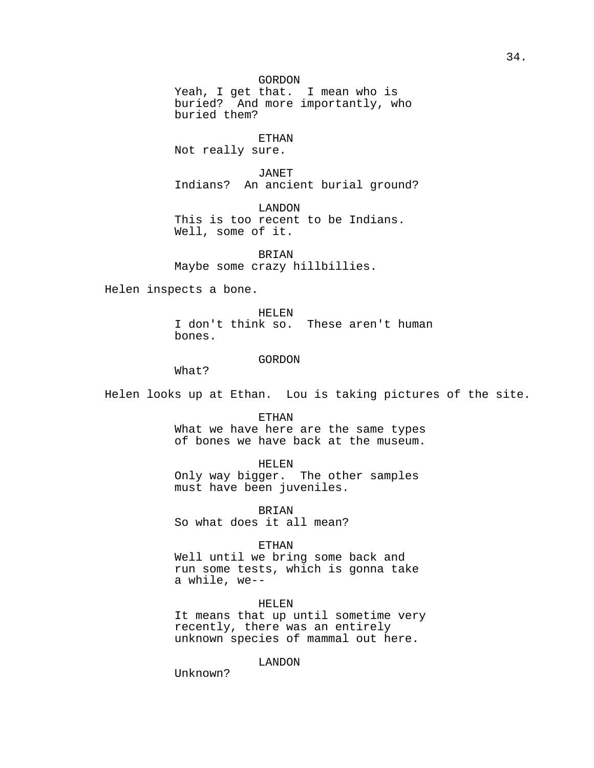# GORDON

Yeah, I get that. I mean who is buried? And more importantly, who buried them?

ETHAN

Not really sure.

JANET Indians? An ancient burial ground?

LANDON This is too recent to be Indians. Well, some of it.

BRIAN Maybe some crazy hillbillies.

Helen inspects a bone.

HELEN I don't think so. These aren't human bones.

## GORDON

What?

Helen looks up at Ethan. Lou is taking pictures of the site.

ETHAN

What we have here are the same types of bones we have back at the museum.

# HELEN

Only way bigger. The other samples must have been juveniles.

BRIAN So what does it all mean?

### ETHAN

Well until we bring some back and run some tests, which is gonna take a while, we--

## HELEN

It means that up until sometime very recently, there was an entirely unknown species of mammal out here.

LANDON

Unknown?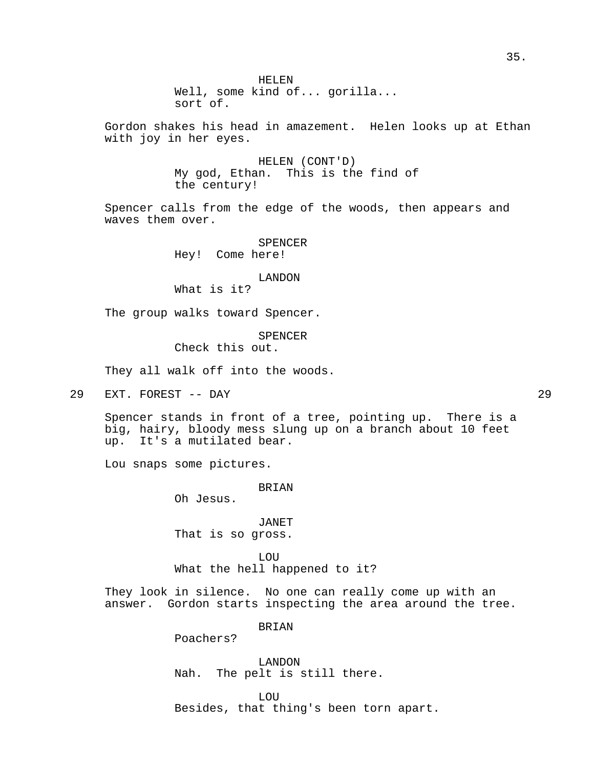Gordon shakes his head in amazement. Helen looks up at Ethan with joy in her eyes.

> HELEN (CONT'D) My god, Ethan. This is the find of the century!

Spencer calls from the edge of the woods, then appears and waves them over.

> SPENCER Hey! Come here!

#### LANDON

What is it?

The group walks toward Spencer.

# SPENCER

Check this out.

They all walk off into the woods.

29 EXT. FOREST -- DAY 29

Spencer stands in front of a tree, pointing up. There is a big, hairy, bloody mess slung up on a branch about 10 feet up. It's a mutilated bear.

Lou snaps some pictures.

**BRIAN** 

Oh Jesus.

JANET That is so gross.

LOU What the hell happened to it?

They look in silence. No one can really come up with an answer. Gordon starts inspecting the area around the tree.

BRIAN

Poachers?

LANDON Nah. The pelt is still there.

**LOU** Besides, that thing's been torn apart.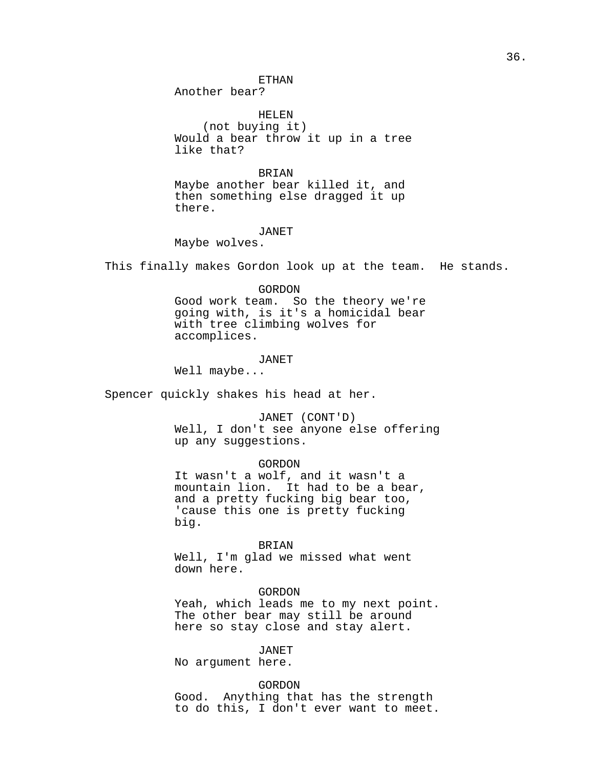ETHAN

Another bear?

HELEN (not buying it) Would a bear throw it up in a tree like that?

BRIAN

Maybe another bear killed it, and then something else dragged it up there.

#### JANET

Maybe wolves.

This finally makes Gordon look up at the team. He stands.

#### GORDON

Good work team. So the theory we're going with, is it's a homicidal bear with tree climbing wolves for accomplices.

#### JANET

Well maybe...

Spencer quickly shakes his head at her.

JANET (CONT'D) Well, I don't see anyone else offering up any suggestions.

#### GORDON

It wasn't a wolf, and it wasn't a mountain lion. It had to be a bear, and a pretty fucking big bear too, 'cause this one is pretty fucking big.

#### BRIAN

Well, I'm glad we missed what went down here.

## GORDON

Yeah, which leads me to my next point. The other bear may still be around here so stay close and stay alert.

#### JANET

No argument here.

#### GORDON

Good. Anything that has the strength to do this, I don't ever want to meet.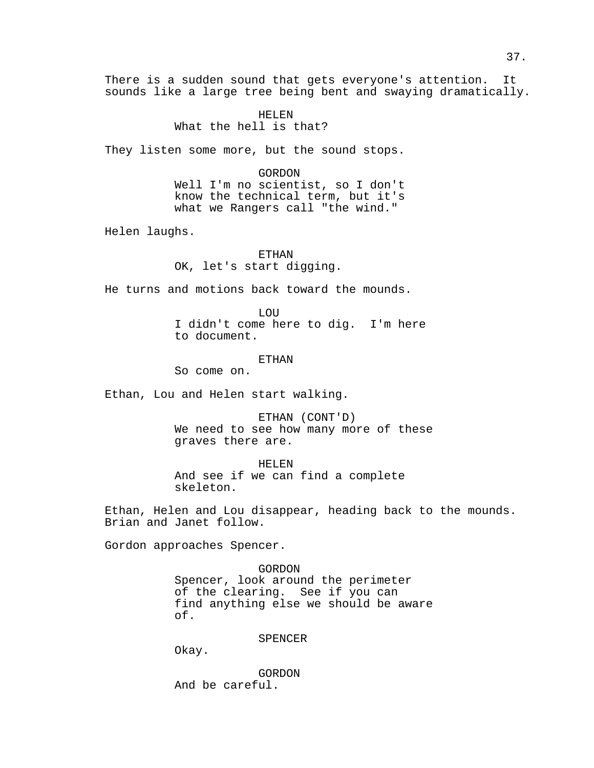There is a sudden sound that gets everyone's attention. It sounds like a large tree being bent and swaying dramatically.

> HELEN What the hell is that?

They listen some more, but the sound stops.

GORDON

Well I'm no scientist, so I don't know the technical term, but it's what we Rangers call "the wind."

Helen laughs.

ETHAN OK, let's start digging.

He turns and motions back toward the mounds.

**LOU** 

I didn't come here to dig. I'm here to document.

**ETHAN** 

So come on.

Ethan, Lou and Helen start walking.

ETHAN (CONT'D) We need to see how many more of these graves there are.

HELEN And see if we can find a complete skeleton.

Ethan, Helen and Lou disappear, heading back to the mounds. Brian and Janet follow.

Gordon approaches Spencer.

GORDON Spencer, look around the perimeter of the clearing. See if you can find anything else we should be aware of.

SPENCER

Okay.

GORDON And be careful.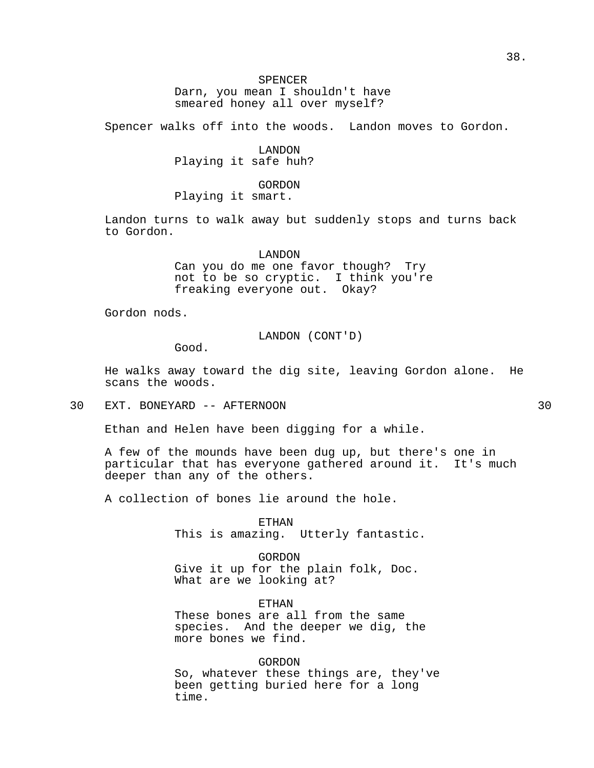# SPENCER

Darn, you mean I shouldn't have smeared honey all over myself?

Spencer walks off into the woods. Landon moves to Gordon.

LANDON Playing it safe huh?

GORDON

Playing it smart.

Landon turns to walk away but suddenly stops and turns back to Gordon.

LANDON

Can you do me one favor though? Try not to be so cryptic. I think you're freaking everyone out. Okay?

Gordon nods.

LANDON (CONT'D)

Good.

He walks away toward the dig site, leaving Gordon alone. He scans the woods.

30 EXT. BONEYARD -- AFTERNOON 30

Ethan and Helen have been digging for a while.

A few of the mounds have been dug up, but there's one in particular that has everyone gathered around it. It's much deeper than any of the others.

A collection of bones lie around the hole.

ETHAN This is amazing. Utterly fantastic.

GORDON Give it up for the plain folk, Doc. What are we looking at?

ETHAN These bones are all from the same species. And the deeper we dig, the more bones we find.

GORDON So, whatever these things are, they've been getting buried here for a long time.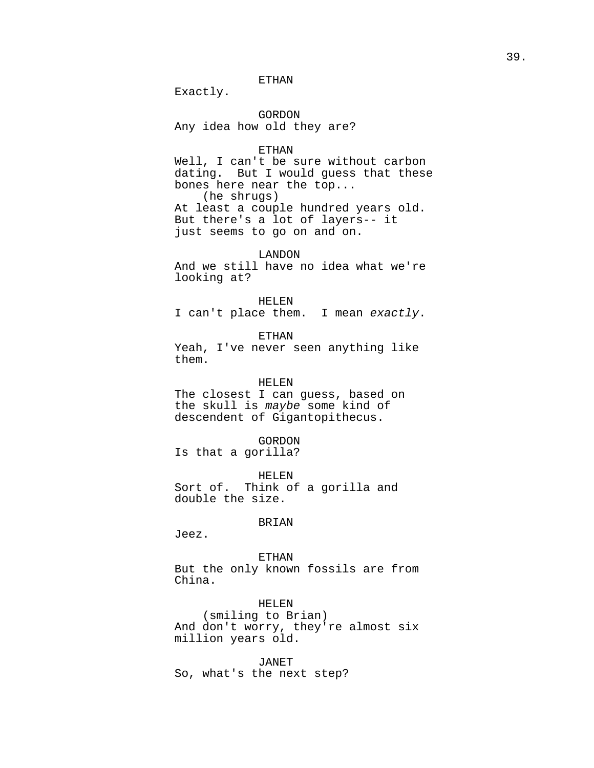# ETHAN

Exactly.

GORDON Any idea how old they are?

#### ETHAN

Well, I can't be sure without carbon dating. But I would guess that these bones here near the top... (he shrugs) At least a couple hundred years old. But there's a lot of layers-- it just seems to go on and on.

LANDON

And we still have no idea what we're looking at?

HELEN

I can't place them. I mean exactly.

ETHAN

Yeah, I've never seen anything like them.

HELEN

The closest I can guess, based on the skull is maybe some kind of descendent of Gigantopithecus.

GORDON

Is that a gorilla?

HELEN Sort of. Think of a gorilla and double the size.

#### BRIAN

Jeez.

ETHAN

But the only known fossils are from China.

HELEN (smiling to Brian) And don't worry, they're almost six million years old.

JANET So, what's the next step?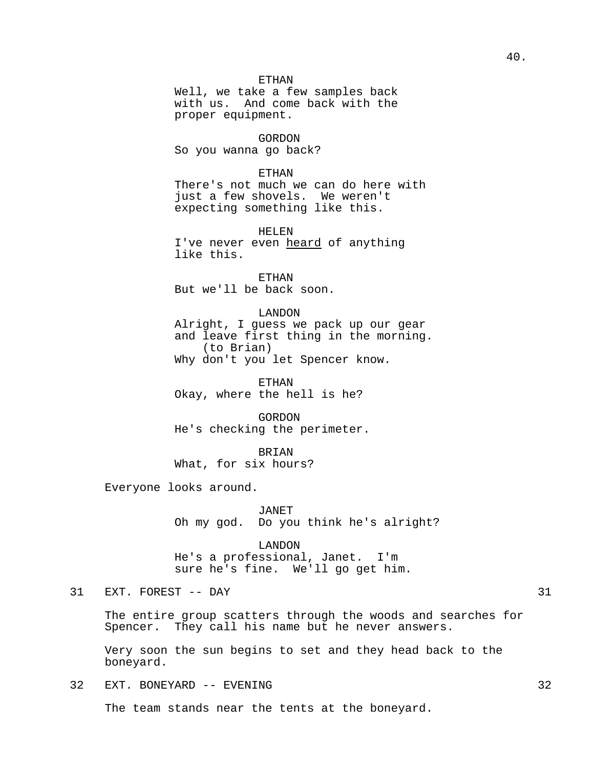# ETHAN

Well, we take a few samples back with us. And come back with the proper equipment.

GORDON So you wanna go back?

#### ETHAN

There's not much we can do here with just a few shovels. We weren't expecting something like this.

HELEN

I've never even heard of anything like this.

ETHAN But we'll be back soon.

# LANDON

Alright, I guess we pack up our gear and leave first thing in the morning. (to Brian) Why don't you let Spencer know.

ETHAN Okay, where the hell is he?

GORDON He's checking the perimeter.

BRIAN What, for six hours?

Everyone looks around.

JANET Oh my god. Do you think he's alright?

LANDON He's a professional, Janet. I'm sure he's fine. We'll go get him.

# 31 EXT. FOREST -- DAY 31

The entire group scatters through the woods and searches for Spencer. They call his name but he never answers.

Very soon the sun begins to set and they head back to the boneyard.

32 EXT. BONEYARD -- EVENING 32

The team stands near the tents at the boneyard.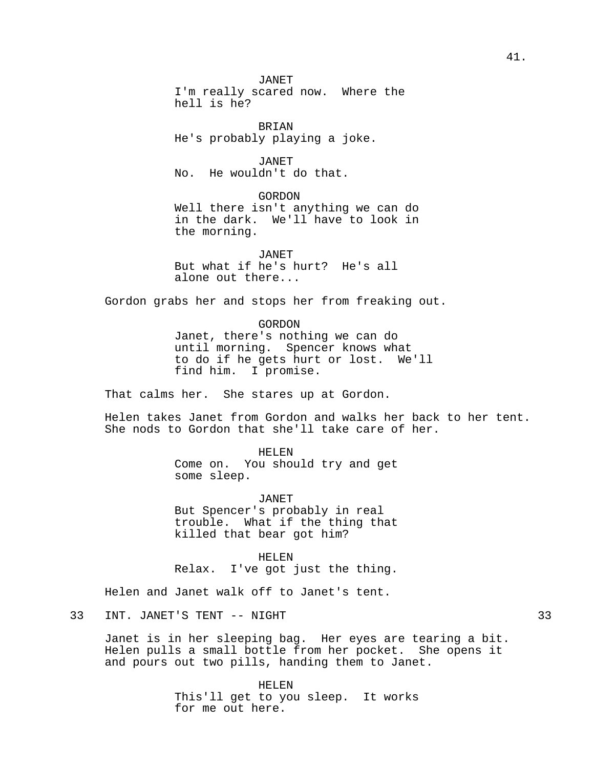JANET I'm really scared now. Where the hell is he?

BRIAN He's probably playing a joke.

JANET No. He wouldn't do that.

GORDON Well there isn't anything we can do in the dark. We'll have to look in the morning.

JANET But what if he's hurt? He's all alone out there...

Gordon grabs her and stops her from freaking out.

GORDON Janet, there's nothing we can do until morning. Spencer knows what to do if he gets hurt or lost. We'll find him. I promise.

That calms her. She stares up at Gordon.

Helen takes Janet from Gordon and walks her back to her tent. She nods to Gordon that she'll take care of her.

> HELEN Come on. You should try and get some sleep.

> JANET But Spencer's probably in real trouble. What if the thing that killed that bear got him?

> HELEN Relax. I've got just the thing.

Helen and Janet walk off to Janet's tent.

Janet is in her sleeping bag. Her eyes are tearing a bit. Helen pulls a small bottle from her pocket. She opens it and pours out two pills, handing them to Janet.

> HELEN This'll get to you sleep. It works for me out here.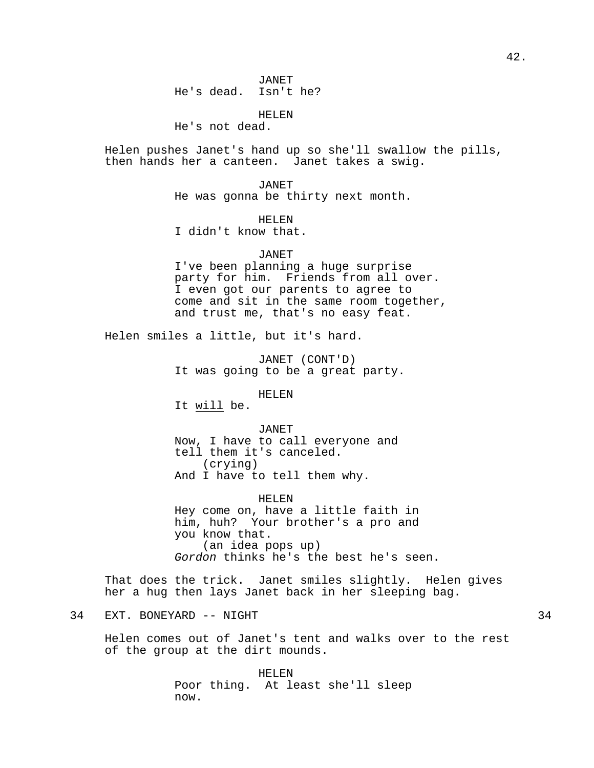HELEN He's not dead.

Helen pushes Janet's hand up so she'll swallow the pills, then hands her a canteen. Janet takes a swig.

> JANET He was gonna be thirty next month.

# HELEN

I didn't know that.

## JANET

I've been planning a huge surprise party for him. Friends from all over. I even got our parents to agree to come and sit in the same room together, and trust me, that's no easy feat.

Helen smiles a little, but it's hard.

JANET (CONT'D) It was going to be a great party.

HELEN

It will be.

JANET Now, I have to call everyone and tell them it's canceled. (crying)

And I have to tell them why.

HELEN Hey come on, have a little faith in him, huh? Your brother's a pro and you know that. (an idea pops up) Gordon thinks he's the best he's seen.

That does the trick. Janet smiles slightly. Helen gives her a hug then lays Janet back in her sleeping bag.

# 34 EXT. BONEYARD -- NIGHT 34

Helen comes out of Janet's tent and walks over to the rest of the group at the dirt mounds.

> HELEN Poor thing. At least she'll sleep now.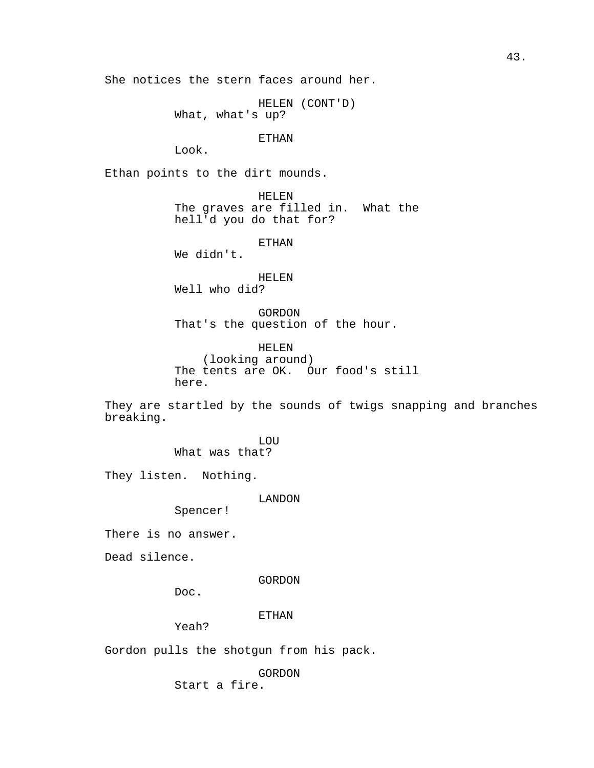She notices the stern faces around her.

HELEN (CONT'D) What, what's up?

## ETHAN

Look.

Ethan points to the dirt mounds.

HELEN The graves are filled in. What the hell'd you do that for?

# ETHAN

We didn't.

# HELEN

Well who did?

GORDON That's the question of the hour.

HELEN (looking around) The tents are OK. Our food's still here.

They are startled by the sounds of twigs snapping and branches breaking.

> LOU What was that?

They listen. Nothing.

LANDON

Spencer!

There is no answer.

Dead silence.

GORDON

Doc.

# ETHAN

Yeah?

Gordon pulls the shotgun from his pack.

GORDON Start a fire.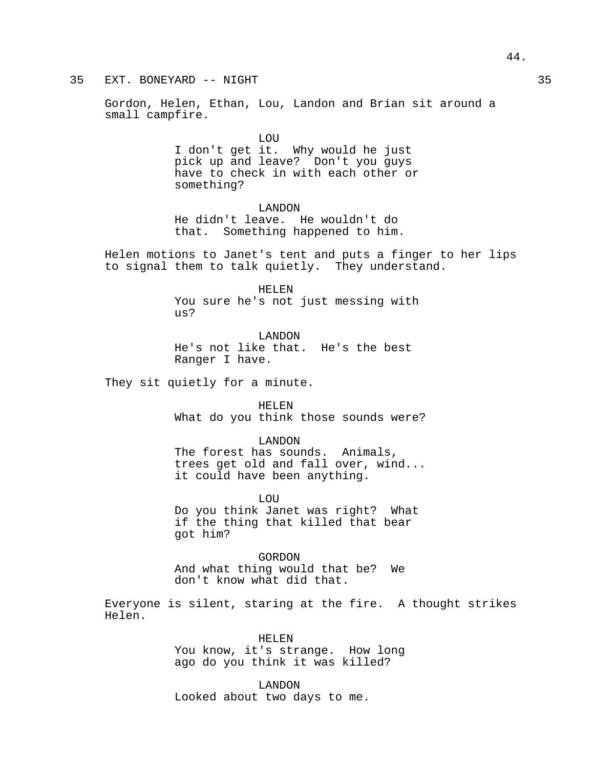# 35 EXT. BONEYARD -- NIGHT 35

Gordon, Helen, Ethan, Lou, Landon and Brian sit around a small campfire.

> LOU I don't get it. Why would he just pick up and leave? Don't you guys have to check in with each other or something?

LANDON He didn't leave. He wouldn't do that. Something happened to him.

Helen motions to Janet's tent and puts a finger to her lips to signal them to talk quietly. They understand.

> HELEN You sure he's not just messing with us?

LANDON He's not like that. He's the best Ranger I have.

They sit quietly for a minute.

HELEN What do you think those sounds were?

LANDON The forest has sounds. Animals, trees get old and fall over, wind... it could have been anything.

LOU Do you think Janet was right? What if the thing that killed that bear got him?

GORDON And what thing would that be? We don't know what did that.

Everyone is silent, staring at the fire. A thought strikes Helen.

> HELEN You know, it's strange. How long ago do you think it was killed?

LANDON Looked about two days to me.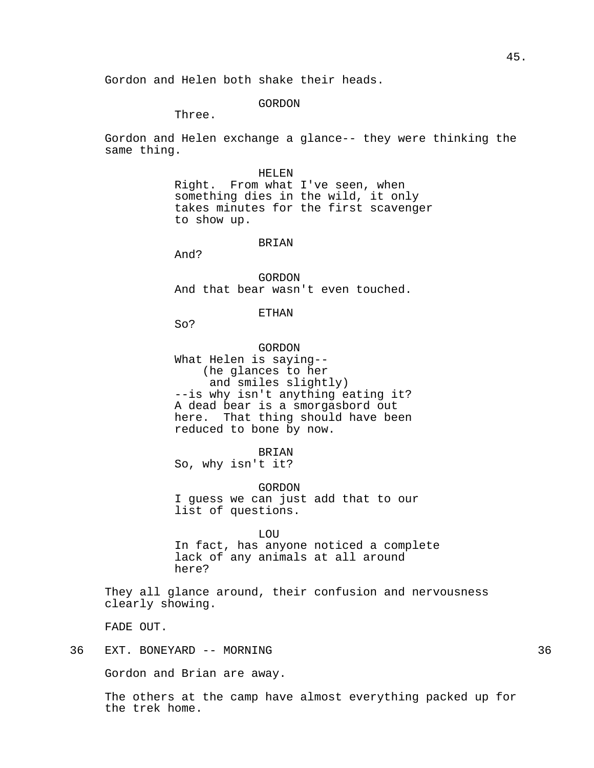Gordon and Helen both shake their heads.

# GORDON

Three.

Gordon and Helen exchange a glance-- they were thinking the same thing.

HELEN

Right. From what I've seen, when something dies in the wild, it only takes minutes for the first scavenger to show up.

## BRIAN

And?

GORDON And that bear wasn't even touched.

## ETHAN

So?

GORDON What Helen is saying-- (he glances to her and smiles slightly) --is why isn't anything eating it? A dead bear is a smorgasbord out here. That thing should have been reduced to bone by now.

BRIAN

So, why isn't it?

GORDON I guess we can just add that to our list of questions.

LOU In fact, has anyone noticed a complete lack of any animals at all around here?

They all glance around, their confusion and nervousness clearly showing.

FADE OUT.

36 EXT. BONEYARD -- MORNING 36

Gordon and Brian are away.

The others at the camp have almost everything packed up for the trek home.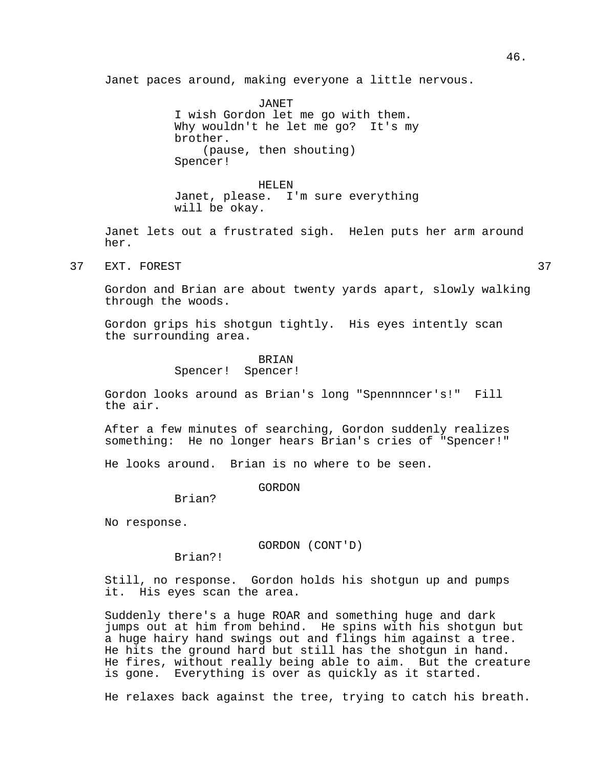Janet paces around, making everyone a little nervous.

JANET I wish Gordon let me go with them. Why wouldn't he let me go? It's my brother. (pause, then shouting) Spencer!

HELEN Janet, please. I'm sure everything will be okay.

Janet lets out a frustrated sigh. Helen puts her arm around her.

37 EXT. FOREST 37

Gordon and Brian are about twenty yards apart, slowly walking through the woods.

Gordon grips his shotgun tightly. His eyes intently scan the surrounding area.

# **BRIAN**

Spencer! Spencer!

Gordon looks around as Brian's long "Spennnncer's!" Fill the air.

After a few minutes of searching, Gordon suddenly realizes something: He no longer hears Brian's cries of "Spencer!"

He looks around. Brian is no where to be seen.

GORDON

Brian?

No response.

GORDON (CONT'D)

Brian?!

Still, no response. Gordon holds his shotgun up and pumps it. His eyes scan the area.

Suddenly there's a huge ROAR and something huge and dark jumps out at him from behind. He spins with his shotgun but a huge hairy hand swings out and flings him against a tree. He hits the ground hard but still has the shotgun in hand. He fires, without really being able to aim. But the creature is gone. Everything is over as quickly as it started.

He relaxes back against the tree, trying to catch his breath.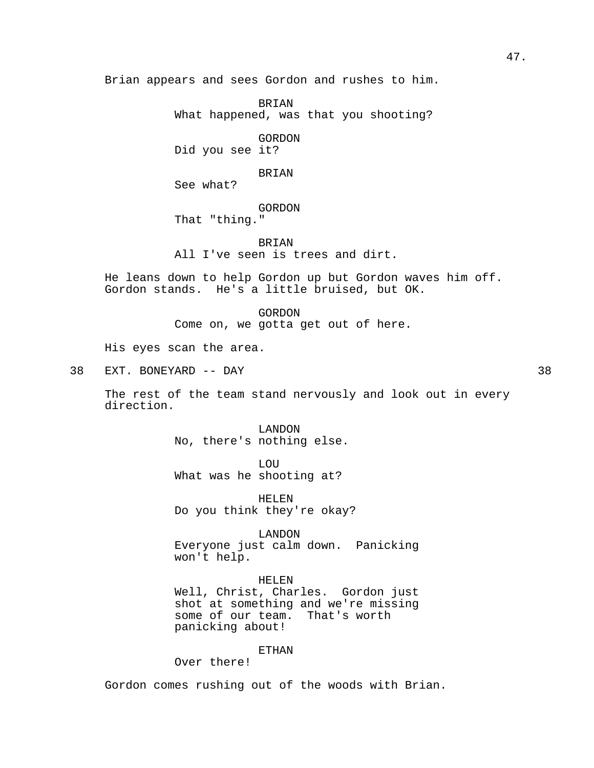Brian appears and sees Gordon and rushes to him.

BRIAN What happened, was that you shooting?

GORDON Did you see it?

BRIAN

See what?

GORDON That "thing."

BRIAN All I've seen is trees and dirt.

He leans down to help Gordon up but Gordon waves him off. Gordon stands. He's a little bruised, but OK.

> GORDON Come on, we gotta get out of here.

His eyes scan the area.

38 EXT. BONEYARD -- DAY 38

The rest of the team stand nervously and look out in every direction.

> LANDON No, there's nothing else.

LOU What was he shooting at?

HELEN Do you think they're okay?

LANDON Everyone just calm down. Panicking won't help.

HELEN Well, Christ, Charles. Gordon just shot at something and we're missing some of our team. That's worth panicking about!

# ETHAN

Over there!

Gordon comes rushing out of the woods with Brian.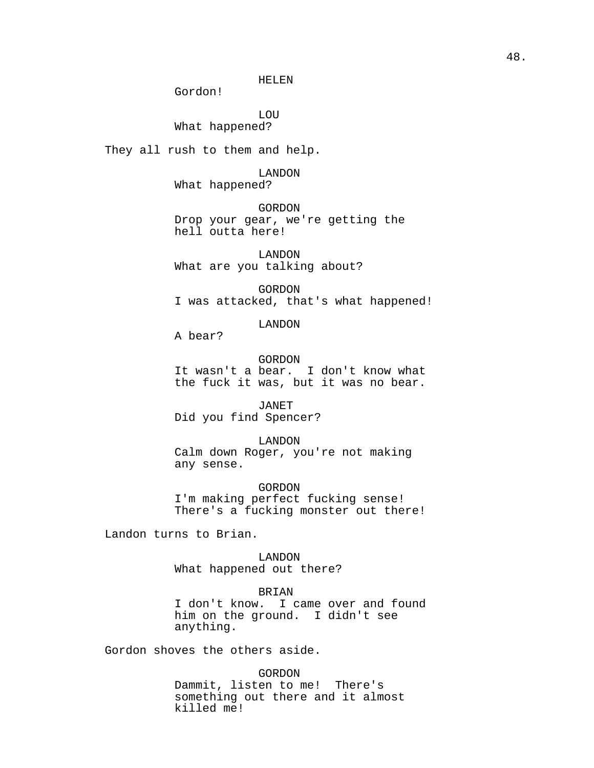HELEN

Gordon!

LOU What happened?

They all rush to them and help.

LANDON What happened?

GORDON Drop your gear, we're getting the hell outta here!

LANDON What are you talking about?

GORDON I was attacked, that's what happened!

LANDON

A bear?

GORDON It wasn't a bear. I don't know what the fuck it was, but it was no bear.

JANET Did you find Spencer?

LANDON Calm down Roger, you're not making any sense.

GORDON I'm making perfect fucking sense! There's a fucking monster out there!

Landon turns to Brian.

LANDON What happened out there?

BRIAN

I don't know. I came over and found him on the ground. I didn't see anything.

Gordon shoves the others aside.

GORDON

Dammit, listen to me! There's something out there and it almost killed me!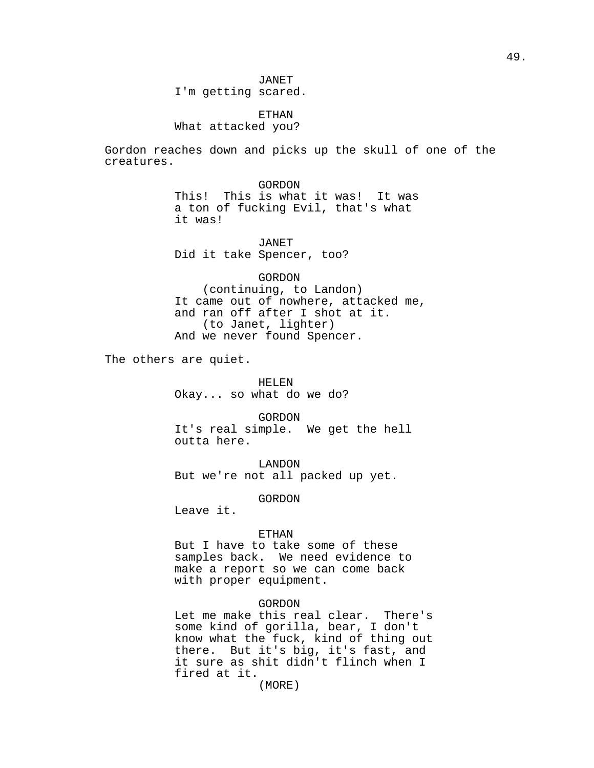JANET I'm getting scared.

ETHAN What attacked you?

Gordon reaches down and picks up the skull of one of the creatures.

> GORDON This! This is what it was! It was a ton of fucking Evil, that's what it was!

JANET Did it take Spencer, too?

GORDON (continuing, to Landon) It came out of nowhere, attacked me, and ran off after I shot at it. (to Janet, lighter) And we never found Spencer.

The others are quiet.

HELEN Okay... so what do we do?

GORDON It's real simple. We get the hell outta here.

LANDON But we're not all packed up yet.

GORDON

Leave it.

# ETHAN

But I have to take some of these samples back. We need evidence to make a report so we can come back with proper equipment.

#### GORDON

Let me make this real clear. There's some kind of gorilla, bear, I don't know what the fuck, kind of thing out there. But it's big, it's fast, and it sure as shit didn't flinch when I fired at it.

(MORE)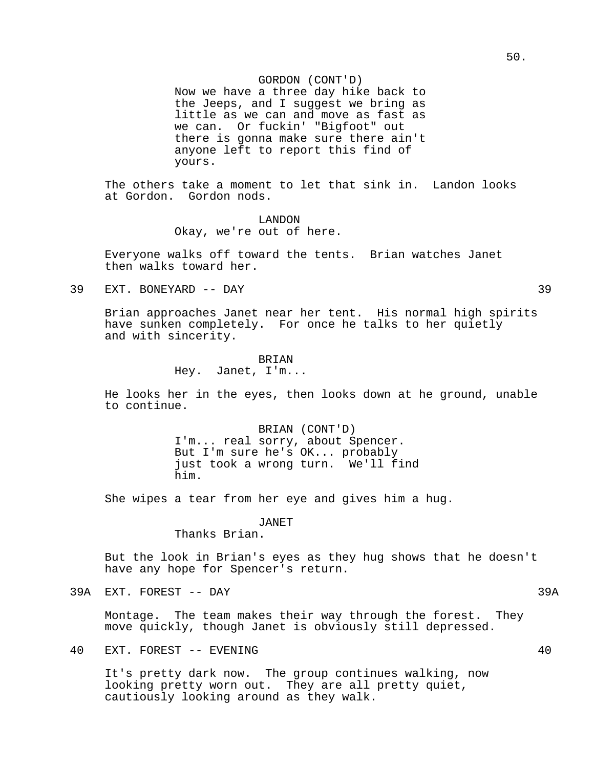# GORDON (CONT'D)

Now we have a three day hike back to the Jeeps, and I suggest we bring as little as we can and move as fast as we can. Or fuckin' "Bigfoot" out there is gonna make sure there ain't anyone left to report this find of yours.

The others take a moment to let that sink in. Landon looks at Gordon. Gordon nods.

> LANDON Okay, we're out of here.

Everyone walks off toward the tents. Brian watches Janet then walks toward her.

39 EXT. BONEYARD -- DAY 39

Brian approaches Janet near her tent. His normal high spirits have sunken completely. For once he talks to her quietly and with sincerity.

#### BRIAN

Hey. Janet, I'm...

He looks her in the eyes, then looks down at he ground, unable to continue.

> BRIAN (CONT'D) I'm... real sorry, about Spencer. But I'm sure he's OK... probably just took a wrong turn. We'll find him.

She wipes a tear from her eye and gives him a hug.

## JANET

Thanks Brian.

But the look in Brian's eyes as they hug shows that he doesn't have any hope for Spencer's return.

39A EXT. FOREST -- DAY 39A

Montage. The team makes their way through the forest. They move quickly, though Janet is obviously still depressed.

40 EXT. FOREST -- EVENING 40

It's pretty dark now. The group continues walking, now looking pretty worn out. They are all pretty quiet, cautiously looking around as they walk.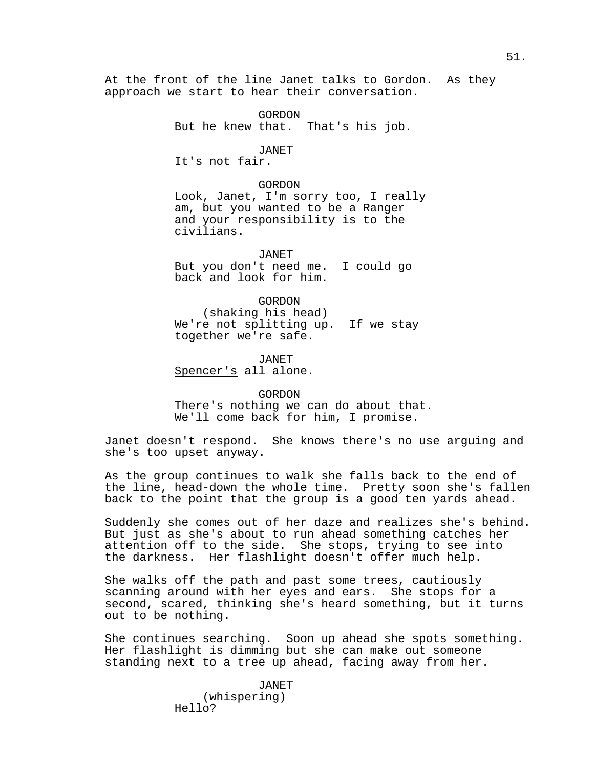At the front of the line Janet talks to Gordon. As they approach we start to hear their conversation.

> GORDON But he knew that. That's his job.

> > JANET

It's not fair.

#### GORDON

Look, Janet, I'm sorry too, I really am, but you wanted to be a Ranger and your responsibility is to the civilians.

JANET But you don't need me. I could go back and look for him.

GORDON (shaking his head) We're not splitting up. If we stay together we're safe.

JANET Spencer's all alone.

GORDON There's nothing we can do about that. We'll come back for him, I promise.

Janet doesn't respond. She knows there's no use arguing and she's too upset anyway.

As the group continues to walk she falls back to the end of the line, head-down the whole time. Pretty soon she's fallen back to the point that the group is a good ten yards ahead.

Suddenly she comes out of her daze and realizes she's behind. But just as she's about to run ahead something catches her attention off to the side. She stops, trying to see into the darkness. Her flashlight doesn't offer much help.

She walks off the path and past some trees, cautiously scanning around with her eyes and ears. She stops for a second, scared, thinking she's heard something, but it turns out to be nothing.

She continues searching. Soon up ahead she spots something. Her flashlight is dimming but she can make out someone standing next to a tree up ahead, facing away from her.

> JANET (whispering) Hello?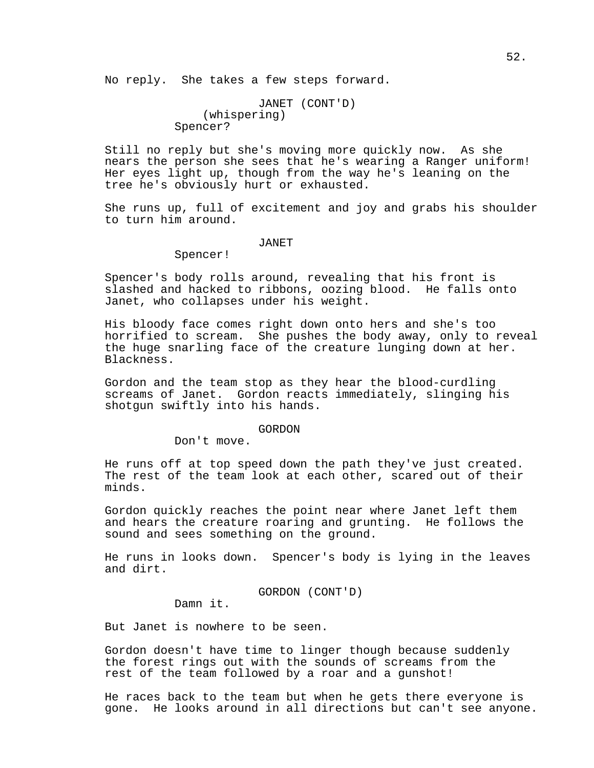No reply. She takes a few steps forward.

```
JANET (CONT'D)
    (whispering)
Spencer?
```
Still no reply but she's moving more quickly now. As she nears the person she sees that he's wearing a Ranger uniform! Her eyes light up, though from the way he's leaning on the tree he's obviously hurt or exhausted.

She runs up, full of excitement and joy and grabs his shoulder to turn him around.

## JANET

Spencer!

Spencer's body rolls around, revealing that his front is slashed and hacked to ribbons, oozing blood. He falls onto Janet, who collapses under his weight.

His bloody face comes right down onto hers and she's too horrified to scream. She pushes the body away, only to reveal the huge snarling face of the creature lunging down at her. Blackness.

Gordon and the team stop as they hear the blood-curdling screams of Janet. Gordon reacts immediately, slinging his shotgun swiftly into his hands.

#### GORDON

Don't move.

He runs off at top speed down the path they've just created. The rest of the team look at each other, scared out of their minds.

Gordon quickly reaches the point near where Janet left them and hears the creature roaring and grunting. He follows the sound and sees something on the ground.

He runs in looks down. Spencer's body is lying in the leaves and dirt.

GORDON (CONT'D)

Damn it.

But Janet is nowhere to be seen.

Gordon doesn't have time to linger though because suddenly the forest rings out with the sounds of screams from the rest of the team followed by a roar and a gunshot!

He races back to the team but when he gets there everyone is gone. He looks around in all directions but can't see anyone.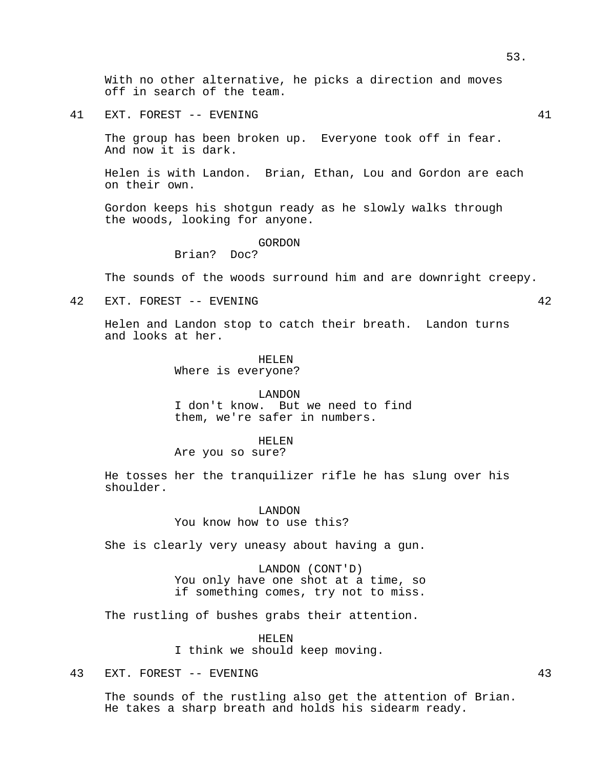41 EXT. FOREST -- EVENING 41

off in search of the team.

The group has been broken up. Everyone took off in fear. And now it is dark.

Helen is with Landon. Brian, Ethan, Lou and Gordon are each on their own.

Gordon keeps his shotgun ready as he slowly walks through the woods, looking for anyone.

#### GORDON

Brian? Doc?

The sounds of the woods surround him and are downright creepy.

42 EXT. FOREST -- EVENING 42

Helen and Landon stop to catch their breath. Landon turns and looks at her.

# HELEN

Where is everyone?

#### LANDON

I don't know. But we need to find them, we're safer in numbers.

#### HELEN

Are you so sure?

He tosses her the tranquilizer rifle he has slung over his shoulder.

> LANDON You know how to use this?

She is clearly very uneasy about having a gun.

LANDON (CONT'D) You only have one shot at a time, so if something comes, try not to miss.

The rustling of bushes grabs their attention.

HELEN

I think we should keep moving.

# 43 EXT. FOREST -- EVENING 43

The sounds of the rustling also get the attention of Brian. He takes a sharp breath and holds his sidearm ready.

53.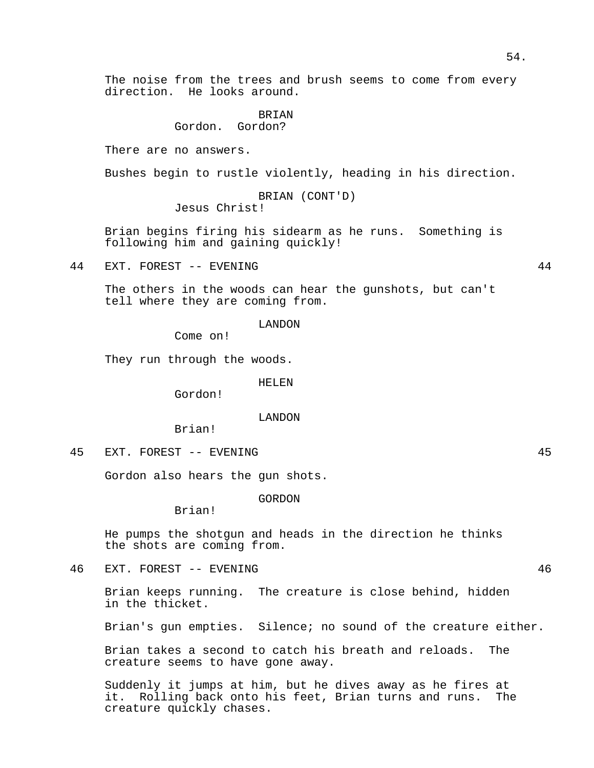The noise from the trees and brush seems to come from every direction. He looks around.

> **BRIAN** Gordon. Gordon?

There are no answers.

Bushes begin to rustle violently, heading in his direction.

BRIAN (CONT'D) Jesus Christ!

Brian begins firing his sidearm as he runs. Something is following him and gaining quickly!

44 EXT. FOREST -- EVENING 44

The others in the woods can hear the gunshots, but can't tell where they are coming from.

LANDON

Come on!

They run through the woods.

HELEN

Gordon!

LANDON

Brian!

45 EXT. FOREST -- EVENING 45

Gordon also hears the gun shots.

GORDON

Brian!

He pumps the shotgun and heads in the direction he thinks the shots are coming from.

46 EXT. FOREST -- EVENING 46

Brian keeps running. The creature is close behind, hidden in the thicket.

Brian's gun empties. Silence; no sound of the creature either.

Brian takes a second to catch his breath and reloads. The creature seems to have gone away.

Suddenly it jumps at him, but he dives away as he fires at it. Rolling back onto his feet, Brian turns and runs. The creature quickly chases.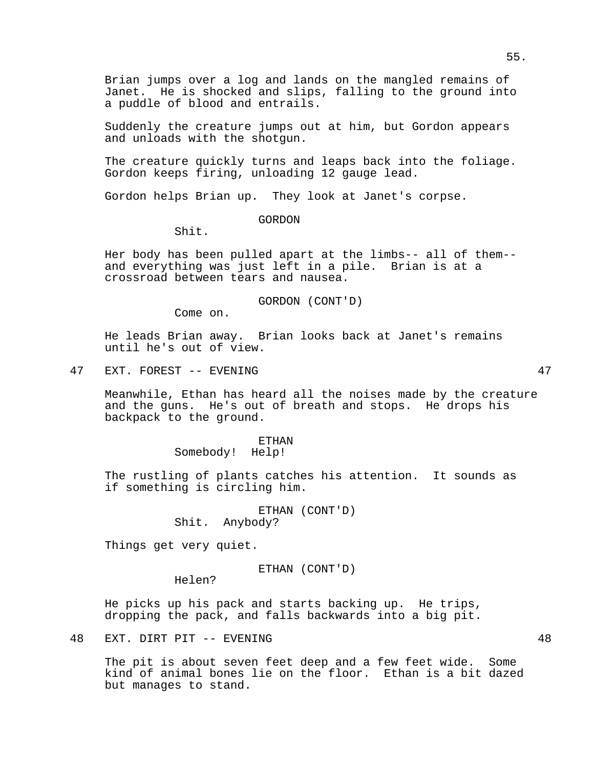Brian jumps over a log and lands on the mangled remains of Janet. He is shocked and slips, falling to the ground into a puddle of blood and entrails.

Suddenly the creature jumps out at him, but Gordon appears and unloads with the shotgun.

The creature quickly turns and leaps back into the foliage. Gordon keeps firing, unloading 12 gauge lead.

Gordon helps Brian up. They look at Janet's corpse.

GORDON

Shit.

Her body has been pulled apart at the limbs-- all of them- and everything was just left in a pile. Brian is at a crossroad between tears and nausea.

GORDON (CONT'D)

Come on.

He leads Brian away. Brian looks back at Janet's remains until he's out of view.

47 EXT. FOREST -- EVENING 47

Meanwhile, Ethan has heard all the noises made by the creature and the guns. He's out of breath and stops. He drops his backpack to the ground.

> ETHAN Somebody! Help!

The rustling of plants catches his attention. It sounds as if something is circling him.

> ETHAN (CONT'D) Shit. Anybody?

Things get very quiet.

ETHAN (CONT'D)

Helen?

He picks up his pack and starts backing up. He trips, dropping the pack, and falls backwards into a big pit.

48 EXT. DIRT PIT -- EVENING 48

The pit is about seven feet deep and a few feet wide. Some kind of animal bones lie on the floor. Ethan is a bit dazed but manages to stand.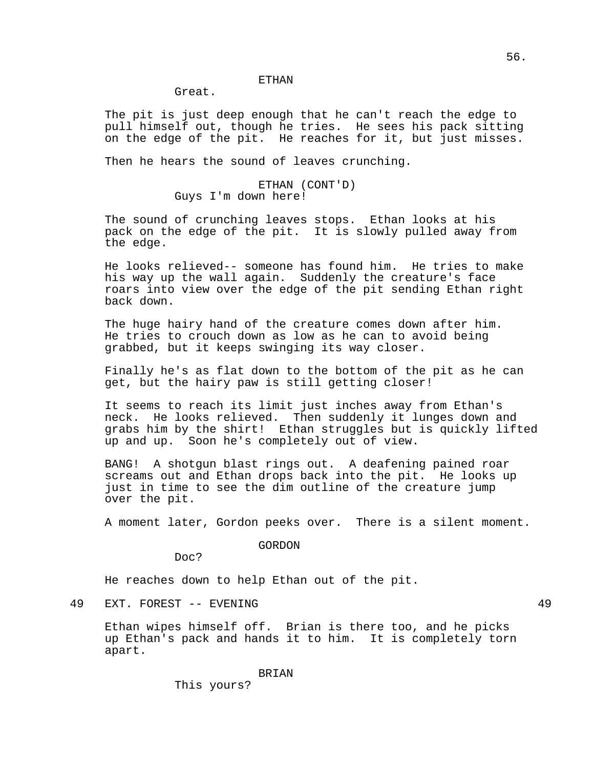Great.

The pit is just deep enough that he can't reach the edge to pull himself out, though he tries. He sees his pack sitting on the edge of the pit. He reaches for it, but just misses.

Then he hears the sound of leaves crunching.

ETHAN (CONT'D) Guys I'm down here!

The sound of crunching leaves stops. Ethan looks at his pack on the edge of the pit. It is slowly pulled away from the edge.

He looks relieved-- someone has found him. He tries to make his way up the wall again. Suddenly the creature's face roars into view over the edge of the pit sending Ethan right back down.

The huge hairy hand of the creature comes down after him. He tries to crouch down as low as he can to avoid being grabbed, but it keeps swinging its way closer.

Finally he's as flat down to the bottom of the pit as he can get, but the hairy paw is still getting closer!

It seems to reach its limit just inches away from Ethan's neck. He looks relieved. Then suddenly it lunges down and grabs him by the shirt! Ethan struggles but is quickly lifted up and up. Soon he's completely out of view.

BANG! A shotgun blast rings out. A deafening pained roar screams out and Ethan drops back into the pit. He looks up just in time to see the dim outline of the creature jump over the pit.

A moment later, Gordon peeks over. There is a silent moment.

GORDON

Doc?

He reaches down to help Ethan out of the pit.

49 EXT. FOREST -- EVENING 49

Ethan wipes himself off. Brian is there too, and he picks up Ethan's pack and hands it to him. It is completely torn apart.

BRIAN

This yours?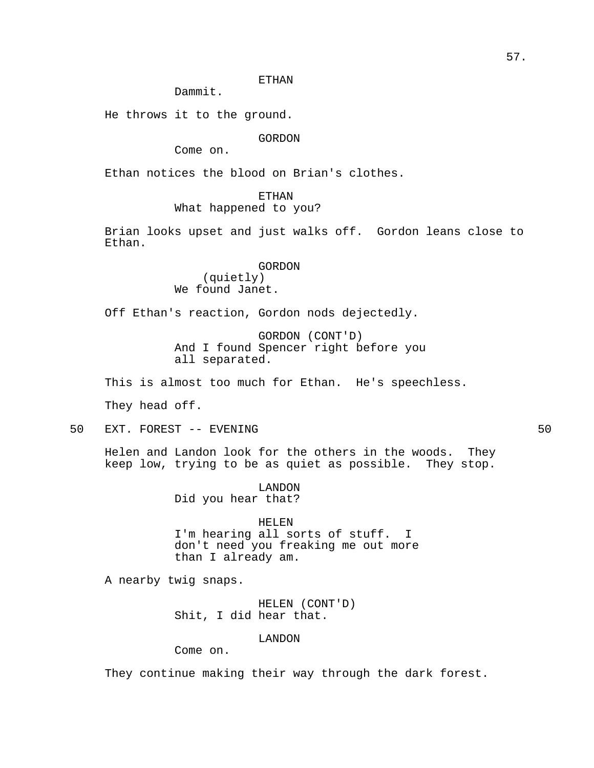# ETHAN

Dammit.

He throws it to the ground.

GORDON

Come on.

Ethan notices the blood on Brian's clothes.

ETHAN

What happened to you?

Brian looks upset and just walks off. Gordon leans close to Ethan.

> GORDON (quietly) We found Janet.

Off Ethan's reaction, Gordon nods dejectedly.

GORDON (CONT'D) And I found Spencer right before you all separated.

This is almost too much for Ethan. He's speechless.

They head off.

50 EXT. FOREST -- EVENING 50

Helen and Landon look for the others in the woods. They keep low, trying to be as quiet as possible. They stop.

> LANDON Did you hear that?

HELEN I'm hearing all sorts of stuff. I

don't need you freaking me out more than I already am.

A nearby twig snaps.

HELEN (CONT'D) Shit, I did hear that.

LANDON

Come on.

They continue making their way through the dark forest.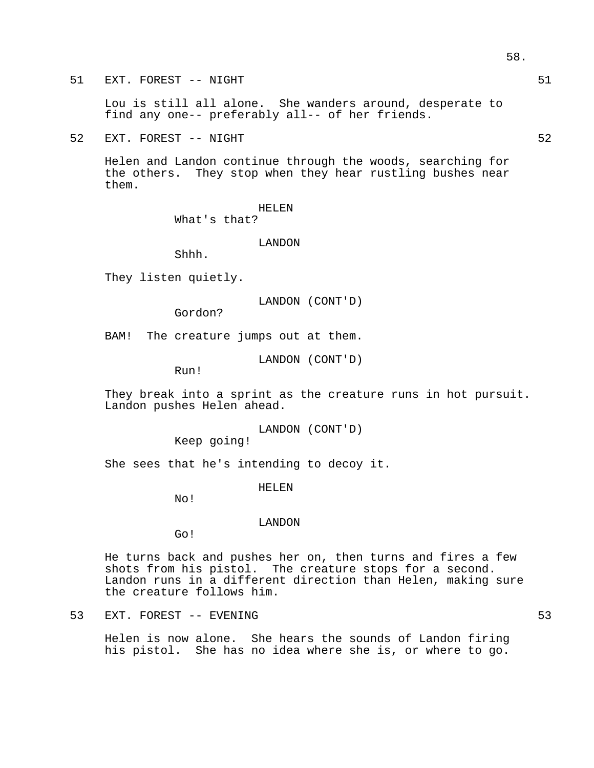51 EXT. FOREST -- NIGHT

Lou is still all alone. She wanders around, desperate to find any one-- preferably all-- of her friends.

52 EXT. FOREST -- NIGHT

Helen and Landon continue through the woods, searching for the others. They stop when they hear rustling bushes near them.

> HELEN What's that?

> > LANDON

Shhh.

They listen quietly.

LANDON (CONT'D)

Gordon?

BAM! The creature jumps out at them.

LANDON (CONT'D)

Run!

They break into a sprint as the creature runs in hot pursuit. Landon pushes Helen ahead.

LANDON (CONT'D)

Keep going!

She sees that he's intending to decoy it.

HELEN

No!

#### LANDON

Go!

He turns back and pushes her on, then turns and fires a few shots from his pistol. The creature stops for a second. Landon runs in a different direction than Helen, making sure the creature follows him.

53 EXT. FOREST -- EVENING 53

Helen is now alone. She hears the sounds of Landon firing his pistol. She has no idea where she is, or where to go.

58.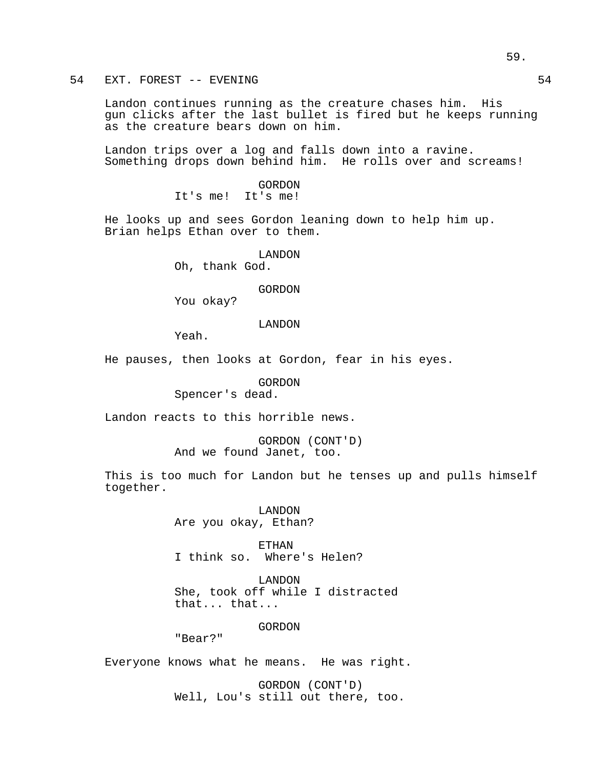54 EXT. FOREST -- EVENING 54

Landon continues running as the creature chases him. His gun clicks after the last bullet is fired but he keeps running as the creature bears down on him.

Landon trips over a log and falls down into a ravine. Something drops down behind him. He rolls over and screams!

> GORDON It's me! It's me!

He looks up and sees Gordon leaning down to help him up. Brian helps Ethan over to them.

LANDON

Oh, thank God.

GORDON

You okay?

LANDON

Yeah.

He pauses, then looks at Gordon, fear in his eyes.

GORDON

Spencer's dead.

Landon reacts to this horrible news.

GORDON (CONT'D) And we found Janet, too.

This is too much for Landon but he tenses up and pulls himself together.

> LANDON Are you okay, Ethan?

ETHAN I think so. Where's Helen?

LANDON She, took off while I distracted that... that...

GORDON

"Bear?"

Everyone knows what he means. He was right.

GORDON (CONT'D) Well, Lou's still out there, too.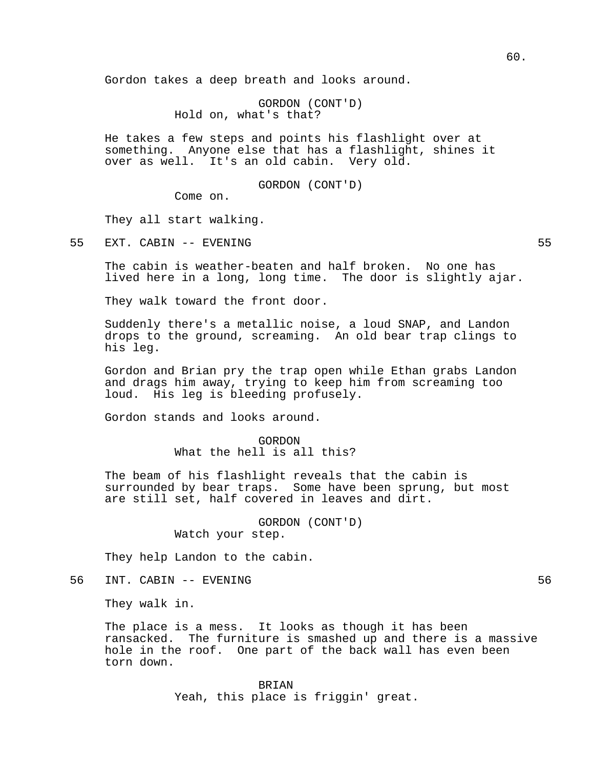Gordon takes a deep breath and looks around.

GORDON (CONT'D) Hold on, what's that?

He takes a few steps and points his flashlight over at something. Anyone else that has a flashlight, shines it over as well. It's an old cabin. Very old.

# GORDON (CONT'D)

Come on.

They all start walking.

55 EXT. CABIN -- EVENING 55

The cabin is weather-beaten and half broken. No one has lived here in a long, long time. The door is slightly ajar.

They walk toward the front door.

Suddenly there's a metallic noise, a loud SNAP, and Landon drops to the ground, screaming. An old bear trap clings to his leg.

Gordon and Brian pry the trap open while Ethan grabs Landon and drags him away, trying to keep him from screaming too loud. His leg is bleeding profusely.

Gordon stands and looks around.

GORDON What the hell is all this?

The beam of his flashlight reveals that the cabin is surrounded by bear traps. Some have been sprung, but most are still set, half covered in leaves and dirt.

> GORDON (CONT'D) Watch your step.

They help Landon to the cabin.

56 INT. CABIN -- EVENING 56

They walk in.

The place is a mess. It looks as though it has been ransacked. The furniture is smashed up and there is a massive hole in the roof. One part of the back wall has even been torn down.

> BRIAN Yeah, this place is friggin' great.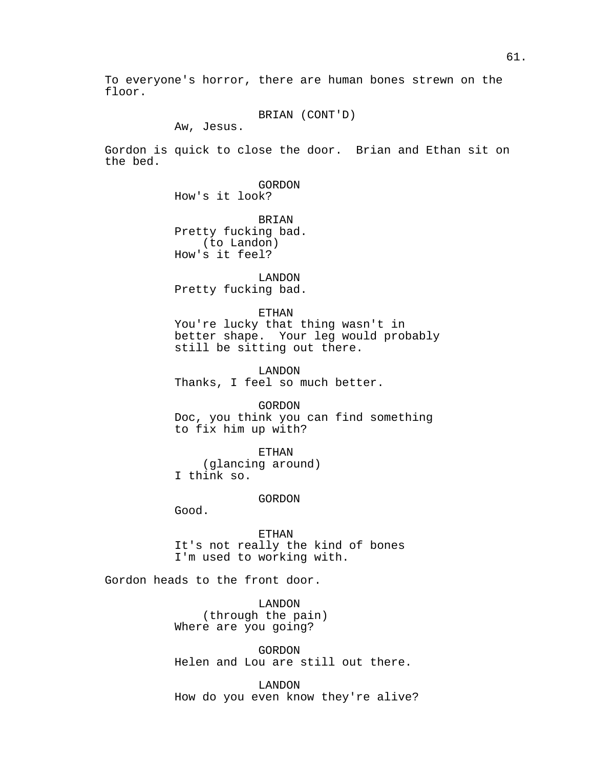To everyone's horror, there are human bones strewn on the floor.

BRIAN (CONT'D)

Aw, Jesus.

Gordon is quick to close the door. Brian and Ethan sit on the bed.

GORDON

How's it look?

BRIAN Pretty fucking bad. (to Landon) How's it feel?

LANDON Pretty fucking bad.

#### ETHAN

You're lucky that thing wasn't in better shape. Your leg would probably still be sitting out there.

LANDON Thanks, I feel so much better.

GORDON Doc, you think you can find something to fix him up with?

ETHAN (glancing around) I think so.

#### GORDON

Good.

ETHAN It's not really the kind of bones I'm used to working with.

Gordon heads to the front door.

LANDON (through the pain) Where are you going?

GORDON Helen and Lou are still out there.

LANDON How do you even know they're alive?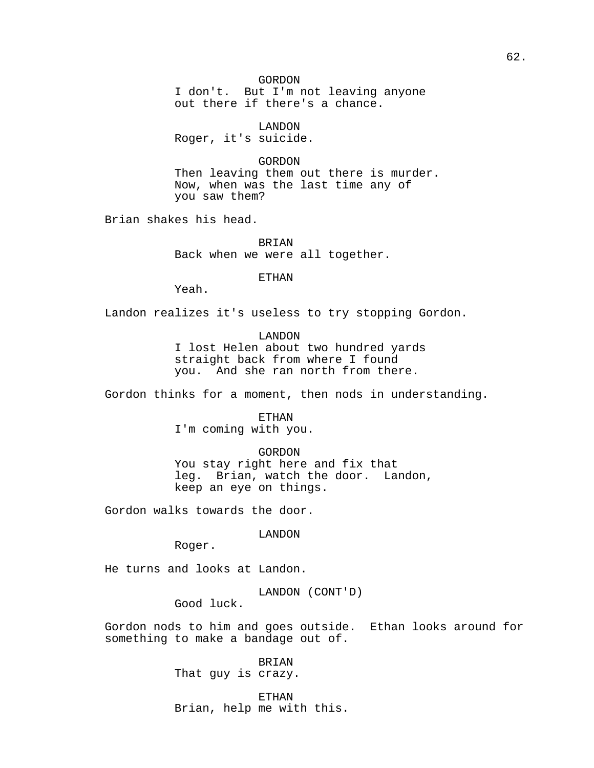# GORDON

I don't. But I'm not leaving anyone out there if there's a chance.

LANDON Roger, it's suicide.

## GORDON

Then leaving them out there is murder. Now, when was the last time any of you saw them?

Brian shakes his head.

BRIAN Back when we were all together.

ETHAN

Yeah.

Landon realizes it's useless to try stopping Gordon.

#### LANDON

I lost Helen about two hundred yards straight back from where I found you. And she ran north from there.

Gordon thinks for a moment, then nods in understanding.

ETHAN I'm coming with you.

GORDON You stay right here and fix that leg. Brian, watch the door. Landon, keep an eye on things.

Gordon walks towards the door.

LANDON

Roger.

He turns and looks at Landon.

LANDON (CONT'D)

Good luck.

Gordon nods to him and goes outside. Ethan looks around for something to make a bandage out of.

> BRIAN That guy is crazy.

ETHAN Brian, help me with this.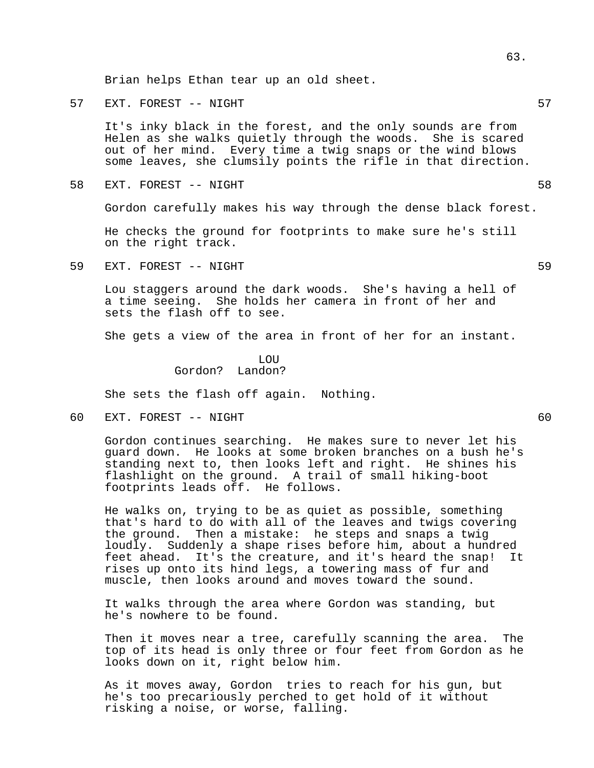Brian helps Ethan tear up an old sheet.

57 EXT. FOREST -- NIGHT

It's inky black in the forest, and the only sounds are from Helen as she walks quietly through the woods. She is scared out of her mind. Every time a twig snaps or the wind blows some leaves, she clumsily points the rifle in that direction.

58 EXT. FOREST -- NIGHT

Gordon carefully makes his way through the dense black forest.

He checks the ground for footprints to make sure he's still on the right track.

59 EXT. FOREST -- NIGHT 59

Lou staggers around the dark woods. She's having a hell of a time seeing. She holds her camera in front of her and sets the flash off to see.

She gets a view of the area in front of her for an instant.

# **LOU** Gordon? Landon?

She sets the flash off again. Nothing.

60 EXT. FOREST -- NIGHT 60

Gordon continues searching. He makes sure to never let his guard down. He looks at some broken branches on a bush he's standing next to, then looks left and right. He shines his flashlight on the ground. A trail of small hiking-boot footprints leads off. He follows.

He walks on, trying to be as quiet as possible, something that's hard to do with all of the leaves and twigs covering the ground. Then a mistake: he steps and snaps a twig loudly. Suddenly a shape rises before him, about a hundred feet ahead. It's the creature, and it's heard the snap! It rises up onto its hind legs, a towering mass of fur and muscle, then looks around and moves toward the sound.

It walks through the area where Gordon was standing, but he's nowhere to be found.

Then it moves near a tree, carefully scanning the area. The top of its head is only three or four feet from Gordon as he looks down on it, right below him.

As it moves away, Gordon tries to reach for his gun, but he's too precariously perched to get hold of it without risking a noise, or worse, falling.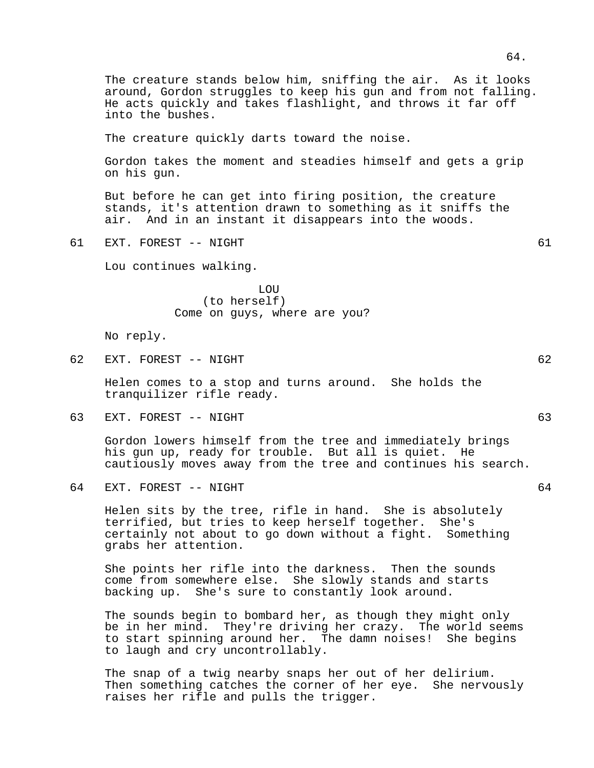The creature stands below him, sniffing the air. As it looks around, Gordon struggles to keep his gun and from not falling. He acts quickly and takes flashlight, and throws it far off into the bushes. The creature quickly darts toward the noise.

Gordon takes the moment and steadies himself and gets a grip on his gun.

But before he can get into firing position, the creature stands, it's attention drawn to something as it sniffs the air. And in an instant it disappears into the woods.

61 EXT. FOREST -- NIGHT 61

Lou continues walking.

LOU (to herself) Come on guys, where are you?

No reply.

62 EXT. FOREST -- NIGHT 62

Helen comes to a stop and turns around. She holds the tranquilizer rifle ready.

63 EXT. FOREST -- NIGHT 63

Gordon lowers himself from the tree and immediately brings his gun up, ready for trouble. But all is quiet. He cautiously moves away from the tree and continues his search.

64 EXT. FOREST -- NIGHT 64

Helen sits by the tree, rifle in hand. She is absolutely terrified, but tries to keep herself together. She's certainly not about to go down without a fight. Something grabs her attention.

She points her rifle into the darkness. Then the sounds come from somewhere else. She slowly stands and starts backing up. She's sure to constantly look around.

The sounds begin to bombard her, as though they might only be in her mind. They're driving her crazy. The world seems to start spinning around her. The damn noises! She begins to laugh and cry uncontrollably.

The snap of a twig nearby snaps her out of her delirium. Then something catches the corner of her eye. She nervously raises her rifle and pulls the trigger.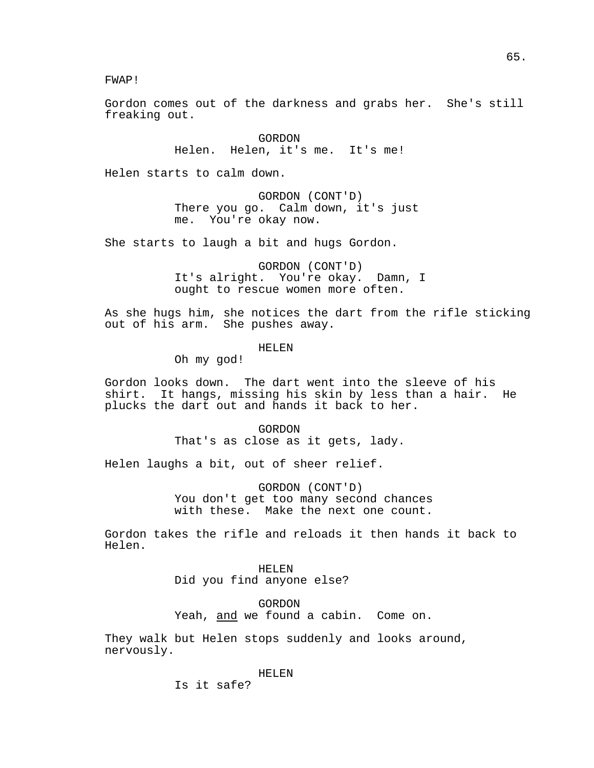FWAP!

Gordon comes out of the darkness and grabs her. She's still freaking out.

> GORDON Helen. Helen, it's me. It's me!

Helen starts to calm down.

GORDON (CONT'D) There you go. Calm down, it's just me. You're okay now.

She starts to laugh a bit and hugs Gordon.

GORDON (CONT'D) It's alright. You're okay. Damn, I ought to rescue women more often.

As she hugs him, she notices the dart from the rifle sticking out of his arm. She pushes away.

HELEN

Oh my god!

Gordon looks down. The dart went into the sleeve of his shirt. It hangs, missing his skin by less than a hair. He plucks the dart out and hands it back to her.

> GORDON That's as close as it gets, lady.

Helen laughs a bit, out of sheer relief.

GORDON (CONT'D) You don't get too many second chances with these. Make the next one count.

Gordon takes the rifle and reloads it then hands it back to Helen.

> HELEN Did you find anyone else?

GORDON Yeah, and we found a cabin. Come on.

They walk but Helen stops suddenly and looks around, nervously.

HELEN

Is it safe?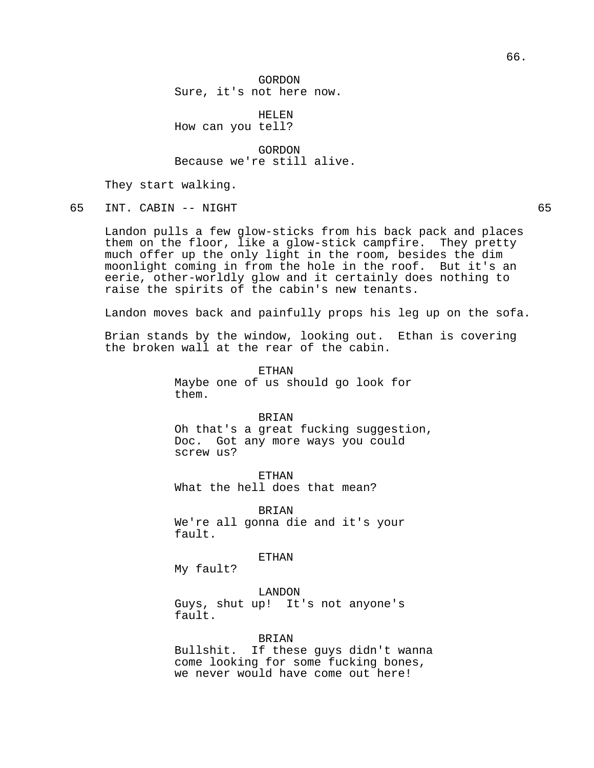HELEN How can you tell?

GORDON Because we're still alive.

They start walking.

65 INT. CABIN -- NIGHT 65

Landon pulls a few glow-sticks from his back pack and places them on the floor, like a glow-stick campfire. They pretty much offer up the only light in the room, besides the dim moonlight coming in from the hole in the roof. But it's an eerie, other-worldly glow and it certainly does nothing to raise the spirits of the cabin's new tenants.

Landon moves back and painfully props his leg up on the sofa.

Brian stands by the window, looking out. Ethan is covering the broken wall at the rear of the cabin.

> ETHAN Maybe one of us should go look for them.

BRIAN Oh that's a great fucking suggestion, Doc. Got any more ways you could screw us?

ETHAN What the hell does that mean?

BRIAN We're all gonna die and it's your fault.

ETHAN

My fault?

LANDON

Guys, shut up! It's not anyone's fault.

BRIAN

Bullshit. If these guys didn't wanna come looking for some fucking bones, we never would have come out here!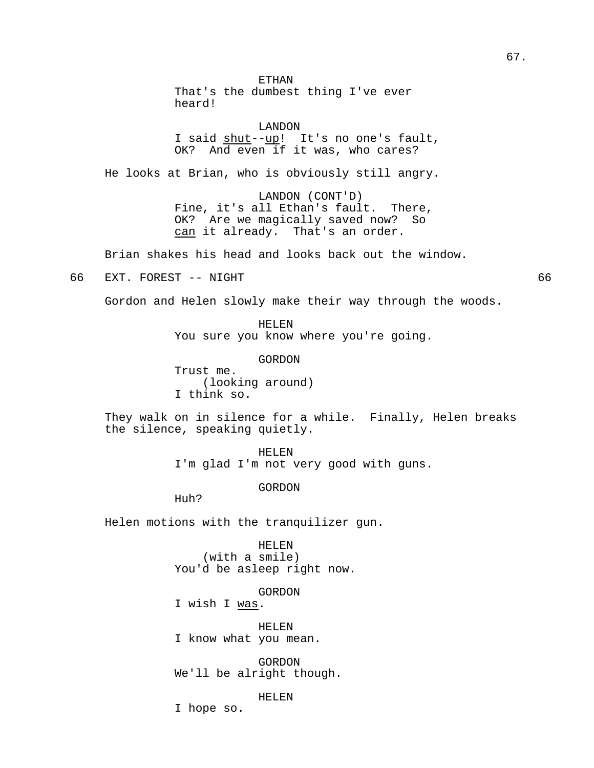ETHAN That's the dumbest thing I've ever heard!

LANDON I said shut--up! It's no one's fault, OK? And even if it was, who cares?

He looks at Brian, who is obviously still angry.

LANDON (CONT'D) Fine, it's all Ethan's fault. There, OK? Are we magically saved now? So can it already. That's an order.

Brian shakes his head and looks back out the window.

66 EXT. FOREST -- NIGHT 66

Gordon and Helen slowly make their way through the woods.

HELEN You sure you know where you're going.

GORDON Trust me. (looking around) I think so.

They walk on in silence for a while. Finally, Helen breaks the silence, speaking quietly.

> HELEN I'm glad I'm not very good with guns.

> > GORDON

Huh?

Helen motions with the tranquilizer gun.

HELEN (with a smile) You'd be asleep right now.

GORDON

I wish I was.

HELEN I know what you mean.

GORDON We'll be alright though.

HELEN

I hope so.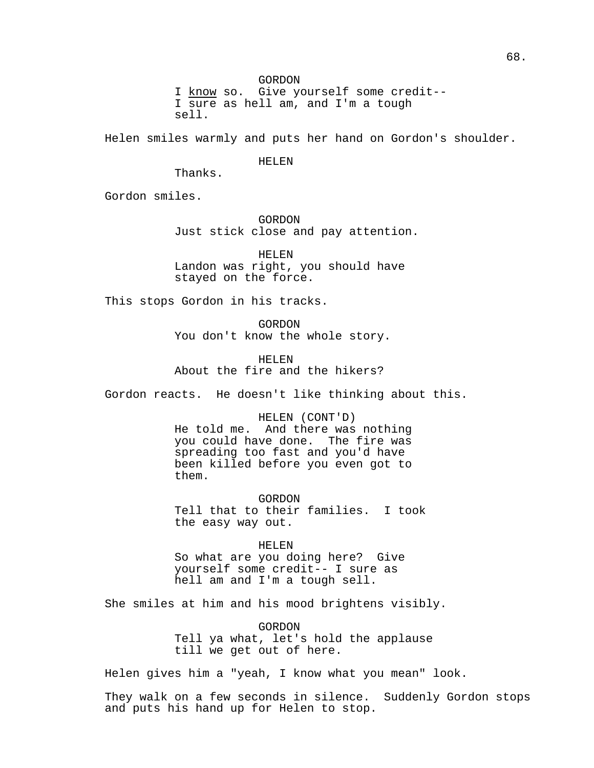GORDON

I know so. Give yourself some credit-- I sure as hell am, and I'm a tough sell.

Helen smiles warmly and puts her hand on Gordon's shoulder.

HELEN

Thanks.

Gordon smiles.

GORDON Just stick close and pay attention.

HELEN Landon was right, you should have stayed on the force.

This stops Gordon in his tracks.

GORDON You don't know the whole story.

HELEN About the fire and the hikers?

Gordon reacts. He doesn't like thinking about this.

HELEN (CONT'D)

He told me. And there was nothing you could have done. The fire was spreading too fast and you'd have been killed before you even got to them.

GORDON Tell that to their families. I took the easy way out.

HELEN So what are you doing here? Give yourself some credit-- I sure as hell am and I'm a tough sell.

She smiles at him and his mood brightens visibly.

GORDON Tell ya what, let's hold the applause till we get out of here.

Helen gives him a "yeah, I know what you mean" look.

They walk on a few seconds in silence. Suddenly Gordon stops and puts his hand up for Helen to stop.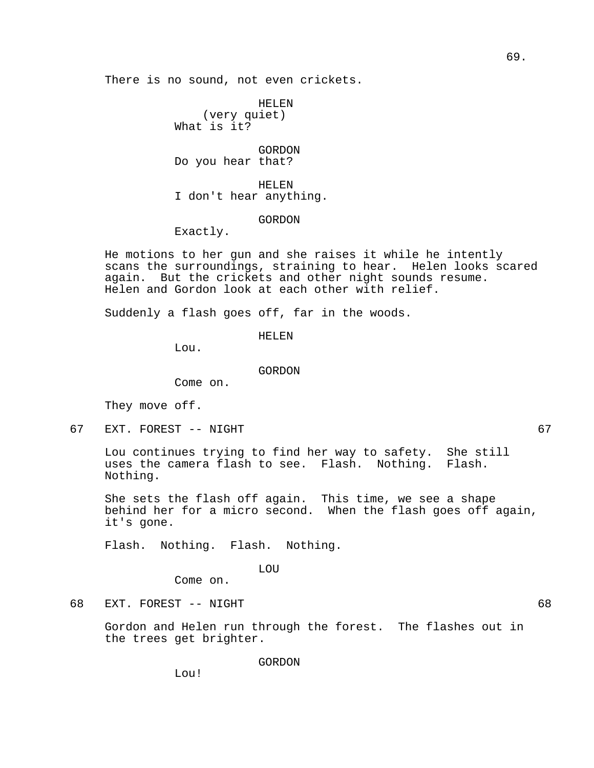There is no sound, not even crickets.

HELEN (very quiet) What is it?

GORDON Do you hear that?

HELEN I don't hear anything.

# GORDON

Exactly.

He motions to her gun and she raises it while he intently scans the surroundings, straining to hear. Helen looks scared again. But the crickets and other night sounds resume. Helen and Gordon look at each other with relief.

Suddenly a flash goes off, far in the woods.

HELEN

Lou.

Come on.

GORDON

They move off.

67 EXT. FOREST -- NIGHT 67

Lou continues trying to find her way to safety. She still uses the camera flash to see. Flash. Nothing. Flash. Nothing.

She sets the flash off again. This time, we see a shape behind her for a micro second. When the flash goes off again, it's gone.

Flash. Nothing. Flash. Nothing.

LOU

Come on.

68 EXT. FOREST -- NIGHT

Gordon and Helen run through the forest. The flashes out in the trees get brighter.

GORDON

Lou!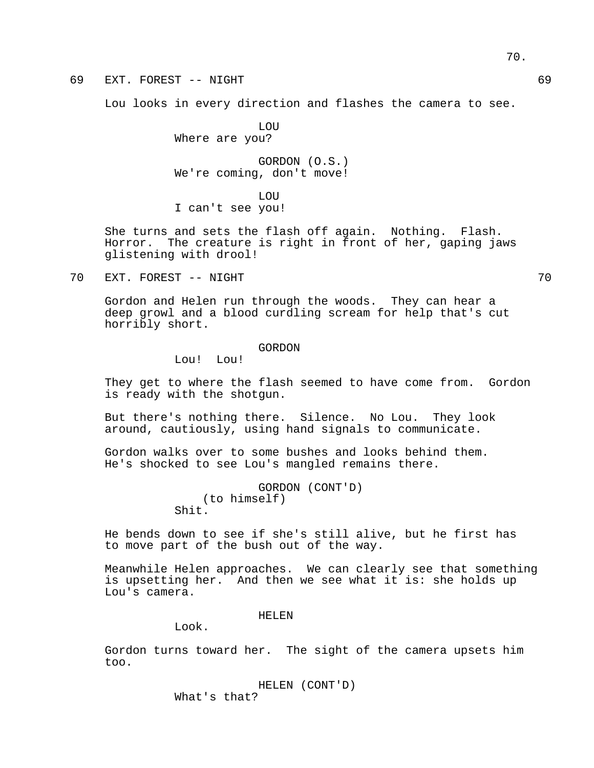70.

69 EXT. FOREST -- NIGHT 69

Lou looks in every direction and flashes the camera to see.

LOU

Where are you? GORDON (O.S.)

We're coming, don't move!

LOU I can't see you!

She turns and sets the flash off again. Nothing. Flash. Horror. The creature is right in front of her, gaping jaws glistening with drool!

70 EXT. FOREST -- NIGHT 70

Gordon and Helen run through the woods. They can hear a deep growl and a blood curdling scream for help that's cut horribly short.

#### GORDON

Lou! Lou!

They get to where the flash seemed to have come from. Gordon is ready with the shotgun.

But there's nothing there. Silence. No Lou. They look around, cautiously, using hand signals to communicate.

Gordon walks over to some bushes and looks behind them. He's shocked to see Lou's mangled remains there.

> GORDON (CONT'D) (to himself) Shit.

He bends down to see if she's still alive, but he first has to move part of the bush out of the way.

Meanwhile Helen approaches. We can clearly see that something is upsetting her. And then we see what it is: she holds up Lou's camera.

#### HELEN

Look.

Gordon turns toward her. The sight of the camera upsets him too.

> HELEN (CONT'D) What's that?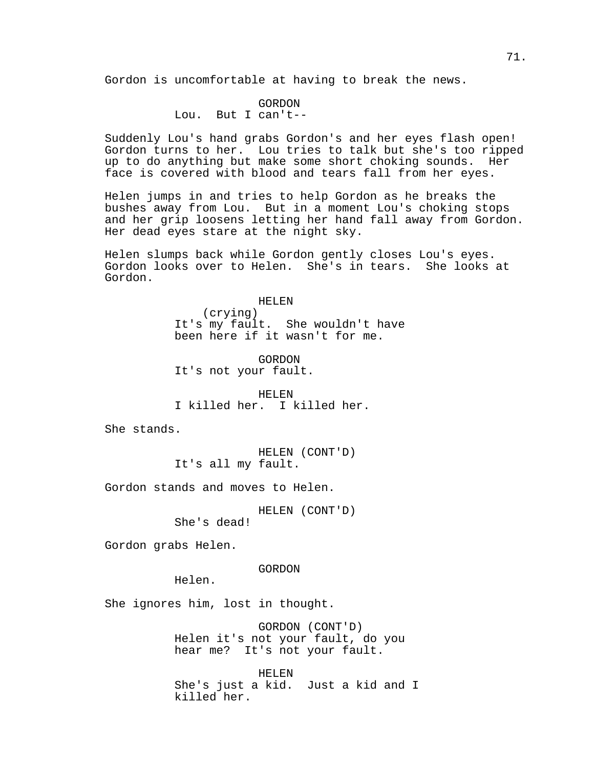Gordon is uncomfortable at having to break the news.

# GORDON Lou. But I can't--

Suddenly Lou's hand grabs Gordon's and her eyes flash open! Gordon turns to her. Lou tries to talk but she's too ripped up to do anything but make some short choking sounds. Her face is covered with blood and tears fall from her eyes.

Helen jumps in and tries to help Gordon as he breaks the bushes away from Lou. But in a moment Lou's choking stops and her grip loosens letting her hand fall away from Gordon. Her dead eyes stare at the night sky.

Helen slumps back while Gordon gently closes Lou's eyes. Gordon looks over to Helen. She's in tears. She looks at Gordon.

#### HELEN

(crying) It's my fault. She wouldn't have been here if it wasn't for me.

GORDON It's not your fault.

HELEN I killed her. I killed her.

She stands.

HELEN (CONT'D) It's all my fault.

Gordon stands and moves to Helen.

HELEN (CONT'D)

She's dead!

Gordon grabs Helen.

GORDON

Helen.

She ignores him, lost in thought.

GORDON (CONT'D) Helen it's not your fault, do you hear me? It's not your fault.

HELEN She's just a kid. Just a kid and I killed her.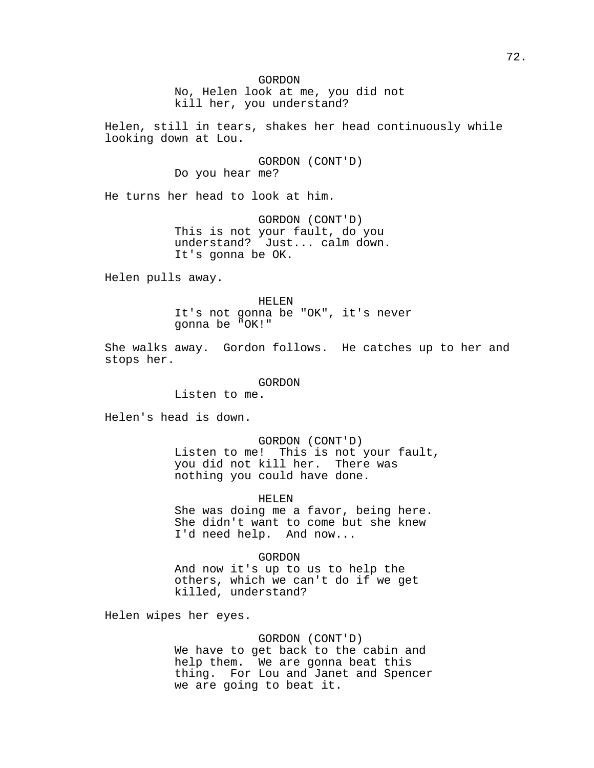No, Helen look at me, you did not kill her, you understand?

Helen, still in tears, shakes her head continuously while looking down at Lou.

> GORDON (CONT'D) Do you hear me?

He turns her head to look at him.

GORDON (CONT'D) This is not your fault, do you understand? Just... calm down. It's gonna be OK.

Helen pulls away.

HELEN

It's not gonna be "OK", it's never gonna be "OK!"

She walks away. Gordon follows. He catches up to her and stops her.

GORDON

Listen to me.

Helen's head is down.

GORDON (CONT'D) Listen to me! This is not your fault, you did not kill her. There was nothing you could have done.

HELEN

She was doing me a favor, being here. She didn't want to come but she knew I'd need help. And now...

GORDON

And now it's up to us to help the others, which we can't do if we get killed, understand?

Helen wipes her eyes.

GORDON (CONT'D)

We have to get back to the cabin and help them. We are gonna beat this thing. For Lou and Janet and Spencer we are going to beat it.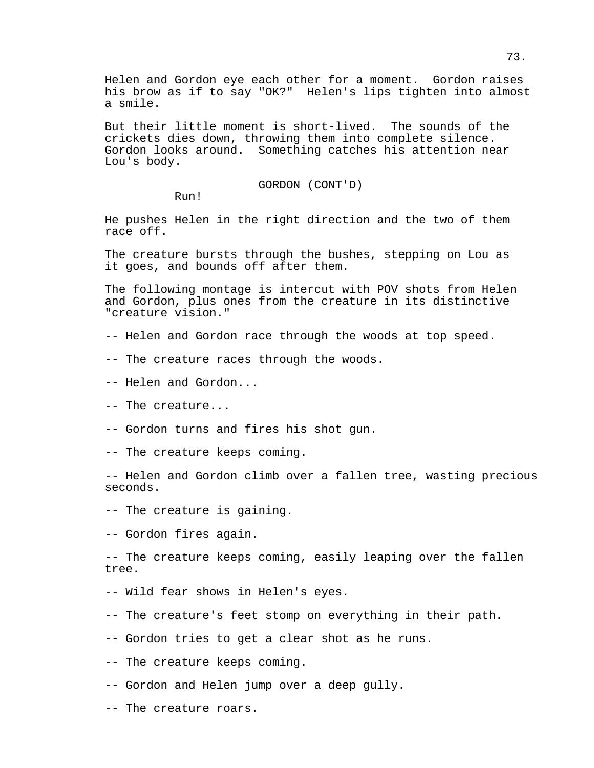Helen and Gordon eye each other for a moment. Gordon raises his brow as if to say "OK?" Helen's lips tighten into almost a smile.

But their little moment is short-lived. The sounds of the crickets dies down, throwing them into complete silence. Gordon looks around. Something catches his attention near Lou's body.

GORDON (CONT'D)

Run!

He pushes Helen in the right direction and the two of them race off.

The creature bursts through the bushes, stepping on Lou as it goes, and bounds off after them.

The following montage is intercut with POV shots from Helen and Gordon, plus ones from the creature in its distinctive "creature vision."

- -- Helen and Gordon race through the woods at top speed.
- -- The creature races through the woods.
- -- Helen and Gordon...
- -- The creature...
- -- Gordon turns and fires his shot gun.
- -- The creature keeps coming.

-- Helen and Gordon climb over a fallen tree, wasting precious seconds.

-- The creature is gaining.

-- Gordon fires again.

-- The creature keeps coming, easily leaping over the fallen tree.

- -- Wild fear shows in Helen's eyes.
- -- The creature's feet stomp on everything in their path.
- -- Gordon tries to get a clear shot as he runs.
- -- The creature keeps coming.
- -- Gordon and Helen jump over a deep gully.
- -- The creature roars.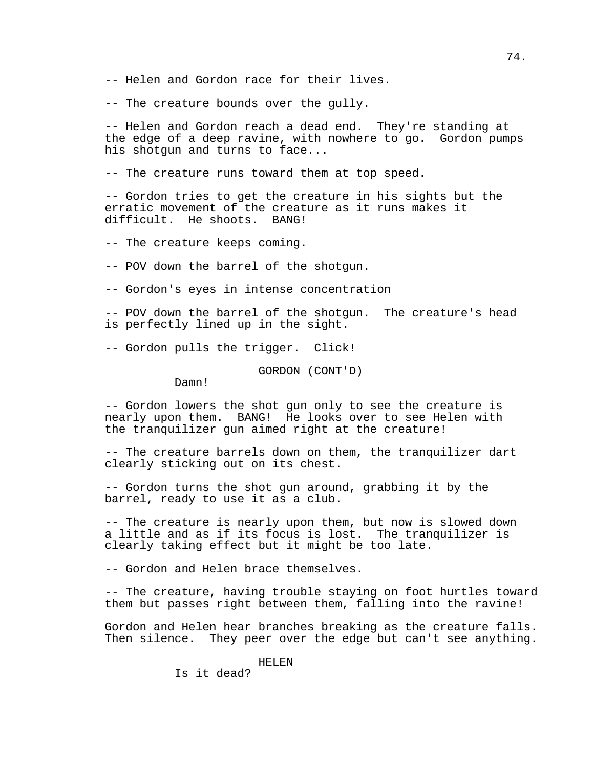- -- Helen and Gordon race for their lives.
- -- The creature bounds over the gully.

-- Helen and Gordon reach a dead end. They're standing at the edge of a deep ravine, with nowhere to go. Gordon pumps his shotgun and turns to face...

-- The creature runs toward them at top speed.

-- Gordon tries to get the creature in his sights but the erratic movement of the creature as it runs makes it difficult. He shoots. BANG!

- -- The creature keeps coming.
- -- POV down the barrel of the shotgun.
- -- Gordon's eyes in intense concentration

-- POV down the barrel of the shotgun. The creature's head is perfectly lined up in the sight.

-- Gordon pulls the trigger. Click!

GORDON (CONT'D)

Damn!

-- Gordon lowers the shot gun only to see the creature is nearly upon them. BANG! He looks over to see Helen with the tranquilizer gun aimed right at the creature!

-- The creature barrels down on them, the tranquilizer dart clearly sticking out on its chest.

-- Gordon turns the shot gun around, grabbing it by the barrel, ready to use it as a club.

-- The creature is nearly upon them, but now is slowed down a little and as if its focus is lost. The tranquilizer is clearly taking effect but it might be too late.

-- Gordon and Helen brace themselves.

-- The creature, having trouble staying on foot hurtles toward them but passes right between them, falling into the ravine!

Gordon and Helen hear branches breaking as the creature falls. Then silence. They peer over the edge but can't see anything.

HELEN

Is it dead?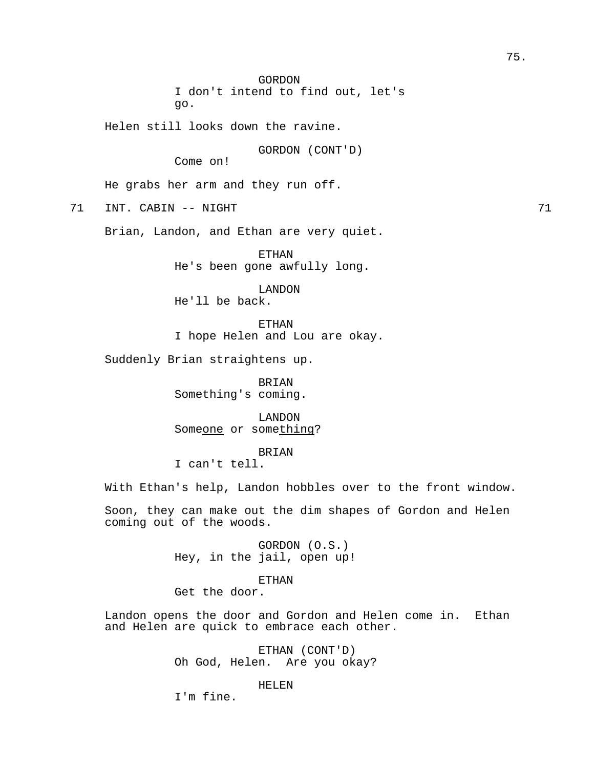GORDON I don't intend to find out, let's go.

Helen still looks down the ravine.

GORDON (CONT'D)

Come on!

He grabs her arm and they run off.

71 INT. CABIN -- NIGHT

Brian, Landon, and Ethan are very quiet.

ETHAN He's been gone awfully long.

LANDON He'll be back.

ETHAN I hope Helen and Lou are okay.

Suddenly Brian straightens up.

BRIAN Something's coming.

LANDON Someone or something?

## BRIAN

I can't tell.

With Ethan's help, Landon hobbles over to the front window.

Soon, they can make out the dim shapes of Gordon and Helen coming out of the woods.

> GORDON (O.S.) Hey, in the jail, open up!

#### ETHAN

Get the door.

Landon opens the door and Gordon and Helen come in. Ethan and Helen are quick to embrace each other.

> ETHAN (CONT'D) Oh God, Helen. Are you okay?

## HELEN

I'm fine.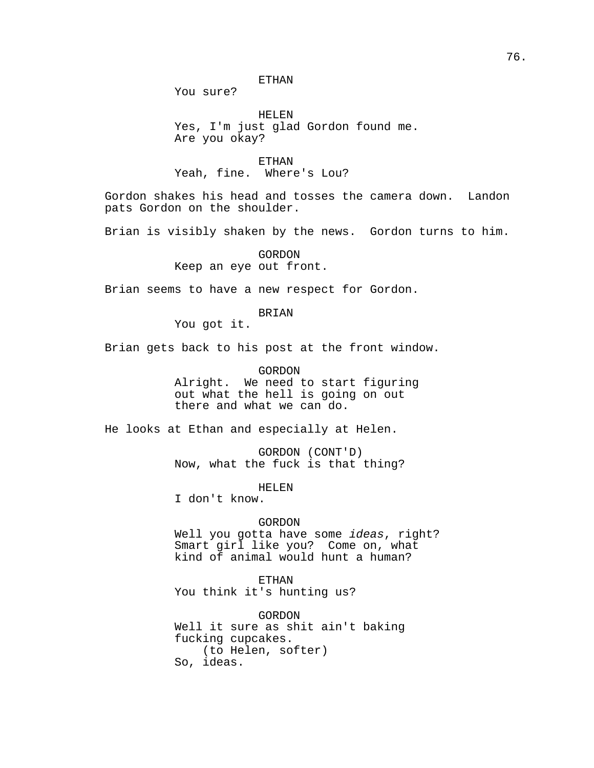## ETHAN

You sure?

HELEN Yes, I'm just glad Gordon found me. Are you okay?

ETHAN Yeah, fine. Where's Lou?

Gordon shakes his head and tosses the camera down. Landon pats Gordon on the shoulder.

Brian is visibly shaken by the news. Gordon turns to him.

GORDON Keep an eye out front.

Brian seems to have a new respect for Gordon.

#### BRIAN

You got it.

Brian gets back to his post at the front window.

GORDON

Alright. We need to start figuring out what the hell is going on out there and what we can do.

He looks at Ethan and especially at Helen.

GORDON (CONT'D) Now, what the fuck is that thing?

HELEN

I don't know.

## GORDON

Well you gotta have some *ideas*, right? Smart girl like you? Come on, what kind of animal would hunt a human?

ETHAN You think it's hunting us?

GORDON Well it sure as shit ain't baking fucking cupcakes. (to Helen, softer) So, ideas.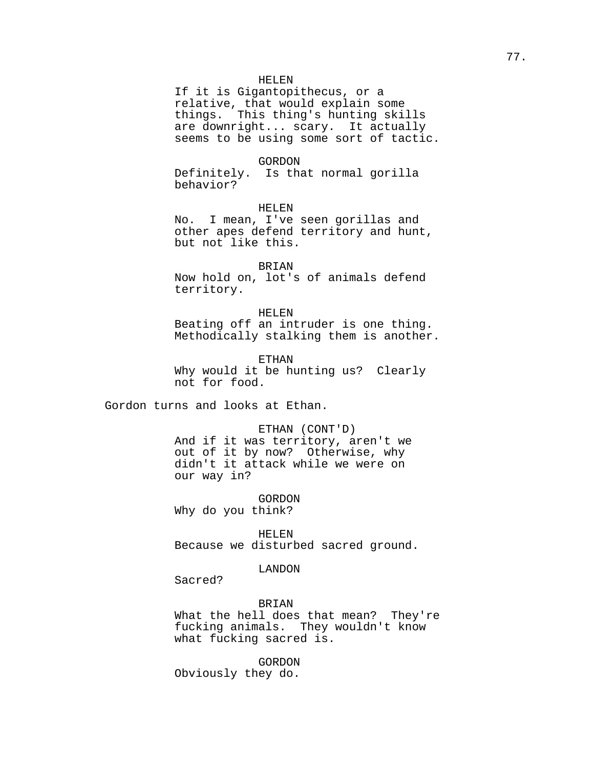If it is Gigantopithecus, or a relative, that would explain some things. This thing's hunting skills are downright... scary. It actually seems to be using some sort of tactic.

## GORDON

Definitely. Is that normal gorilla behavior?

## HELEN

No. I mean, I've seen gorillas and other apes defend territory and hunt, but not like this.

## BRIAN

Now hold on, lot's of animals defend territory.

#### HELEN

Beating off an intruder is one thing. Methodically stalking them is another.

ETHAN Why would it be hunting us? Clearly not for food.

Gordon turns and looks at Ethan.

#### ETHAN (CONT'D)

And if it was territory, aren't we out of it by now? Otherwise, why didn't it attack while we were on our way in?

GORDON Why do you think?

HELEN Because we disturbed sacred ground.

#### LANDON

Sacred?

#### BRIAN

What the hell does that mean? They're fucking animals. They wouldn't know what fucking sacred is.

GORDON Obviously they do.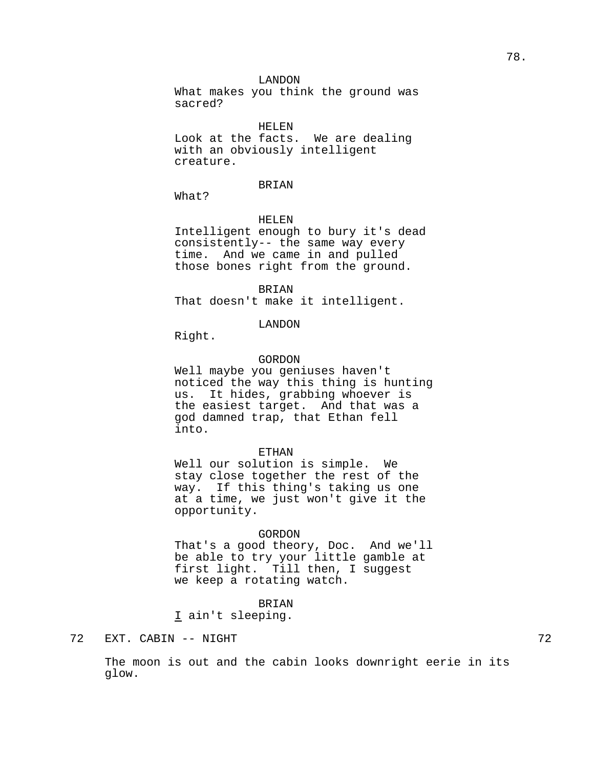What makes you think the ground was sacred?

## HELEN

Look at the facts. We are dealing with an obviously intelligent creature.

#### BRIAN

What?

#### HELEN

Intelligent enough to bury it's dead consistently-- the same way every time. And we came in and pulled those bones right from the ground.

BRIAN That doesn't make it intelligent.

#### LANDON

Right.

## GORDON

Well maybe you geniuses haven't noticed the way this thing is hunting us. It hides, grabbing whoever is the easiest target. And that was a god damned trap, that Ethan fell into.

#### ETHAN

Well our solution is simple. We stay close together the rest of the way. If this thing's taking us one at a time, we just won't give it the opportunity.

#### GORDON

That's a good theory, Doc. And we'll be able to try your little gamble at first light. Till then, I suggest we keep a rotating watch.

## BRIAN

I ain't sleeping.

## 72 EXT. CABIN -- NIGHT

The moon is out and the cabin looks downright eerie in its glow.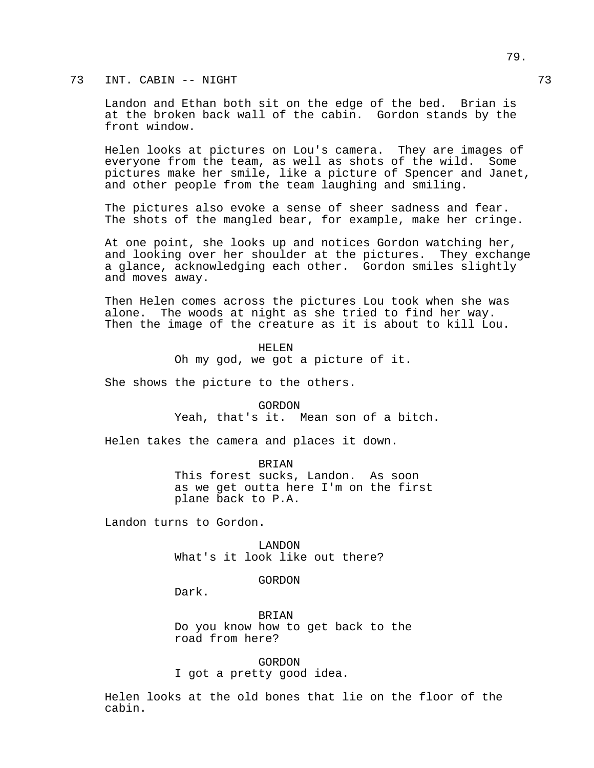73 INT. CABIN -- NIGHT 73

Landon and Ethan both sit on the edge of the bed. Brian is at the broken back wall of the cabin. Gordon stands by the front window.

Helen looks at pictures on Lou's camera. They are images of everyone from the team, as well as shots of the wild. Some pictures make her smile, like a picture of Spencer and Janet, and other people from the team laughing and smiling.

The pictures also evoke a sense of sheer sadness and fear. The shots of the mangled bear, for example, make her cringe.

At one point, she looks up and notices Gordon watching her, and looking over her shoulder at the pictures. They exchange a glance, acknowledging each other. Gordon smiles slightly and moves away.

Then Helen comes across the pictures Lou took when she was alone. The woods at night as she tried to find her way. Then the image of the creature as it is about to kill Lou.

> HELEN Oh my god, we got a picture of it.

She shows the picture to the others.

GORDON Yeah, that's it. Mean son of a bitch.

Helen takes the camera and places it down.

BRIAN This forest sucks, Landon. As soon as we get outta here I'm on the first plane back to P.A.

Landon turns to Gordon.

LANDON What's it look like out there?

GORDON

Dark.

BRIAN Do you know how to get back to the road from here?

GORDON I got a pretty good idea.

Helen looks at the old bones that lie on the floor of the cabin.

79.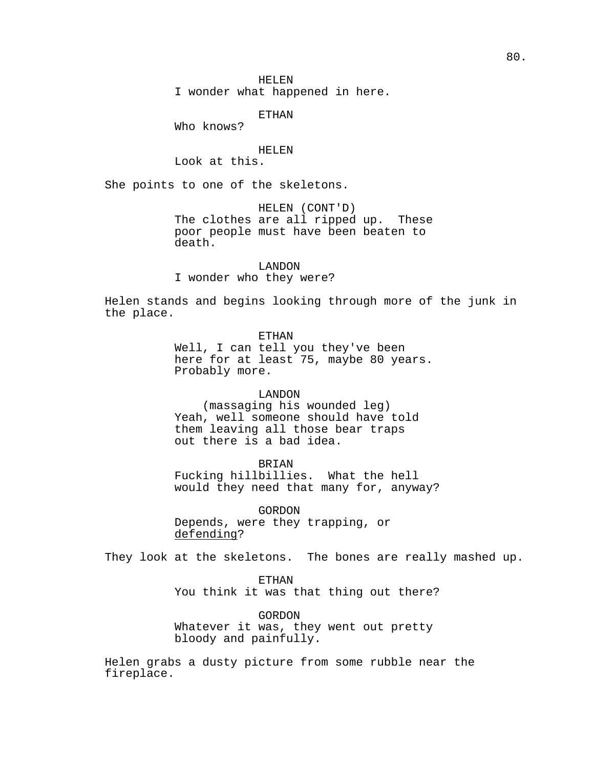I wonder what happened in here.

ETHAN

Who knows?

#### HELEN

Look at this.

She points to one of the skeletons.

HELEN (CONT'D) The clothes are all ripped up. These poor people must have been beaten to death.

LANDON

I wonder who they were?

Helen stands and begins looking through more of the junk in the place.

ETHAN

Well, I can tell you they've been here for at least 75, maybe 80 years. Probably more.

#### LANDON

(massaging his wounded leg) Yeah, well someone should have told them leaving all those bear traps out there is a bad idea.

BRIAN

Fucking hillbillies. What the hell would they need that many for, anyway?

GORDON Depends, were they trapping, or defending?

They look at the skeletons. The bones are really mashed up.

ETHAN You think it was that thing out there?

GORDON Whatever it was, they went out pretty bloody and painfully.

Helen grabs a dusty picture from some rubble near the fireplace.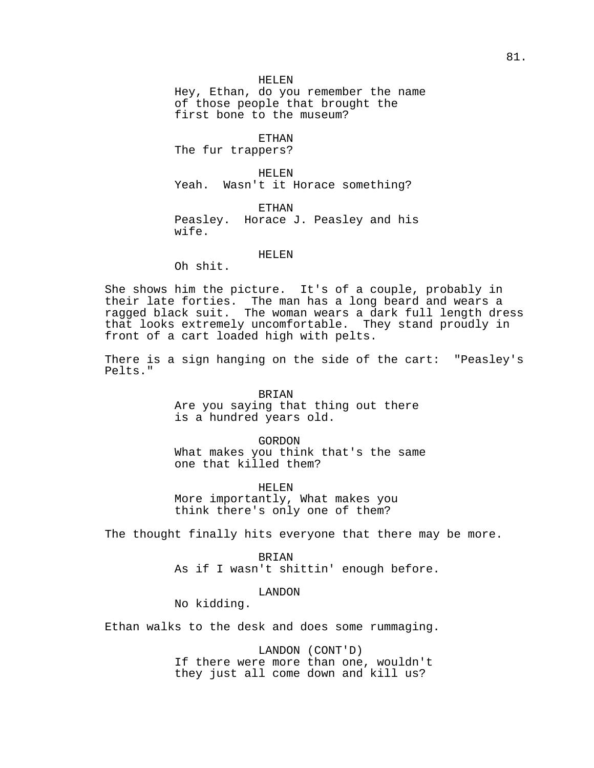Hey, Ethan, do you remember the name of those people that brought the first bone to the museum?

ETHAN

The fur trappers?

HELEN Yeah. Wasn't it Horace something?

**ETHAN** Peasley. Horace J. Peasley and his wife.

## HELEN

Oh shit.

She shows him the picture. It's of a couple, probably in their late forties. The man has a long beard and wears a ragged black suit. The woman wears a dark full length dress that looks extremely uncomfortable. They stand proudly in front of a cart loaded high with pelts.

There is a sign hanging on the side of the cart: "Peasley's Pelts."

> BRIAN Are you saying that thing out there is a hundred years old.

GORDON What makes you think that's the same one that killed them?

HELEN More importantly, What makes you think there's only one of them?

The thought finally hits everyone that there may be more.

BRIAN

As if I wasn't shittin' enough before.

# LANDON

No kidding.

Ethan walks to the desk and does some rummaging.

LANDON (CONT'D) If there were more than one, wouldn't they just all come down and kill us?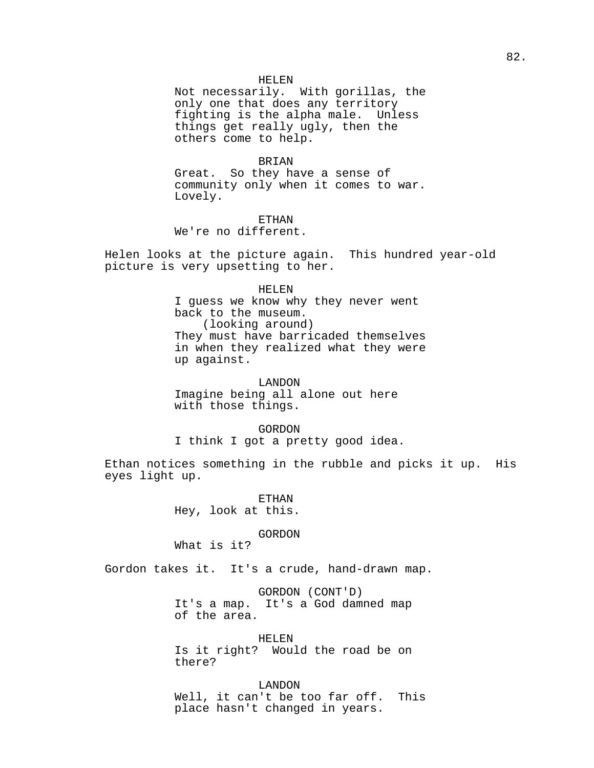Not necessarily. With gorillas, the only one that does any territory fighting is the alpha male. Unless things get really ugly, then the others come to help.

#### BRIAN

Great. So they have a sense of community only when it comes to war. Lovely.

ETHAN We're no different.

Helen looks at the picture again. This hundred year-old picture is very upsetting to her.

#### HELEN

I guess we know why they never went back to the museum. (looking around) They must have barricaded themselves in when they realized what they were up against.

LANDON Imagine being all alone out here with those things.

#### GORDON

I think I got a pretty good idea.

Ethan notices something in the rubble and picks it up. His eyes light up.

> ETHAN Hey, look at this.

#### GORDON

What is it?

Gordon takes it. It's a crude, hand-drawn map.

GORDON (CONT'D) It's a map. It's a God damned map of the area.

HELEN Is it right? Would the road be on there?

LANDON Well, it can't be too far off. This place hasn't changed in years.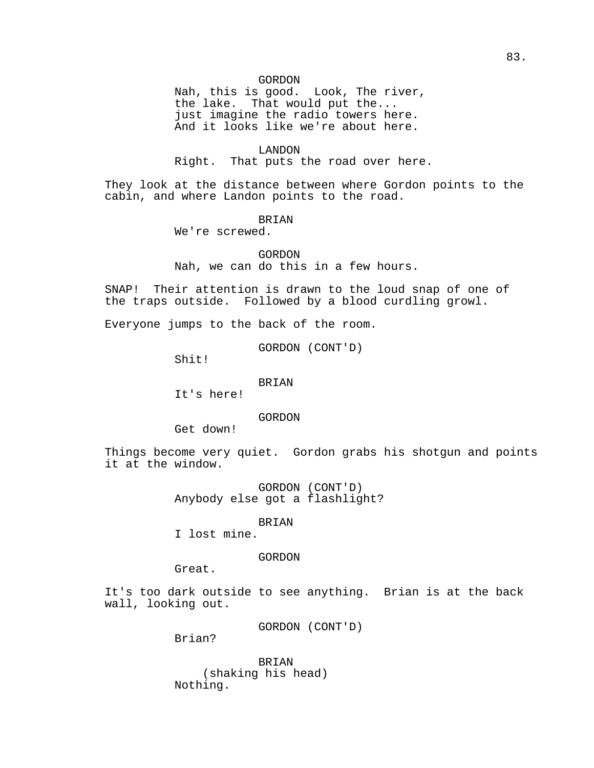Nah, this is good. Look, The river, the lake. That would put the... just imagine the radio towers here. And it looks like we're about here.

## LANDON

Right. That puts the road over here.

They look at the distance between where Gordon points to the cabin, and where Landon points to the road.

## BRIAN

We're screwed.

GORDON

Nah, we can do this in a few hours.

SNAP! Their attention is drawn to the loud snap of one of the traps outside. Followed by a blood curdling growl.

Everyone jumps to the back of the room.

GORDON (CONT'D)

Shit!

## BRIAN

It's here!

GORDON

Get down!

Things become very quiet. Gordon grabs his shotgun and points it at the window.

> GORDON (CONT'D) Anybody else got a flashlight?

## BRIAN

I lost mine.

## GORDON

Great.

It's too dark outside to see anything. Brian is at the back wall, looking out.

GORDON (CONT'D)

Brian?

BRIAN (shaking his head) Nothing.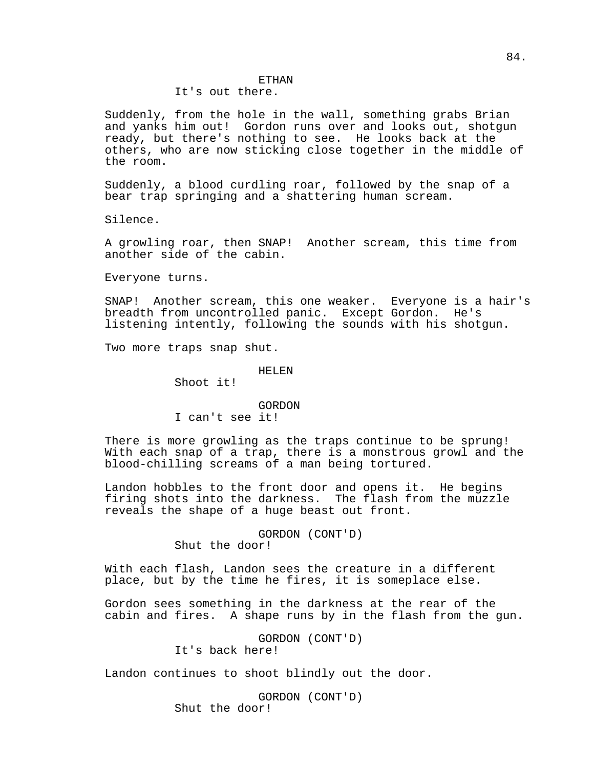## It's out there.

Suddenly, from the hole in the wall, something grabs Brian and yanks him out! Gordon runs over and looks out, shotgun ready, but there's nothing to see. He looks back at the others, who are now sticking close together in the middle of the room.

Suddenly, a blood curdling roar, followed by the snap of a bear trap springing and a shattering human scream.

Silence.

A growling roar, then SNAP! Another scream, this time from another side of the cabin.

Everyone turns.

SNAP! Another scream, this one weaker. Everyone is a hair's breadth from uncontrolled panic. Except Gordon. He's listening intently, following the sounds with his shotgun.

Two more traps snap shut.

#### HELEN

Shoot it!

#### GORDON

I can't see it!

There is more growling as the traps continue to be sprung! With each snap of a trap, there is a monstrous growl and the blood-chilling screams of a man being tortured.

Landon hobbles to the front door and opens it. He begins firing shots into the darkness. The flash from the muzzle reveals the shape of a huge beast out front.

GORDON (CONT'D)

Shut the door!

With each flash, Landon sees the creature in a different place, but by the time he fires, it is someplace else.

Gordon sees something in the darkness at the rear of the cabin and fires. A shape runs by in the flash from the gun.

> GORDON (CONT'D) It's back here!

Landon continues to shoot blindly out the door.

GORDON (CONT'D) Shut the door!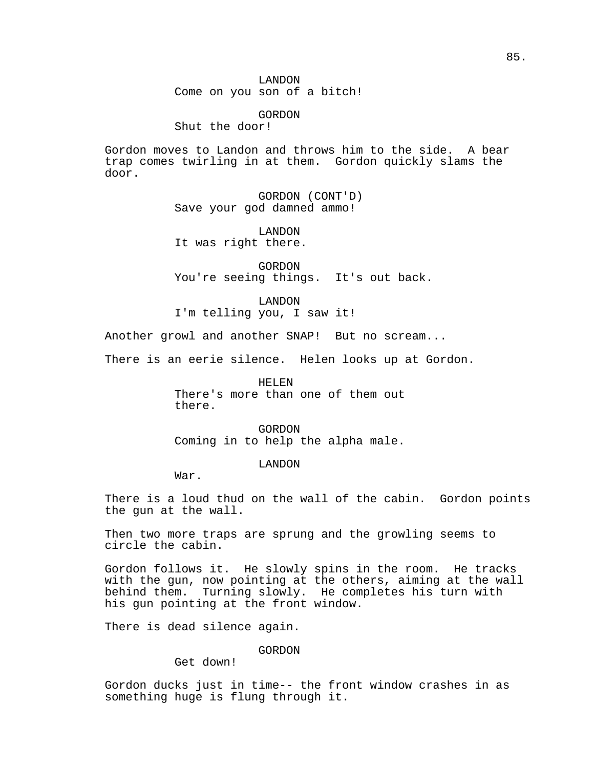Shut the door!

Gordon moves to Landon and throws him to the side. A bear trap comes twirling in at them. Gordon quickly slams the door.

> GORDON (CONT'D) Save your god damned ammo!

LANDON It was right there.

GORDON You're seeing things. It's out back.

LANDON

I'm telling you, I saw it!

Another growl and another SNAP! But no scream...

There is an eerie silence. Helen looks up at Gordon.

HELEN There's more than one of them out there.

GORDON Coming in to help the alpha male.

LANDON

War.

There is a loud thud on the wall of the cabin. Gordon points the gun at the wall.

Then two more traps are sprung and the growling seems to circle the cabin.

Gordon follows it. He slowly spins in the room. He tracks with the gun, now pointing at the others, aiming at the wall behind them. Turning slowly. He completes his turn with his gun pointing at the front window.

There is dead silence again.

GORDON

Get down!

Gordon ducks just in time-- the front window crashes in as something huge is flung through it.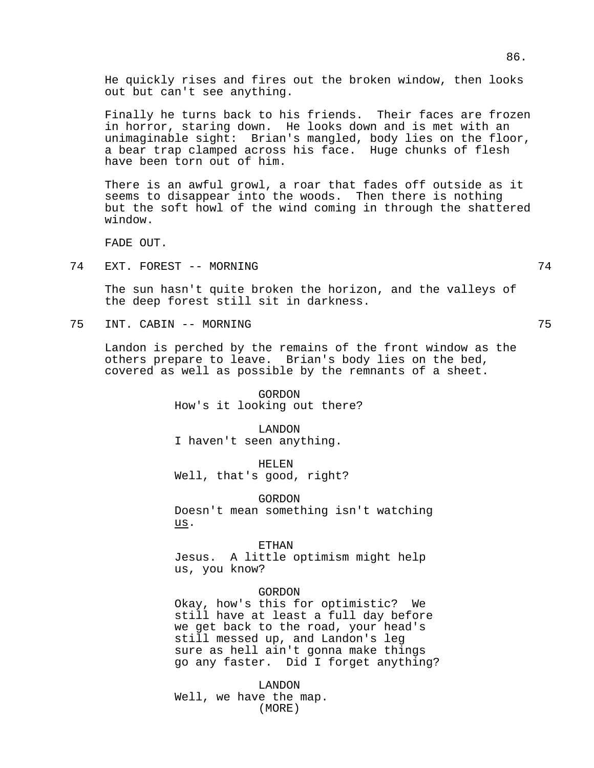He quickly rises and fires out the broken window, then looks out but can't see anything.

Finally he turns back to his friends. Their faces are frozen in horror, staring down. He looks down and is met with an unimaginable sight: Brian's mangled, body lies on the floor, a bear trap clamped across his face. Huge chunks of flesh have been torn out of him.

There is an awful growl, a roar that fades off outside as it seems to disappear into the woods. Then there is nothing but the soft howl of the wind coming in through the shattered window.

FADE OUT.

74 EXT. FOREST -- MORNING 74

The sun hasn't quite broken the horizon, and the valleys of the deep forest still sit in darkness.

75 INT. CABIN -- MORNING 75

Landon is perched by the remains of the front window as the others prepare to leave. Brian's body lies on the bed, covered as well as possible by the remnants of a sheet.

> GORDON How's it looking out there?

LANDON I haven't seen anything.

HELEN Well, that's good, right?

GORDON Doesn't mean something isn't watching us.

ETHAN

Jesus. A little optimism might help us, you know?

#### GORDON

Okay, how's this for optimistic? We still have at least a full day before we get back to the road, your head's still messed up, and Landon's leg sure as hell ain't gonna make things go any faster. Did I forget anything?

LANDON Well, we have the map. (MORE)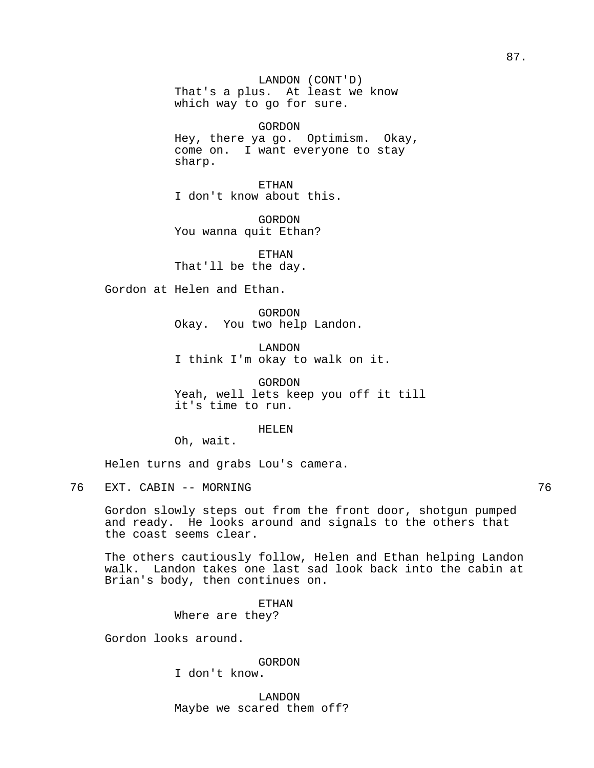LANDON (CONT'D) That's a plus. At least we know which way to go for sure.

GORDON

Hey, there ya go. Optimism. Okay, come on. I want everyone to stay sharp.

ETHAN I don't know about this.

GORDON You wanna quit Ethan?

ETHAN That'll be the day.

Gordon at Helen and Ethan.

GORDON Okay. You two help Landon.

LANDON I think I'm okay to walk on it.

GORDON Yeah, well lets keep you off it till it's time to run.

HELEN

Oh, wait.

Helen turns and grabs Lou's camera.

76 EXT. CABIN -- MORNING 76

Gordon slowly steps out from the front door, shotgun pumped and ready. He looks around and signals to the others that the coast seems clear.

The others cautiously follow, Helen and Ethan helping Landon walk. Landon takes one last sad look back into the cabin at Brian's body, then continues on.

> ETHAN Where are they?

Gordon looks around.

GORDON

I don't know.

LANDON Maybe we scared them off?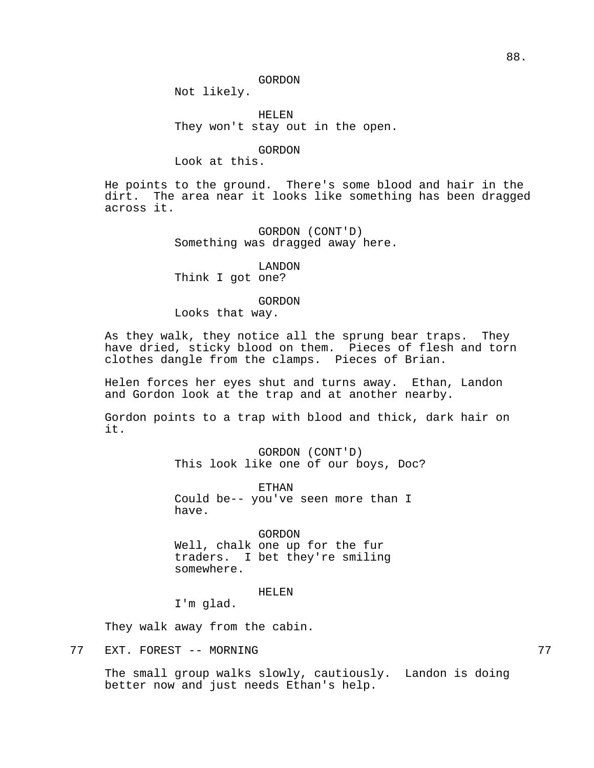Not likely.

HELEN They won't stay out in the open.

GORDON

Look at this.

He points to the ground. There's some blood and hair in the dirt. The area near it looks like something has been dragged across it.

> GORDON (CONT'D) Something was dragged away here.

> > LANDON

Think I got one?

#### GORDON

Looks that way.

As they walk, they notice all the sprung bear traps. They have dried, sticky blood on them. Pieces of flesh and torn clothes dangle from the clamps. Pieces of Brian.

Helen forces her eyes shut and turns away. Ethan, Landon and Gordon look at the trap and at another nearby.

Gordon points to a trap with blood and thick, dark hair on it.

> GORDON (CONT'D) This look like one of our boys, Doc?

ETHAN Could be-- you've seen more than I have.

GORDON Well, chalk one up for the fur traders. I bet they're smiling somewhere.

HELEN

I'm glad.

They walk away from the cabin.

77 EXT. FOREST -- MORNING 77

The small group walks slowly, cautiously. Landon is doing better now and just needs Ethan's help.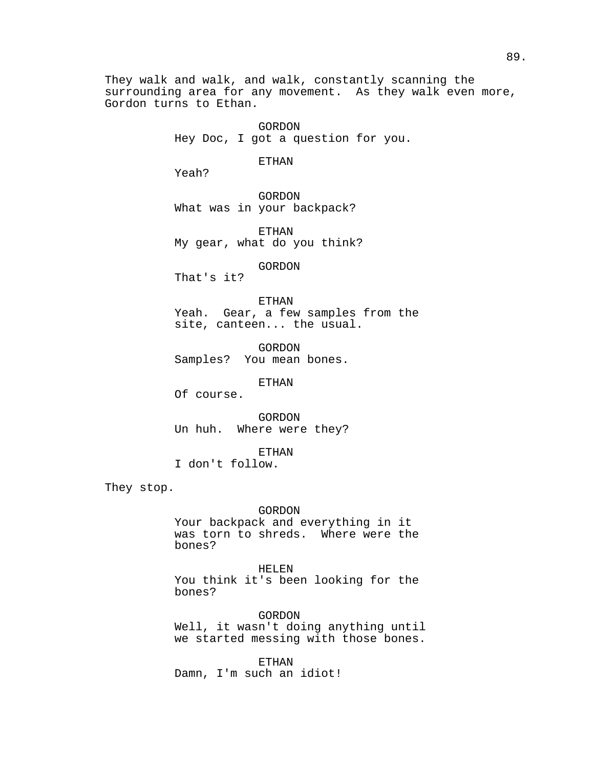They walk and walk, and walk, constantly scanning the surrounding area for any movement. As they walk even more, Gordon turns to Ethan.

> GORDON Hey Doc, I got a question for you.

## ETHAN

Yeah?

GORDON What was in your backpack?

ETHAN My gear, what do you think?

## GORDON

That's it?

## ETHAN

Yeah. Gear, a few samples from the site, canteen... the usual.

GORDON Samples? You mean bones.

ETHAN

Of course.

GORDON Un huh. Where were they?

ETHAN

I don't follow.

They stop.

#### GORDON

Your backpack and everything in it was torn to shreds. Where were the bones?

HELEN You think it's been looking for the bones?

GORDON Well, it wasn't doing anything until we started messing with those bones.

ETHAN Damn, I'm such an idiot!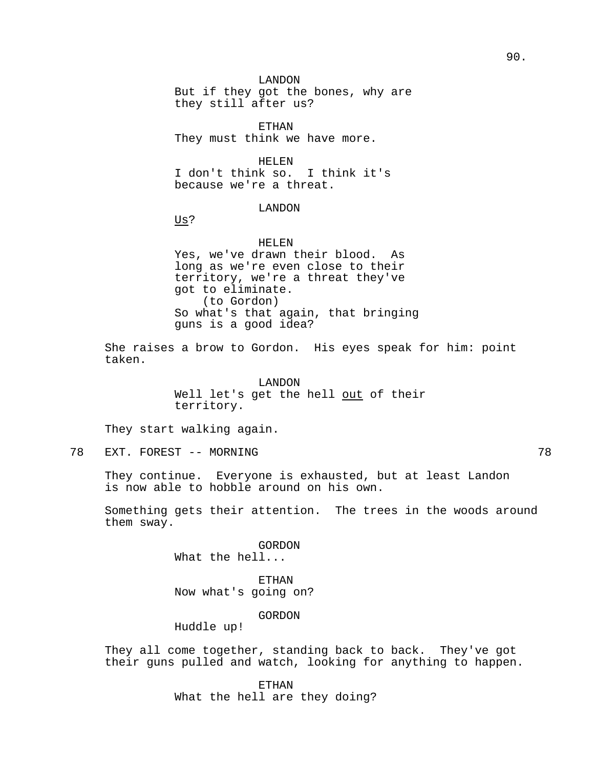LANDON But if they got the bones, why are they still after us?

ETHAN They must think we have more.

HELEN I don't think so. I think it's because we're a threat.

## LANDON

Us?

HELEN Yes, we've drawn their blood. As long as we're even close to their territory, we're a threat they've got to eliminate. (to Gordon) So what's that again, that bringing guns is a good idea?

She raises a brow to Gordon. His eyes speak for him: point taken.

> LANDON Well let's get the hell out of their territory.

They start walking again.

78 EXT. FOREST -- MORNING 78

They continue. Everyone is exhausted, but at least Landon is now able to hobble around on his own.

Something gets their attention. The trees in the woods around them sway.

> GORDON What the hell...

ETHAN Now what's going on?

GORDON

Huddle up!

They all come together, standing back to back. They've got their guns pulled and watch, looking for anything to happen.

> ETHAN What the hell are they doing?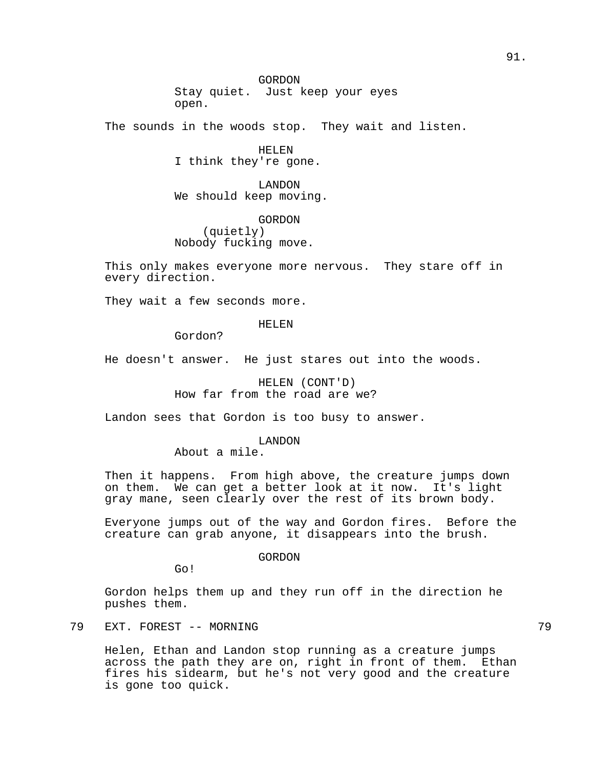The sounds in the woods stop. They wait and listen.

HELEN I think they're gone.

LANDON We should keep moving.

GORDON (quietly) Nobody fucking move.

This only makes everyone more nervous. They stare off in every direction.

They wait a few seconds more.

HELEN

Gordon?

He doesn't answer. He just stares out into the woods.

HELEN (CONT'D) How far from the road are we?

Landon sees that Gordon is too busy to answer.

LANDON

About a mile.

Then it happens. From high above, the creature jumps down on them. We can get a better look at it now. It's light gray mane, seen clearly over the rest of its brown body.

Everyone jumps out of the way and Gordon fires. Before the creature can grab anyone, it disappears into the brush.

GORDON

Go!

Gordon helps them up and they run off in the direction he pushes them.

79 EXT. FOREST -- MORNING 79

Helen, Ethan and Landon stop running as a creature jumps across the path they are on, right in front of them. Ethan fires his sidearm, but he's not very good and the creature is gone too quick.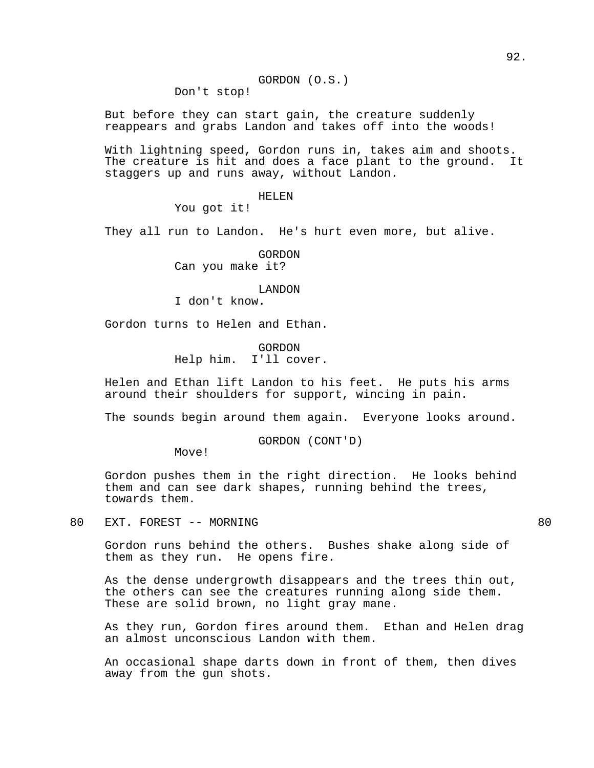Don't stop!

But before they can start gain, the creature suddenly reappears and grabs Landon and takes off into the woods!

With lightning speed, Gordon runs in, takes aim and shoots. The creature is hit and does a face plant to the ground. It staggers up and runs away, without Landon.

#### HELEN

You got it!

They all run to Landon. He's hurt even more, but alive.

GORDON Can you make it?

#### LANDON

I don't know.

Gordon turns to Helen and Ethan.

GORDON Help him. I'll cover.

Helen and Ethan lift Landon to his feet. He puts his arms around their shoulders for support, wincing in pain.

The sounds begin around them again. Everyone looks around.

GORDON (CONT'D)

Move!

Gordon pushes them in the right direction. He looks behind them and can see dark shapes, running behind the trees, towards them.

80 EXT. FOREST -- MORNING 80 and the state of the state of the state of the state of the state of the state of the state of the state of the state of the state of the state of the state of the state of the state of the sta

Gordon runs behind the others. Bushes shake along side of them as they run. He opens fire.

As the dense undergrowth disappears and the trees thin out, the others can see the creatures running along side them. These are solid brown, no light gray mane.

As they run, Gordon fires around them. Ethan and Helen drag an almost unconscious Landon with them.

An occasional shape darts down in front of them, then dives away from the gun shots.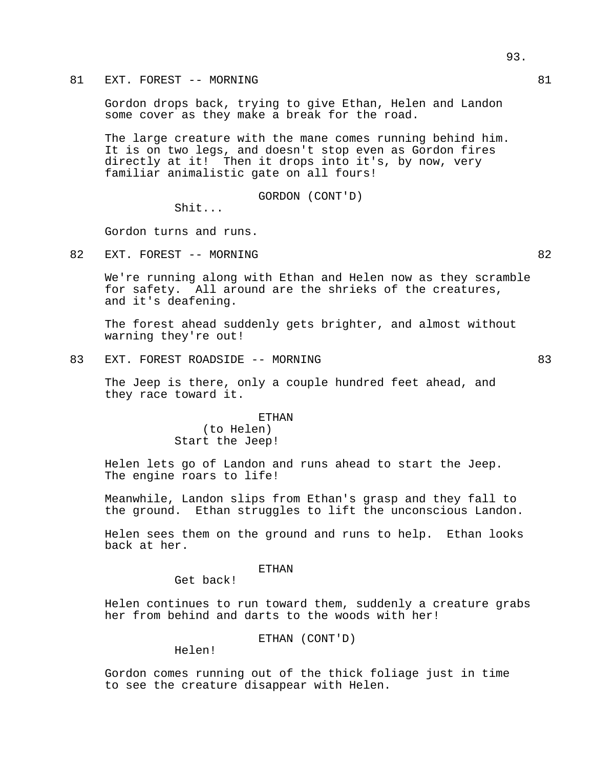81 EXT. FOREST -- MORNING 81

Gordon drops back, trying to give Ethan, Helen and Landon some cover as they make a break for the road.

The large creature with the mane comes running behind him. It is on two legs, and doesn't stop even as Gordon fires directly at it! Then it drops into it's, by now, very familiar animalistic gate on all fours!

GORDON (CONT'D)

Shit...

Gordon turns and runs.

82 EXT. FOREST -- MORNING 82

We're running along with Ethan and Helen now as they scramble for safety. All around are the shrieks of the creatures, and it's deafening.

The forest ahead suddenly gets brighter, and almost without warning they're out!

83 EXT. FOREST ROADSIDE -- MORNING 83

The Jeep is there, only a couple hundred feet ahead, and they race toward it.

> ETHAN (to Helen) Start the Jeep!

Helen lets go of Landon and runs ahead to start the Jeep. The engine roars to life!

Meanwhile, Landon slips from Ethan's grasp and they fall to the ground. Ethan struggles to lift the unconscious Landon.

Helen sees them on the ground and runs to help. Ethan looks back at her.

#### ETHAN

Get back!

Helen continues to run toward them, suddenly a creature grabs her from behind and darts to the woods with her!

ETHAN (CONT'D)

Helen!

Gordon comes running out of the thick foliage just in time to see the creature disappear with Helen.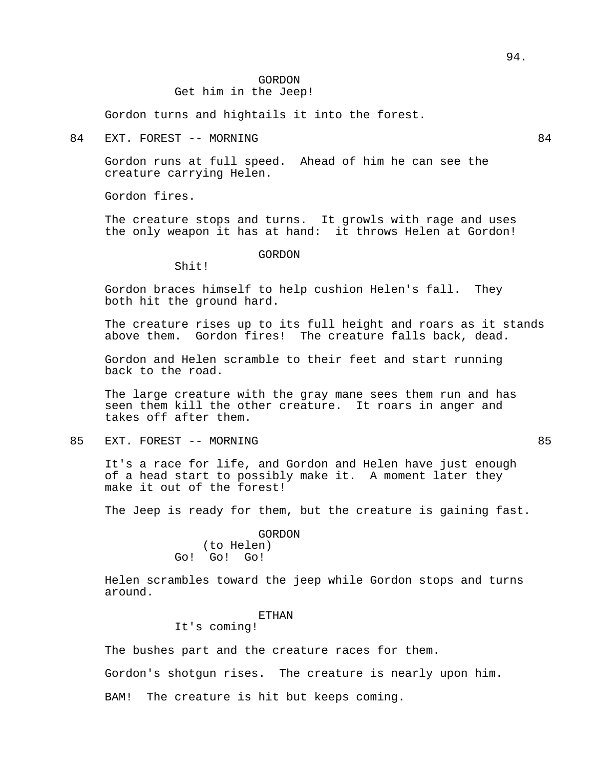# Get him in the Jeep!

Gordon turns and hightails it into the forest.

## 84 EXT. FOREST -- MORNING 84

Gordon runs at full speed. Ahead of him he can see the creature carrying Helen.

Gordon fires.

The creature stops and turns. It growls with rage and uses the only weapon it has at hand: it throws Helen at Gordon!

## GORDON

Shit!

Gordon braces himself to help cushion Helen's fall. They both hit the ground hard.

The creature rises up to its full height and roars as it stands above them. Gordon fires! The creature falls back, dead.

Gordon and Helen scramble to their feet and start running back to the road.

The large creature with the gray mane sees them run and has seen them kill the other creature. It roars in anger and takes off after them.

85 EXT. FOREST -- MORNING 85

It's a race for life, and Gordon and Helen have just enough of a head start to possibly make it. A moment later they make it out of the forest!

The Jeep is ready for them, but the creature is gaining fast.

## GORDON (to Helen) Go! Go! Go!

Helen scrambles toward the jeep while Gordon stops and turns around.

## **ETHAN**

## It's coming!

The bushes part and the creature races for them.

Gordon's shotgun rises. The creature is nearly upon him.

BAM! The creature is hit but keeps coming.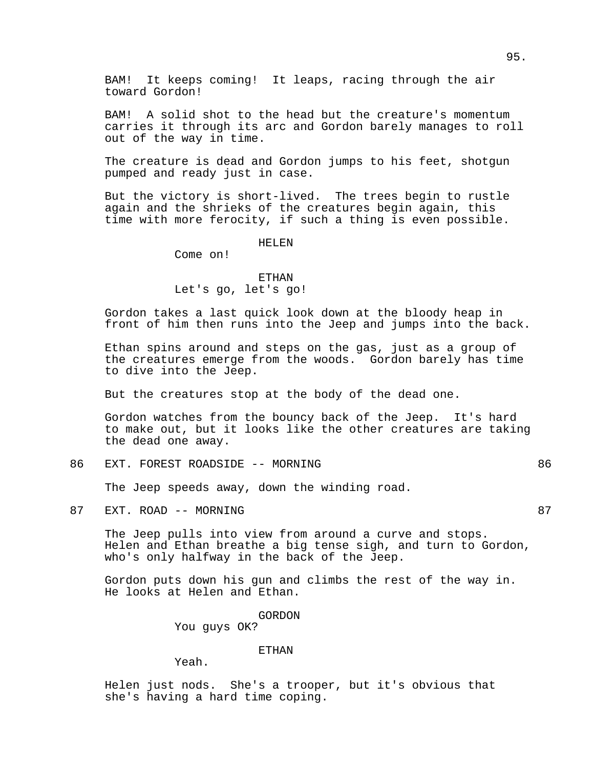BAM! It keeps coming! It leaps, racing through the air toward Gordon!

BAM! A solid shot to the head but the creature's momentum carries it through its arc and Gordon barely manages to roll out of the way in time.

The creature is dead and Gordon jumps to his feet, shotgun pumped and ready just in case.

But the victory is short-lived. The trees begin to rustle again and the shrieks of the creatures begin again, this time with more ferocity, if such a thing is even possible.

#### HELEN

Come on!

## ETHAN Let's go, let's go!

Gordon takes a last quick look down at the bloody heap in front of him then runs into the Jeep and jumps into the back.

Ethan spins around and steps on the gas, just as a group of the creatures emerge from the woods. Gordon barely has time to dive into the Jeep.

But the creatures stop at the body of the dead one.

Gordon watches from the bouncy back of the Jeep. It's hard to make out, but it looks like the other creatures are taking the dead one away.

86 EXT. FOREST ROADSIDE -- MORNING 86

The Jeep speeds away, down the winding road.

87 EXT. ROAD -- MORNING 87 EXT. 2008.

The Jeep pulls into view from around a curve and stops. Helen and Ethan breathe a big tense sigh, and turn to Gordon, who's only halfway in the back of the Jeep.

Gordon puts down his gun and climbs the rest of the way in. He looks at Helen and Ethan.

GORDON

You guys OK?

## ETHAN

Yeah.

Helen just nods. She's a trooper, but it's obvious that she's having a hard time coping.